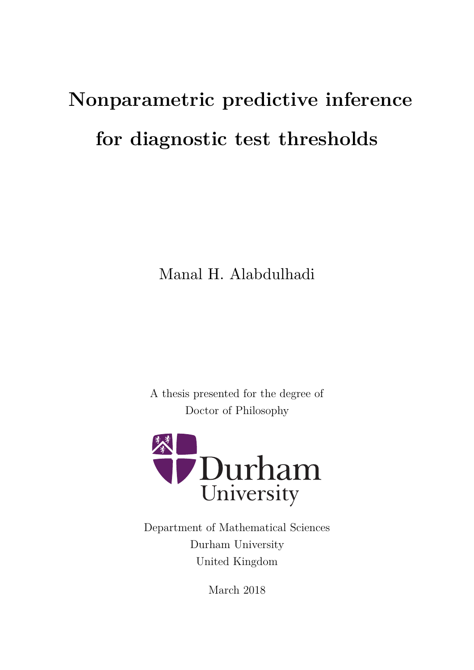# **Nonparametric predictive inference for diagnostic test thresholds**

Manal H. Alabdulhadi

A thesis presented for the degree of Doctor of Philosophy



Department of Mathematical Sciences Durham University United Kingdom

March 2018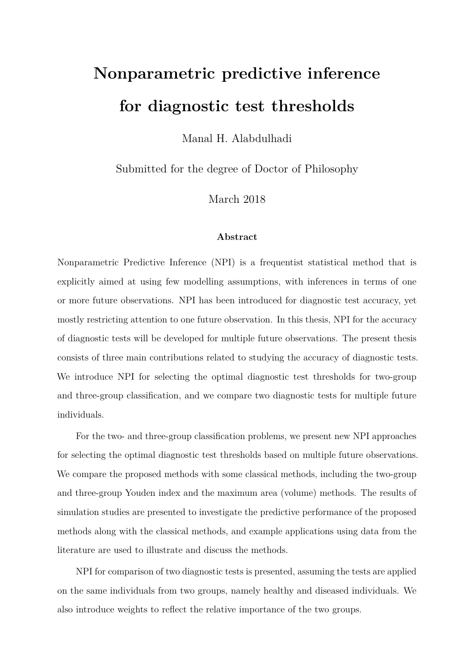# <span id="page-1-0"></span>**Nonparametric predictive inference for diagnostic test thresholds**

Manal H. Alabdulhadi

Submitted for the degree of Doctor of Philosophy

March 2018

#### **Abstract**

Nonparametric Predictive Inference (NPI) is a frequentist statistical method that is explicitly aimed at using few modelling assumptions, with inferences in terms of one or more future observations. NPI has been introduced for diagnostic test accuracy, yet mostly restricting attention to one future observation. In this thesis, NPI for the accuracy of diagnostic tests will be developed for multiple future observations. The present thesis consists of three main contributions related to studying the accuracy of diagnostic tests. We introduce NPI for selecting the optimal diagnostic test thresholds for two-group and three-group classification, and we compare two diagnostic tests for multiple future individuals.

For the two- and three-group classification problems, we present new NPI approaches for selecting the optimal diagnostic test thresholds based on multiple future observations. We compare the proposed methods with some classical methods, including the two-group and three-group Youden index and the maximum area (volume) methods. The results of simulation studies are presented to investigate the predictive performance of the proposed methods along with the classical methods, and example applications using data from the literature are used to illustrate and discuss the methods.

NPI for comparison of two diagnostic tests is presented, assuming the tests are applied on the same individuals from two groups, namely healthy and diseased individuals. We also introduce weights to reflect the relative importance of the two groups.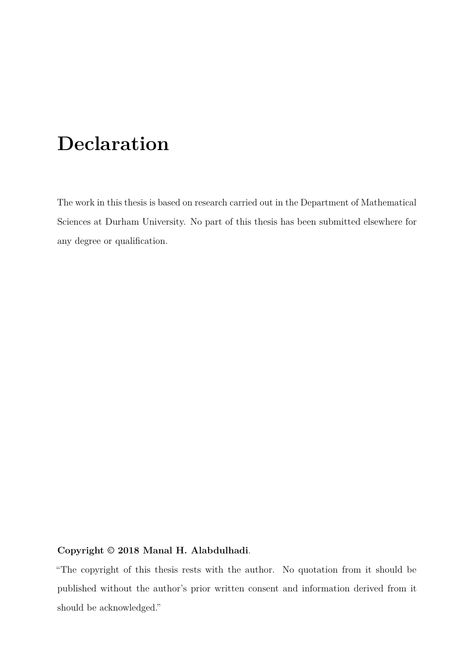# **Declaration**

The work in this thesis is based on research carried out in the Department of Mathematical Sciences at Durham University. No part of this thesis has been submitted elsewhere for any degree or qualification.

#### **Copyright © 2018 Manal H. Alabdulhadi**.

"The copyright of this thesis rests with the author. No quotation from it should be published without the author's prior written consent and information derived from it should be acknowledged."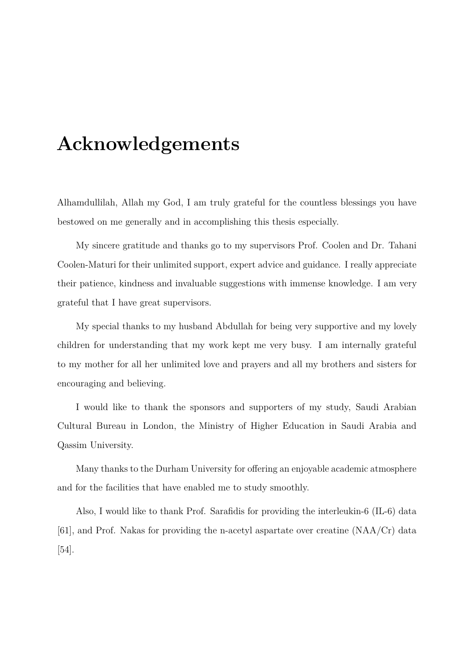# **Acknowledgements**

Alhamdullilah, Allah my God, I am truly grateful for the countless blessings you have bestowed on me generally and in accomplishing this thesis especially.

My sincere gratitude and thanks go to my supervisors Prof. Coolen and Dr. Tahani Coolen-Maturi for their unlimited support, expert advice and guidance. I really appreciate their patience, kindness and invaluable suggestions with immense knowledge. I am very grateful that I have great supervisors.

My special thanks to my husband Abdullah for being very supportive and my lovely children for understanding that my work kept me very busy. I am internally grateful to my mother for all her unlimited love and prayers and all my brothers and sisters for encouraging and believing.

I would like to thank the sponsors and supporters of my study, Saudi Arabian Cultural Bureau in London, the Ministry of Higher Education in Saudi Arabia and Qassim University.

Many thanks to the Durham University for offering an enjoyable academic atmosphere and for the facilities that have enabled me to study smoothly.

Also, I would like to thank Prof. Sarafidis for providing the interleukin-6 (IL-6) data [\[61\]](#page-105-0), and Prof. Nakas for providing the n-acetyl aspartate over creatine (NAA/Cr) data [\[54\]](#page-104-0).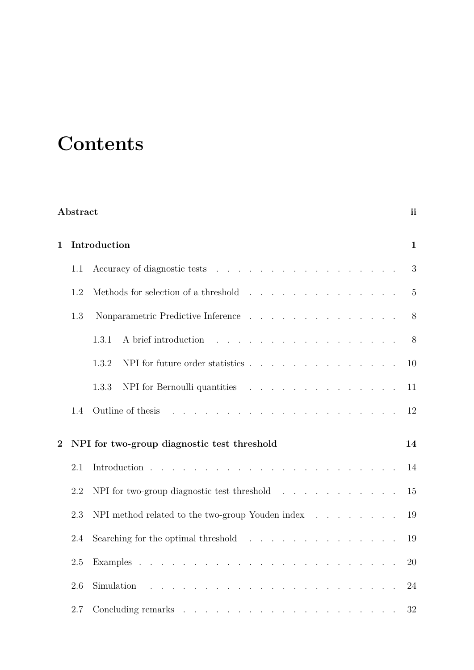# **Contents**

|                | Abstract |                                                                                                                                                                                                                                                | <i>ii</i>      |
|----------------|----------|------------------------------------------------------------------------------------------------------------------------------------------------------------------------------------------------------------------------------------------------|----------------|
| 1              |          | Introduction                                                                                                                                                                                                                                   | $\mathbf{1}$   |
|                | 1.1      |                                                                                                                                                                                                                                                | 3              |
|                | 1.2      |                                                                                                                                                                                                                                                | $\overline{5}$ |
|                | 1.3      | Nonparametric Predictive Inference                                                                                                                                                                                                             | 8              |
|                |          | A brief introduction<br>1.3.1<br>and the contract of the contract of the contract of the                                                                                                                                                       | 8              |
|                |          | NPI for future order statistics<br>1.3.2                                                                                                                                                                                                       | 10             |
|                |          | 1.3.3<br>NPI for Bernoulli quantities                                                                                                                                                                                                          | 11             |
|                | 1.4      | Outline of thesis                                                                                                                                                                                                                              | 12             |
| $\overline{2}$ |          | NPI for two-group diagnostic test threshold                                                                                                                                                                                                    | 14             |
|                | 2.1      | and the contract of the contract of the contract of the contract of the contract of the contract of the contract of the contract of the contract of the contract of the contract of the contract of the contract of the contra<br>Introduction | 14             |
|                | 2.2      | NPI for two-group diagnostic test threshold $\ldots$                                                                                                                                                                                           | 15             |
|                | 2.3      | NPI method related to the two-group Youden index $\ldots$                                                                                                                                                                                      | 19             |
|                | 2.4      | Searching for the optimal threshold $\ldots$ , $\ldots$ , $\ldots$ , $\ldots$ , $\ldots$                                                                                                                                                       | 19             |
|                | 2.5      |                                                                                                                                                                                                                                                | 20             |
|                | 2.6      | Simulation                                                                                                                                                                                                                                     | 24             |
|                | 2.7      |                                                                                                                                                                                                                                                | 32             |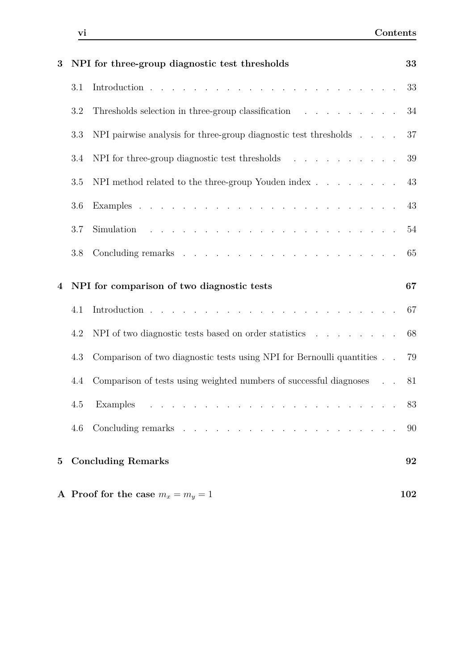| 3           |         | NPI for three-group diagnostic test thresholds                                                                                       | 33  |
|-------------|---------|--------------------------------------------------------------------------------------------------------------------------------------|-----|
|             | 3.1     |                                                                                                                                      | 33  |
|             | 3.2     | Thresholds selection in three-group classification $\ldots$ ,                                                                        | 34  |
|             | 3.3     | NPI pairwise analysis for three-group diagnostic test thresholds $\ldots$ .                                                          | 37  |
|             | 3.4     | NPI for three-group diagnostic test thresholds                                                                                       | 39  |
|             | 3.5     |                                                                                                                                      | 43  |
|             | 3.6     |                                                                                                                                      | 43  |
|             | $3.7\,$ | <u>. A shekarar ta shekara ta 1989, a shekara ta 1989, a shekara ta 1989, a shekara ta 1989, a shekara ta 1989, a </u><br>Simulation | 54  |
|             | 3.8     |                                                                                                                                      | 65  |
| 4           |         | NPI for comparison of two diagnostic tests                                                                                           | 67  |
|             | 4.1     |                                                                                                                                      | 67  |
|             | 4.2     | NPI of two diagnostic tests based on order statistics                                                                                | 68  |
|             | 4.3     | Comparison of two diagnostic tests using NPI for Bernoulli quantities                                                                | 79  |
|             | 4.4     | Comparison of tests using weighted numbers of successful diagnoses                                                                   | 81  |
|             | 4.5     | Examples<br>المواطن والمتواطن والمتواطن والمتواطن والمتواطن والمتواطن والمتواطن والمتواطن والمتواطن                                  | 83  |
|             | 4.6     | Concluding remarks                                                                                                                   | 90  |
| $5^{\circ}$ |         | <b>Concluding Remarks</b>                                                                                                            | 92  |
|             |         | A Proof for the case $m_x = m_y = 1$                                                                                                 | 102 |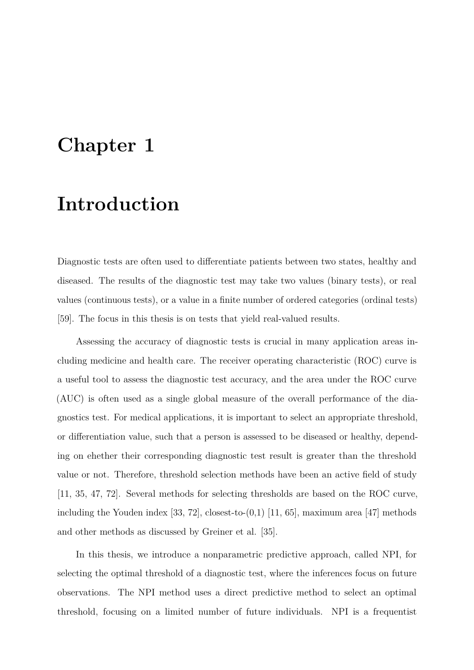# <span id="page-6-0"></span>**Chapter 1**

# **Introduction**

Diagnostic tests are often used to differentiate patients between two states, healthy and diseased. The results of the diagnostic test may take two values (binary tests), or real values (continuous tests), or a value in a finite number of ordered categories (ordinal tests) [\[59\]](#page-105-1). The focus in this thesis is on tests that yield real-valued results.

Assessing the accuracy of diagnostic tests is crucial in many application areas including medicine and health care. The receiver operating characteristic (ROC) curve is a useful tool to assess the diagnostic test accuracy, and the area under the ROC curve (AUC) is often used as a single global measure of the overall performance of the diagnostics test. For medical applications, it is important to select an appropriate threshold, or differentiation value, such that a person is assessed to be diseased or healthy, depending on ehether their corresponding diagnostic test result is greater than the threshold value or not. Therefore, threshold selection methods have been an active field of study [\[11,](#page-100-0) [35,](#page-102-0) [47,](#page-103-0) [72\]](#page-106-0). Several methods for selecting thresholds are based on the ROC curve, including the Youden index [\[33,](#page-102-1) [72\]](#page-106-0), closest-to- $(0,1)$  [\[11,](#page-100-0) [65\]](#page-105-2), maximum area [\[47\]](#page-103-0) methods and other methods as discussed by Greiner et al. [\[35\]](#page-102-0).

In this thesis, we introduce a nonparametric predictive approach, called NPI, for selecting the optimal threshold of a diagnostic test, where the inferences focus on future observations. The NPI method uses a direct predictive method to select an optimal threshold, focusing on a limited number of future individuals. NPI is a frequentist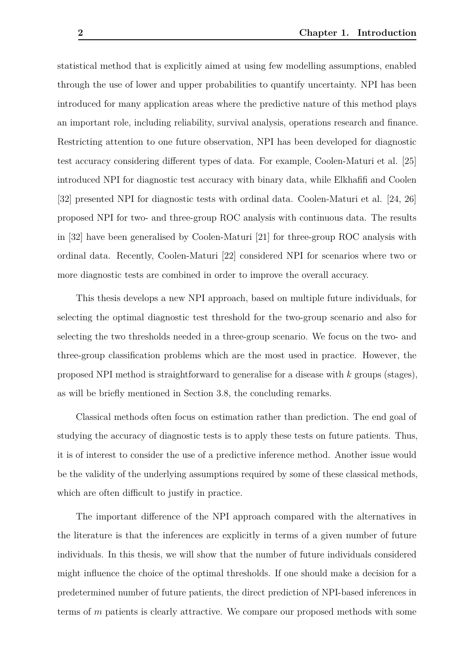statistical method that is explicitly aimed at using few modelling assumptions, enabled through the use of lower and upper probabilities to quantify uncertainty. NPI has been introduced for many application areas where the predictive nature of this method plays an important role, including reliability, survival analysis, operations research and finance. Restricting attention to one future observation, NPI has been developed for diagnostic test accuracy considering different types of data. For example, Coolen-Maturi et al. [\[25\]](#page-101-0) introduced NPI for diagnostic test accuracy with binary data, while Elkhafifi and Coolen [\[32\]](#page-102-2) presented NPI for diagnostic tests with ordinal data. Coolen-Maturi et al. [\[24,](#page-101-1) [26\]](#page-101-2) proposed NPI for two- and three-group ROC analysis with continuous data. The results in [\[32\]](#page-102-2) have been generalised by Coolen-Maturi [\[21\]](#page-101-3) for three-group ROC analysis with ordinal data. Recently, Coolen-Maturi [\[22\]](#page-101-4) considered NPI for scenarios where two or more diagnostic tests are combined in order to improve the overall accuracy.

This thesis develops a new NPI approach, based on multiple future individuals, for selecting the optimal diagnostic test threshold for the two-group scenario and also for selecting the two thresholds needed in a three-group scenario. We focus on the two- and three-group classification problems which are the most used in practice. However, the proposed NPI method is straightforward to generalise for a disease with *k* groups (stages), as will be briefly mentioned in Section [3.8,](#page-70-0) the concluding remarks.

Classical methods often focus on estimation rather than prediction. The end goal of studying the accuracy of diagnostic tests is to apply these tests on future patients. Thus, it is of interest to consider the use of a predictive inference method. Another issue would be the validity of the underlying assumptions required by some of these classical methods, which are often difficult to justify in practice.

The important difference of the NPI approach compared with the alternatives in the literature is that the inferences are explicitly in terms of a given number of future individuals. In this thesis, we will show that the number of future individuals considered might influence the choice of the optimal thresholds. If one should make a decision for a predetermined number of future patients, the direct prediction of NPI-based inferences in terms of *m* patients is clearly attractive. We compare our proposed methods with some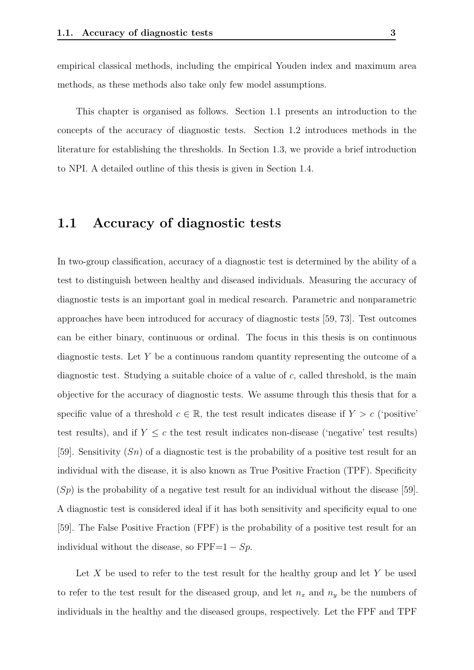empirical classical methods, including the empirical Youden index and maximum area methods, as these methods also take only few model assumptions.

This chapter is organised as follows. Section [1.1](#page-8-0) presents an introduction to the concepts of the accuracy of diagnostic tests. Section [1.2](#page-10-0) introduces methods in the literature for establishing the thresholds. In Section [1.3,](#page-13-0) we provide a brief introduction to NPI. A detailed outline of this thesis is given in Section [1.4.](#page-17-0)

### <span id="page-8-0"></span>**1.1 Accuracy of diagnostic tests**

In two-group classification, accuracy of a diagnostic test is determined by the ability of a test to distinguish between healthy and diseased individuals. Measuring the accuracy of diagnostic tests is an important goal in medical research. Parametric and nonparametric approaches have been introduced for accuracy of diagnostic tests [\[59,](#page-105-1) [73\]](#page-106-1). Test outcomes can be either binary, continuous or ordinal. The focus in this thesis is on continuous diagnostic tests. Let *Y* be a continuous random quantity representing the outcome of a diagnostic test. Studying a suitable choice of a value of *c*, called threshold, is the main objective for the accuracy of diagnostic tests. We assume through this thesis that for a specific value of a threshold  $c \in \mathbb{R}$ , the test result indicates disease if  $Y > c$  ('positive' test results), and if  $Y \leq c$  the test result indicates non-disease ('negative' test results) [\[59\]](#page-105-1). Sensitivity (*Sn*) of a diagnostic test is the probability of a positive test result for an individual with the disease, it is also known as True Positive Fraction (TPF). Specificity (*Sp*) is the probability of a negative test result for an individual without the disease [\[59\]](#page-105-1). A diagnostic test is considered ideal if it has both sensitivity and specificity equal to one [\[59\]](#page-105-1). The False Positive Fraction (FPF) is the probability of a positive test result for an individual without the disease, so  $\text{FPF}=1 - Sp$ .

Let *X* be used to refer to the test result for the healthy group and let *Y* be used to refer to the test result for the diseased group, and let  $n_x$  and  $n_y$  be the numbers of individuals in the healthy and the diseased groups, respectively. Let the FPF and TPF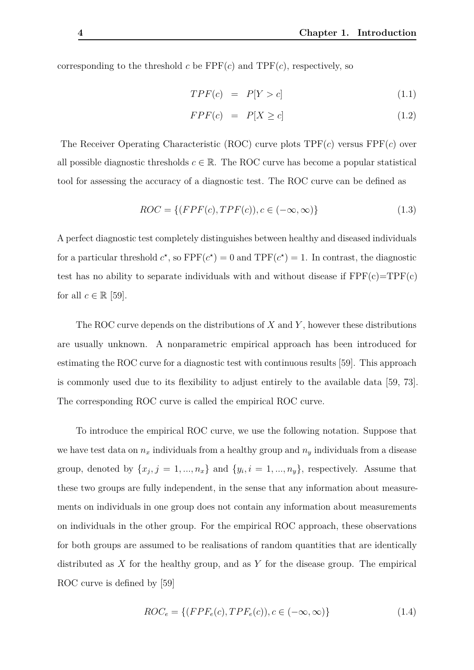corresponding to the threshold *c* be  $\text{FPF}(c)$  and  $\text{TPF}(c)$ , respectively, so

$$
TPF(c) = P[Y > c] \tag{1.1}
$$

$$
FPF(c) = P[X \ge c] \tag{1.2}
$$

The Receiver Operating Characteristic (ROC) curve plots TPF(*c*) versus FPF(*c*) over all possible diagnostic thresholds  $c \in \mathbb{R}$ . The ROC curve has become a popular statistical tool for assessing the accuracy of a diagnostic test. The ROC curve can be defined as

$$
ROC = \{ (FPF(c), TPF(c)), c \in (-\infty, \infty) \}
$$
\n
$$
(1.3)
$$

A perfect diagnostic test completely distinguishes between healthy and diseased individuals for a particular threshold  $c^*$ , so  $\text{FPF}(c^*) = 0$  and  $\text{TPF}(c^*) = 1$ . In contrast, the diagnostic test has no ability to separate individuals with and without disease if  $FPF(c)=TPF(c)$ for all  $c \in \mathbb{R}$  [\[59\]](#page-105-1).

The ROC curve depends on the distributions of *X* and *Y* , however these distributions are usually unknown. A nonparametric empirical approach has been introduced for estimating the ROC curve for a diagnostic test with continuous results [\[59\]](#page-105-1). This approach is commonly used due to its flexibility to adjust entirely to the available data [\[59,](#page-105-1) [73\]](#page-106-1). The corresponding ROC curve is called the empirical ROC curve.

To introduce the empirical ROC curve, we use the following notation. Suppose that we have test data on  $n_x$  individuals from a healthy group and  $n_y$  individuals from a disease group, denoted by  $\{x_j, j = 1, ..., n_x\}$  and  $\{y_i, i = 1, ..., n_y\}$ , respectively. Assume that these two groups are fully independent, in the sense that any information about measurements on individuals in one group does not contain any information about measurements on individuals in the other group. For the empirical ROC approach, these observations for both groups are assumed to be realisations of random quantities that are identically distributed as *X* for the healthy group, and as *Y* for the disease group. The empirical ROC curve is defined by [\[59\]](#page-105-1)

$$
ROC_e = \{ (FPF_e(c), TPF_e(c)), c \in (-\infty, \infty) \}
$$
\n
$$
(1.4)
$$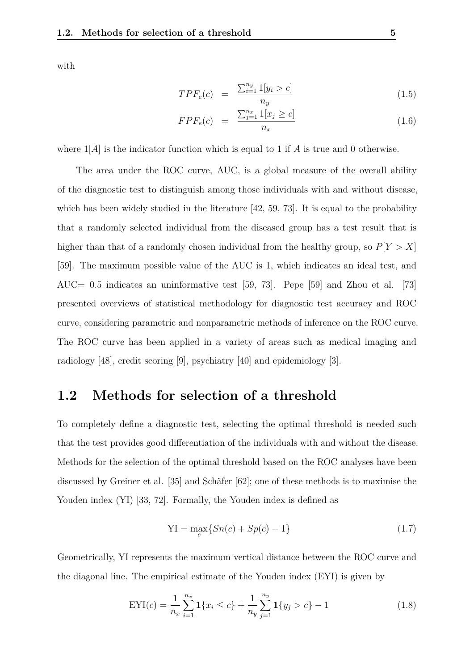with

$$
TPF_e(c) = \frac{\sum_{i=1}^{n_y} 1[y_i > c]}{n_y} \tag{1.5}
$$

$$
FPF_e(c) = \frac{\sum_{j=1}^{n_x} 1[x_j \ge c]}{n_x}
$$
\n(1.6)

where  $1|A|$  is the indicator function which is equal to 1 if A is true and 0 otherwise.

The area under the ROC curve, AUC, is a global measure of the overall ability of the diagnostic test to distinguish among those individuals with and without disease, which has been widely studied in the literature  $[42, 59, 73]$  $[42, 59, 73]$  $[42, 59, 73]$  $[42, 59, 73]$  $[42, 59, 73]$ . It is equal to the probability that a randomly selected individual from the diseased group has a test result that is higher than that of a randomly chosen individual from the healthy group, so  $P[Y > X]$ [\[59\]](#page-105-1). The maximum possible value of the AUC is 1, which indicates an ideal test, and AUC= 0*.*5 indicates an uninformative test [\[59,](#page-105-1) [73\]](#page-106-1). Pepe [\[59\]](#page-105-1) and Zhou et al. [\[73\]](#page-106-1) presented overviews of statistical methodology for diagnostic test accuracy and ROC curve, considering parametric and nonparametric methods of inference on the ROC curve. The ROC curve has been applied in a variety of areas such as medical imaging and radiology [\[48\]](#page-103-2), credit scoring [\[9\]](#page-100-1), psychiatry [\[40\]](#page-103-3) and epidemiology [\[3\]](#page-99-0).

### <span id="page-10-0"></span>**1.2 Methods for selection of a threshold**

To completely define a diagnostic test, selecting the optimal threshold is needed such that the test provides good differentiation of the individuals with and without the disease. Methods for the selection of the optimal threshold based on the ROC analyses have been discussed by Greiner et al. [\[35\]](#page-102-0) and Schäfer [\[62\]](#page-105-3); one of these methods is to maximise the Youden index  $(YI)$  [\[33,](#page-102-1) [72\]](#page-106-0). Formally, the Youden index is defined as

<span id="page-10-1"></span>
$$
YI = \max_{c} \{ Sn(c) + Sp(c) - 1 \}
$$
\n(1.7)

Geometrically, YI represents the maximum vertical distance between the ROC curve and the diagonal line. The empirical estimate of the Youden index (EYI) is given by

$$
EYI(c) = \frac{1}{n_x} \sum_{i=1}^{n_x} \mathbf{1}\{x_i \le c\} + \frac{1}{n_y} \sum_{j=1}^{n_y} \mathbf{1}\{y_j > c\} - 1
$$
\n(1.8)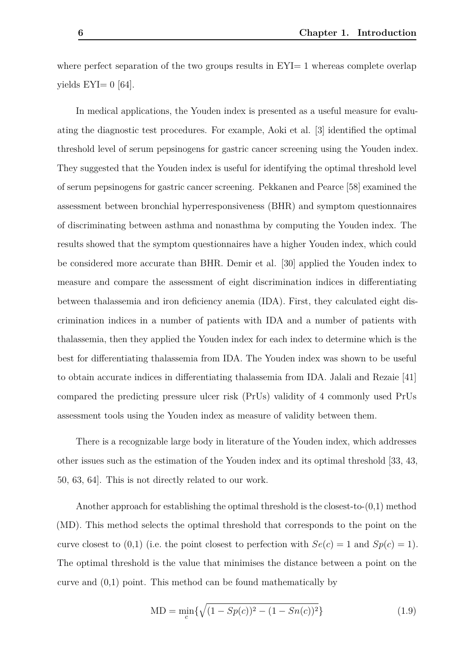where perfect separation of the two groups results in  $EY = 1$  whereas complete overlap vields  $EYI= 0$  [\[64\]](#page-105-4).

In medical applications, the Youden index is presented as a useful measure for evaluating the diagnostic test procedures. For example, Aoki et al. [\[3\]](#page-99-0) identified the optimal threshold level of serum pepsinogens for gastric cancer screening using the Youden index. They suggested that the Youden index is useful for identifying the optimal threshold level of serum pepsinogens for gastric cancer screening. Pekkanen and Pearce [\[58\]](#page-104-1) examined the assessment between bronchial hyperresponsiveness (BHR) and symptom questionnaires of discriminating between asthma and nonasthma by computing the Youden index. The results showed that the symptom questionnaires have a higher Youden index, which could be considered more accurate than BHR. Demir et al. [\[30\]](#page-102-3) applied the Youden index to measure and compare the assessment of eight discrimination indices in differentiating between thalassemia and iron deficiency anemia (IDA). First, they calculated eight discrimination indices in a number of patients with IDA and a number of patients with thalassemia, then they applied the Youden index for each index to determine which is the best for differentiating thalassemia from IDA. The Youden index was shown to be useful to obtain accurate indices in differentiating thalassemia from IDA. Jalali and Rezaie [\[41\]](#page-103-4) compared the predicting pressure ulcer risk (PrUs) validity of 4 commonly used PrUs assessment tools using the Youden index as measure of validity between them.

There is a recognizable large body in literature of the Youden index, which addresses other issues such as the estimation of the Youden index and its optimal threshold [\[33,](#page-102-1) [43,](#page-103-5) [50,](#page-104-2) [63,](#page-105-5) [64\]](#page-105-4). This is not directly related to our work.

Another approach for establishing the optimal threshold is the closest-to- $(0,1)$  method (MD). This method selects the optimal threshold that corresponds to the point on the curve closest to (0,1) (i.e. the point closest to perfection with  $Se(c) = 1$  and  $Sp(c) = 1$ ). The optimal threshold is the value that minimises the distance between a point on the curve and (0,1) point. This method can be found mathematically by

$$
MD = \min_{c} \{ \sqrt{(1 - Sp(c))^2 - (1 - Sn(c))^2} \}
$$
\n(1.9)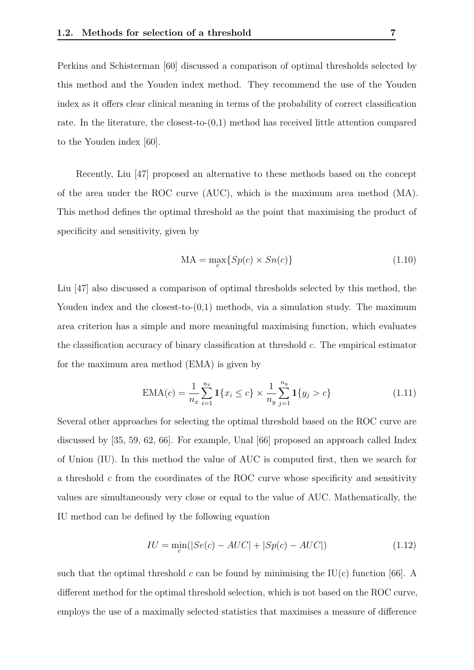Perkins and Schisterman [\[60\]](#page-105-6) discussed a comparison of optimal thresholds selected by this method and the Youden index method. They recommend the use of the Youden index as it offers clear clinical meaning in terms of the probability of correct classification rate. In the literature, the closest-to- $(0,1)$  method has received little attention compared to the Youden index [\[60\]](#page-105-6).

Recently, Liu [\[47\]](#page-103-0) proposed an alternative to these methods based on the concept of the area under the ROC curve (AUC), which is the maximum area method (MA). This method defines the optimal threshold as the point that maximising the product of specificity and sensitivity, given by

$$
MA = \max_{c} \{ Sp(c) \times Sn(c) \}
$$
\n(1.10)

Liu [\[47\]](#page-103-0) also discussed a comparison of optimal thresholds selected by this method, the Youden index and the closest-to- $(0,1)$  methods, via a simulation study. The maximum area criterion has a simple and more meaningful maximising function, which evaluates the classification accuracy of binary classification at threshold *c*. The empirical estimator for the maximum area method (EMA) is given by

<span id="page-12-0"></span>
$$
EMA(c) = \frac{1}{n_x} \sum_{i=1}^{n_x} \mathbf{1} \{ x_i \le c \} \times \frac{1}{n_y} \sum_{j=1}^{n_y} \mathbf{1} \{ y_j > c \}
$$
(1.11)

Several other approaches for selecting the optimal threshold based on the ROC curve are discussed by [\[35,](#page-102-0) [59,](#page-105-1) [62,](#page-105-3) [66\]](#page-105-7). For example, Unal [\[66\]](#page-105-7) proposed an approach called Index of Union (IU). In this method the value of AUC is computed first, then we search for a threshold *c* from the coordinates of the ROC curve whose specificity and sensitivity values are simultaneously very close or equal to the value of AUC. Mathematically, the IU method can be defined by the following equation

$$
IU = \min_{c}(|Se(c) - AUC| + |Sp(c) - AUC|)
$$
\n(1.12)

such that the optimal threshold *c* can be found by minimising the IU(c) function [\[66\]](#page-105-7). A different method for the optimal threshold selection, which is not based on the ROC curve, employs the use of a maximally selected statistics that maximises a measure of difference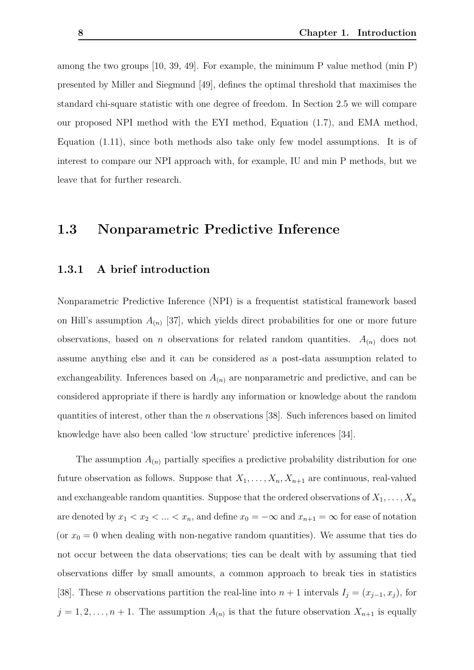among the two groups [\[10,](#page-100-2) [39,](#page-103-6) [49\]](#page-103-7). For example, the minimum P value method (min P) presented by Miller and Siegmund [\[49\]](#page-103-7), defines the optimal threshold that maximises the standard chi-square statistic with one degree of freedom. In Section [2.5](#page-25-0) we will compare our proposed NPI method with the EYI method, Equation [\(1.7\)](#page-10-1), and EMA method, Equation [\(1.11\)](#page-12-0), since both methods also take only few model assumptions. It is of interest to compare our NPI approach with, for example, IU and min P methods, but we leave that for further research.

### <span id="page-13-0"></span>**1.3 Nonparametric Predictive Inference**

#### <span id="page-13-1"></span>**1.3.1 A brief introduction**

Nonparametric Predictive Inference (NPI) is a frequentist statistical framework based on Hill's assumption  $A_{(n)}$  [\[37\]](#page-102-4), which yields direct probabilities for one or more future observations, based on *n* observations for related random quantities.  $A_{(n)}$  does not assume anything else and it can be considered as a post-data assumption related to exchangeability. Inferences based on  $A_{(n)}$  are nonparametric and predictive, and can be considered appropriate if there is hardly any information or knowledge about the random quantities of interest, other than the *n* observations [\[38\]](#page-102-5). Such inferences based on limited knowledge have also been called 'low structure' predictive inferences [\[34\]](#page-102-6).

The assumption  $A_{(n)}$  partially specifies a predictive probability distribution for one future observation as follows. Suppose that  $X_1, \ldots, X_n, X_{n+1}$  are continuous, real-valued and exchangeable random quantities. Suppose that the ordered observations of  $X_1, \ldots, X_n$ are denoted by  $x_1 < x_2 < ... < x_n$ , and define  $x_0 = -\infty$  and  $x_{n+1} = \infty$  for ease of notation (or  $x_0 = 0$  when dealing with non-negative random quantities). We assume that ties do not occur between the data observations; ties can be dealt with by assuming that tied observations differ by small amounts, a common approach to break ties in statistics [\[38\]](#page-102-5). These *n* observations partition the real-line into  $n + 1$  intervals  $I_j = (x_{j-1}, x_j)$ , for  $j = 1, 2, \ldots, n + 1$ . The assumption  $A_{(n)}$  is that the future observation  $X_{n+1}$  is equally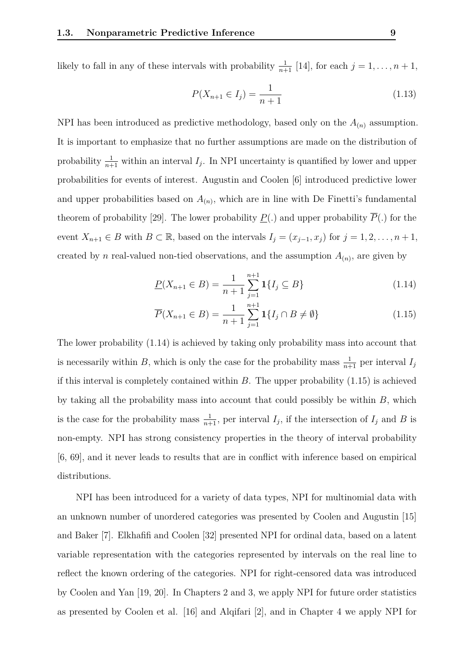likely to fall in any of these intervals with probability  $\frac{1}{n+1}$  [\[14\]](#page-100-3), for each  $j = 1, \ldots, n+1$ ,

$$
P(X_{n+1} \in I_j) = \frac{1}{n+1}
$$
\n(1.13)

NPI has been introduced as predictive methodology, based only on the *A*(*n*) assumption. It is important to emphasize that no further assumptions are made on the distribution of probability  $\frac{1}{n+1}$  within an interval  $I_j$ . In NPI uncertainty is quantified by lower and upper probabilities for events of interest. Augustin and Coolen [\[6\]](#page-99-1) introduced predictive lower and upper probabilities based on  $A_{(n)}$ , which are in line with De Finetti's fundamental theorem of probability [\[29\]](#page-102-7). The lower probability  $P(.)$  and upper probability  $\overline{P}(.)$  for the event  $X_{n+1} \in B$  with  $B \subset \mathbb{R}$ , based on the intervals  $I_j = (x_{j-1}, x_j)$  for  $j = 1, 2, \ldots, n+1$ , created by *n* real-valued non-tied observations, and the assumption  $A_{(n)}$ , are given by

<span id="page-14-1"></span><span id="page-14-0"></span>
$$
\underline{P}(X_{n+1} \in B) = \frac{1}{n+1} \sum_{j=1}^{n+1} \mathbf{1} \{ I_j \subseteq B \}
$$
\n(1.14)

$$
\overline{P}(X_{n+1} \in B) = \frac{1}{n+1} \sum_{j=1}^{n+1} \mathbf{1} \{ I_j \cap B \neq \emptyset \}
$$
\n(1.15)

The lower probability [\(1.14\)](#page-14-0) is achieved by taking only probability mass into account that is necessarily within *B*, which is only the case for the probability mass  $\frac{1}{n+1}$  per interval  $I_j$ if this interval is completely contained within *B*. The upper probability [\(1.15\)](#page-14-1) is achieved by taking all the probability mass into account that could possibly be within *B*, which is the case for the probability mass  $\frac{1}{n+1}$ , per interval  $I_j$ , if the intersection of  $I_j$  and  $B$  is non-empty. NPI has strong consistency properties in the theory of interval probability [\[6,](#page-99-1) [69\]](#page-106-2), and it never leads to results that are in conflict with inference based on empirical distributions.

NPI has been introduced for a variety of data types, NPI for multinomial data with an unknown number of unordered categories was presented by Coolen and Augustin [\[15\]](#page-100-4) and Baker [\[7\]](#page-99-2). Elkhafifi and Coolen [\[32\]](#page-102-2) presented NPI for ordinal data, based on a latent variable representation with the categories represented by intervals on the real line to reflect the known ordering of the categories. NPI for right-censored data was introduced by Coolen and Yan [\[19,](#page-101-5) [20\]](#page-101-6). In Chapters [2](#page-19-0) and [3,](#page-38-0) we apply NPI for future order statistics as presented by Coolen et al. [\[16\]](#page-100-5) and Alqifari [\[2\]](#page-99-3), and in Chapter [4](#page-72-0) we apply NPI for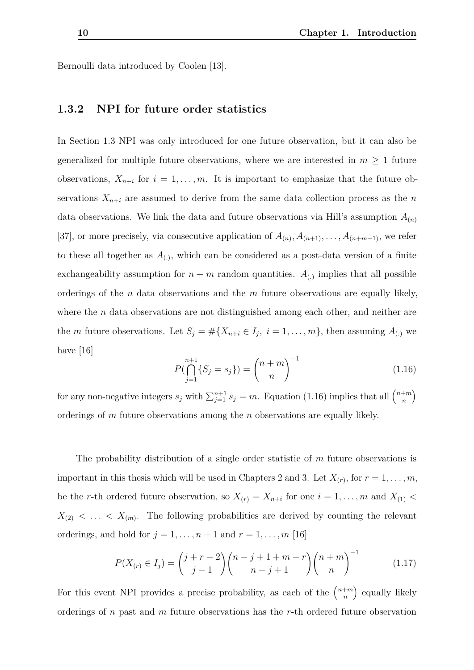Bernoulli data introduced by Coolen [\[13\]](#page-100-6).

#### <span id="page-15-0"></span>**1.3.2 NPI for future order statistics**

In Section [1.3](#page-13-0) NPI was only introduced for one future observation, but it can also be generalized for multiple future observations, where we are interested in  $m \geq 1$  future observations,  $X_{n+i}$  for  $i = 1, \ldots, m$ . It is important to emphasize that the future observations  $X_{n+i}$  are assumed to derive from the same data collection process as the *n* data observations. We link the data and future observations via Hill's assumption  $A_{(n)}$ [\[37\]](#page-102-4), or more precisely, via consecutive application of  $A_{(n)}, A_{(n+1)}, \ldots, A_{(n+m-1)}$ , we refer to these all together as  $A_{(.)}$ , which can be considered as a post-data version of a finite exchangeability assumption for  $n + m$  random quantities.  $A_{(.)}$  implies that all possible orderings of the *n* data observations and the *m* future observations are equally likely, where the *n* data observations are not distinguished among each other, and neither are the *m* future observations. Let  $S_j = \# \{X_{n+i} \in I_j, i = 1, \ldots, m\}$ , then assuming  $A_{(.)}$  we have [\[16\]](#page-100-5)

<span id="page-15-1"></span>
$$
P(\bigcap_{j=1}^{n+1} \{S_j = s_j\}) = {n+m \choose n}^{-1}
$$
\n(1.16)

for any non-negative integers  $s_j$  with  $\sum_{j=1}^{n+1} s_j = m$ . Equation [\(1.16\)](#page-15-1) implies that all  $\binom{n+m}{n}$ *n* ). orderings of *m* future observations among the *n* observations are equally likely.

The probability distribution of a single order statistic of *m* future observations is important in this thesis which will be used in Chapters [2](#page-19-0) and [3.](#page-38-0) Let  $X_{(r)}$ , for  $r = 1, \ldots, m$ , be the *r*-th ordered future observation, so  $X_{(r)} = X_{n+i}$  for one  $i = 1, \ldots, m$  and  $X_{(1)} <$  $X_{(2)} < \ldots < X_{(m)}$ . The following probabilities are derived by counting the relevant orderings, and hold for  $j = 1, \ldots, n + 1$  and  $r = 1, \ldots, m$  [\[16\]](#page-100-5)

<span id="page-15-2"></span>
$$
P(X_{(r)} \in I_j) = {j + r - 2 \choose j - 1} {n - j + 1 + m - r \choose n - j + 1} {n + m \choose n}^{-1}
$$
(1.17)

For this event NPI provides a precise probability, as each of the  $\binom{n+m}{n}$ *n* equally likely orderings of *n* past and *m* future observations has the *r*-th ordered future observation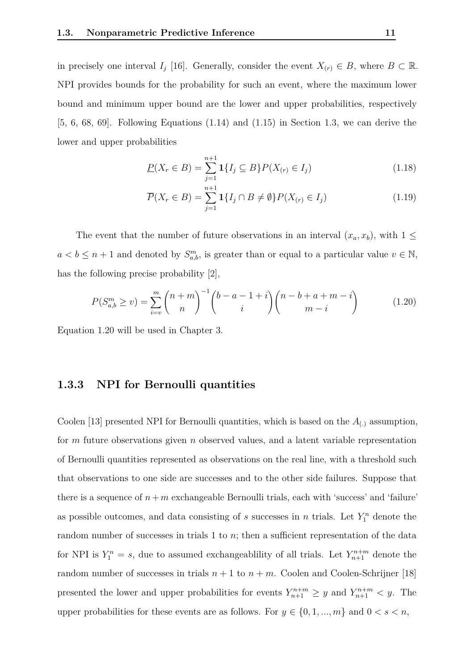in precisely one interval *I<sub>j</sub>* [\[16\]](#page-100-5). Generally, consider the event  $X_{(r)} \in B$ , where  $B \subset \mathbb{R}$ . NPI provides bounds for the probability for such an event, where the maximum lower bound and minimum upper bound are the lower and upper probabilities, respectively  $[5, 6, 68, 69]$  $[5, 6, 68, 69]$  $[5, 6, 68, 69]$  $[5, 6, 68, 69]$  $[5, 6, 68, 69]$  $[5, 6, 68, 69]$  $[5, 6, 68, 69]$ . Following Equations  $(1.14)$  and  $(1.15)$  in Section [1.3,](#page-13-0) we can derive the lower and upper probabilities

$$
\underline{P}(X_r \in B) = \sum_{j=1}^{n+1} \mathbf{1}\{I_j \subseteq B\} P(X_{(r)} \in I_j)
$$
\n(1.18)

$$
\overline{P}(X_r \in B) = \sum_{j=1}^{n+1} \mathbf{1}\{I_j \cap B \neq \emptyset\} P(X_{(r)} \in I_j)
$$
\n(1.19)

The event that the number of future observations in an interval  $(x_a, x_b)$ , with  $1 \leq$  $a < b \leq n+1$  and denoted by  $S_{a,b}^m$ , is greater than or equal to a particular value  $v \in \mathbb{N}$ , has the following precise probability [\[2\]](#page-99-3),

<span id="page-16-1"></span>
$$
P(S_{a,b}^{m} \ge v) = \sum_{i=v}^{m} {n+m \choose n}^{-1} {b-a-1+i \choose i} {n-b+a+m-i \choose m-i}
$$
(1.20)

Equation [1.20](#page-16-1) will be used in Chapter [3.](#page-38-0)

#### <span id="page-16-0"></span>**1.3.3 NPI for Bernoulli quantities**

Coolen [\[13\]](#page-100-6) presented NPI for Bernoulli quantities, which is based on the  $A_{(.)}$  assumption, for *m* future observations given *n* observed values, and a latent variable representation of Bernoulli quantities represented as observations on the real line, with a threshold such that observations to one side are successes and to the other side failures. Suppose that there is a sequence of  $n + m$  exchangeable Bernoulli trials, each with 'success' and 'failure' as possible outcomes, and data consisting of *s* successes in *n* trials. Let  $Y_1^n$  denote the random number of successes in trials 1 to *n*; then a sufficient representation of the data for NPI is  $Y_1^n = s$ , due to assumed exchangeablility of all trials. Let  $Y_{n+1}^{n+m}$  denote the random number of successes in trials  $n + 1$  to  $n + m$ . Coolen and Coolen-Schrijner [\[18\]](#page-100-7) presented the lower and upper probabilities for events  $Y_{n+1}^{n+m} \geq y$  and  $Y_{n+1}^{n+m} < y$ . The upper probabilities for these events are as follows. For  $y \in \{0, 1, ..., m\}$  and  $0 < s < n$ ,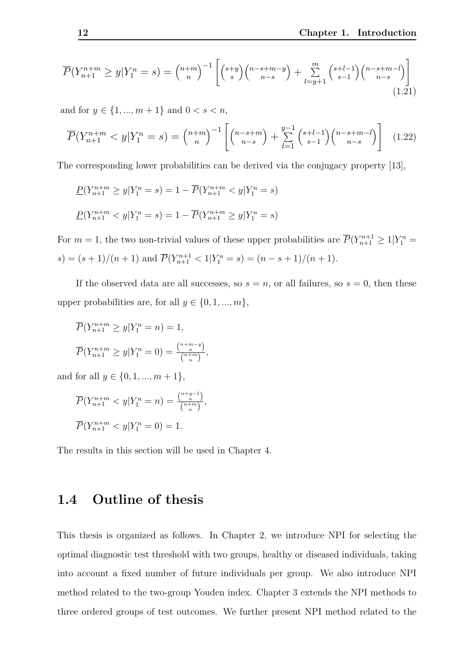$$
\overline{P}(Y_{n+1}^{n+m} \ge y | Y_1^n = s) = \binom{n+m}{n}^{-1} \left[ \binom{s+y}{s} \binom{n-s+m-y}{n-s} + \sum_{l=y+1}^m \binom{s+l-1}{s-1} \binom{n-s+m-l}{n-s} \right]
$$
\n(1.21)

and for  $y \in \{1, ..., m + 1\}$  and  $0 < s < n$ ,

$$
\overline{P}(Y_{n+1}^{n+m} < y | Y_1^n = s) = \binom{n+m}{n}^{-1} \left[ \binom{n-s+m}{n-s} + \sum_{l=1}^{y-1} \binom{s+l-1}{s-1} \binom{n-s+m-l}{n-s} \right] \tag{1.22}
$$

The corresponding lower probabilities can be derived via the conjugacy property [\[13\]](#page-100-6),

$$
P(Y_{n+1}^{n+m} \ge y | Y_1^n = s) = 1 - \overline{P}(Y_{n+1}^{n+m} < y | Y_1^n = s)
$$
\n
$$
P(Y_{n+1}^{n+m} < y | Y_1^n = s) = 1 - \overline{P}(Y_{n+1}^{n+m} \ge y | Y_1^n = s)
$$

For  $m = 1$ , the two non-trivial values of these upper probabilities are  $\overline{P}(Y_{n+1}^{n+1} \geq 1 | Y_1^n =$  $s$ ) =  $(s + 1)/(n + 1)$  and  $\overline{P}(Y_{n+1}^{n+1} < 1 | Y_1^n = s) = (n - s + 1)/(n + 1)$ .

If the observed data are all successes, so  $s = n$ , or all failures, so  $s = 0$ , then these upper probabilities are, for all  $y \in \{0, 1, ..., m\}$ ,

$$
\overline{P}(Y_{n+1}^{n+m} \ge y | Y_1^n = n) = 1,
$$
  

$$
\overline{P}(Y_{n+1}^{n+m} \ge y | Y_1^n = 0) = \frac{\binom{n+m-y}{n}}{\binom{n+m}{n}},
$$

and for all  $y \in \{0, 1, ..., m + 1\}$ ,

$$
\overline{P}(Y_{n+1}^{n+m} < y | Y_1^n = n) = \frac{\binom{n+y-1}{n}}{\binom{n+m}{n}},
$$
\n
$$
\overline{P}(Y_{n+1}^{n+m} < y | Y_1^n = 0) = 1.
$$

The results in this section will be used in Chapter [4.](#page-72-0)

### <span id="page-17-0"></span>**1.4 Outline of thesis**

This thesis is organized as follows. In Chapter 2, we introduce NPI for selecting the optimal diagnostic test threshold with two groups, healthy or diseased individuals, taking into account a fixed number of future individuals per group. We also introduce NPI method related to the two-group Youden index. Chapter 3 extends the NPI methods to three ordered groups of test outcomes. We further present NPI method related to the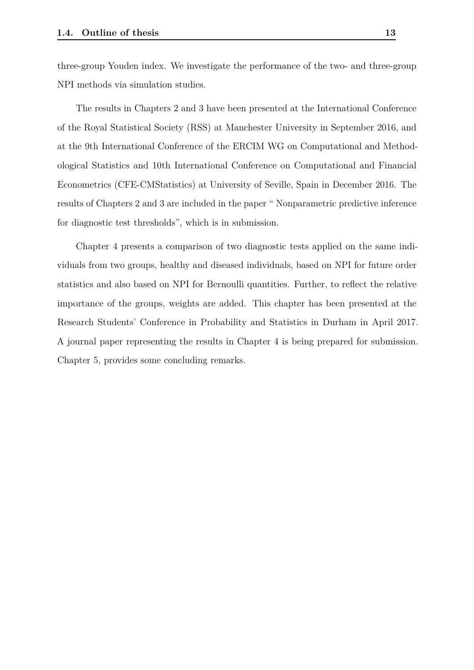three-group Youden index. We investigate the performance of the two- and three-group NPI methods via simulation studies.

The results in Chapters 2 and 3 have been presented at the International Conference of the Royal Statistical Society (RSS) at Manchester University in September 2016, and at the 9th International Conference of the ERCIM WG on Computational and Methodological Statistics and 10th International Conference on Computational and Financial Econometrics (CFE-CMStatistics) at University of Seville, Spain in December 2016. The results of Chapters 2 and 3 are included in the paper " Nonparametric predictive inference for diagnostic test thresholds", which is in submission.

Chapter 4 presents a comparison of two diagnostic tests applied on the same individuals from two groups, healthy and diseased individuals, based on NPI for future order statistics and also based on NPI for Bernoulli quantities. Further, to reflect the relative importance of the groups, weights are added. This chapter has been presented at the Research Students' Conference in Probability and Statistics in Durham in April 2017. A journal paper representing the results in Chapter 4 is being prepared for submission. Chapter 5, provides some concluding remarks.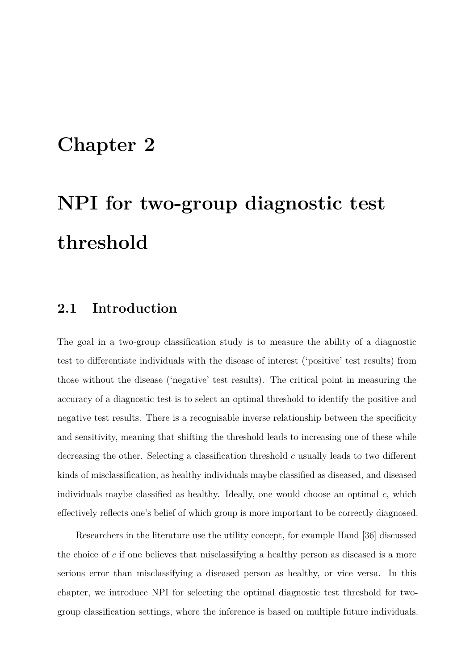## <span id="page-19-0"></span>**Chapter 2**

# **NPI for two-group diagnostic test threshold**

## <span id="page-19-1"></span>**2.1 Introduction**

The goal in a two-group classification study is to measure the ability of a diagnostic test to differentiate individuals with the disease of interest ('positive' test results) from those without the disease ('negative' test results). The critical point in measuring the accuracy of a diagnostic test is to select an optimal threshold to identify the positive and negative test results. There is a recognisable inverse relationship between the specificity and sensitivity, meaning that shifting the threshold leads to increasing one of these while decreasing the other. Selecting a classification threshold *c* usually leads to two different kinds of misclassification, as healthy individuals maybe classified as diseased, and diseased individuals maybe classified as healthy. Ideally, one would choose an optimal *c*, which effectively reflects one's belief of which group is more important to be correctly diagnosed.

Researchers in the literature use the utility concept, for example Hand [\[36\]](#page-102-8) discussed the choice of *c* if one believes that misclassifying a healthy person as diseased is a more serious error than misclassifying a diseased person as healthy, or vice versa. In this chapter, we introduce NPI for selecting the optimal diagnostic test threshold for twogroup classification settings, where the inference is based on multiple future individuals.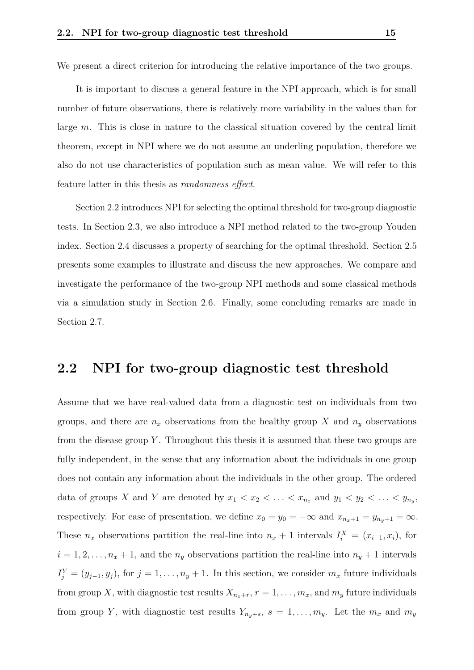We present a direct criterion for introducing the relative importance of the two groups.

It is important to discuss a general feature in the NPI approach, which is for small number of future observations, there is relatively more variability in the values than for large *m*. This is close in nature to the classical situation covered by the central limit theorem, except in NPI where we do not assume an underling population, therefore we also do not use characteristics of population such as mean value. We will refer to this feature latter in this thesis as *randomness effect*.

Section [2.2](#page-20-0) introduces NPI for selecting the optimal threshold for two-group diagnostic tests. In Section [2.3,](#page-24-0) we also introduce a NPI method related to the two-group Youden index. Section [2.4](#page-24-1) discusses a property of searching for the optimal threshold. Section [2.5](#page-25-0) presents some examples to illustrate and discuss the new approaches. We compare and investigate the performance of the two-group NPI methods and some classical methods via a simulation study in Section [2.6.](#page-29-0) Finally, some concluding remarks are made in Section [2.7.](#page-37-0)

### <span id="page-20-0"></span>**2.2 NPI for two-group diagnostic test threshold**

Assume that we have real-valued data from a diagnostic test on individuals from two groups, and there are  $n_x$  observations from the healthy group X and  $n_y$  observations from the disease group *Y* . Throughout this thesis it is assumed that these two groups are fully independent, in the sense that any information about the individuals in one group does not contain any information about the individuals in the other group. The ordered data of groups *X* and *Y* are denoted by  $x_1 < x_2 < \ldots < x_{n_x}$  and  $y_1 < y_2 < \ldots < y_{n_y}$ , respectively. For ease of presentation, we define  $x_0 = y_0 = -\infty$  and  $x_{n_x+1} = y_{n_y+1} = \infty$ . These  $n_x$  observations partition the real-line into  $n_x + 1$  intervals  $I_i^X = (x_{i-1}, x_i)$ , for  $i = 1, 2, \ldots, n_x + 1$ , and the  $n_y$  observations partition the real-line into  $n_y + 1$  intervals  $I_j^Y = (y_{j-1}, y_j)$ , for  $j = 1, \ldots, n_y + 1$ . In this section, we consider  $m_x$  future individuals from group *X*, with diagnostic test results  $X_{n_x+r}$ ,  $r = 1, \ldots, m_x$ , and  $m_y$  future individuals from group *Y*, with diagnostic test results  $Y_{n_y+s}$ ,  $s = 1, \ldots, m_y$ . Let the  $m_x$  and  $m_y$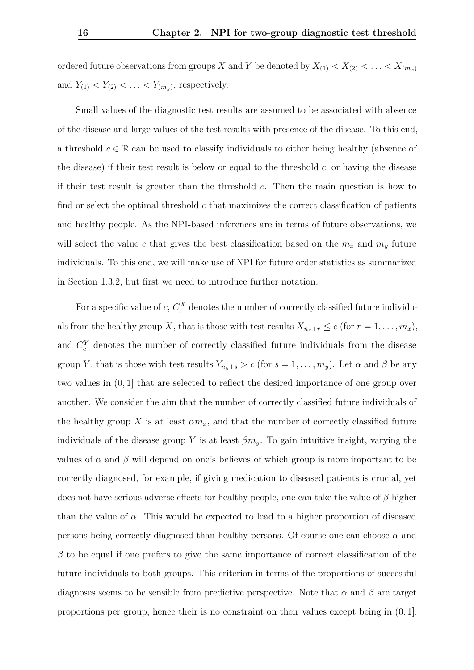ordered future observations from groups *X* and *Y* be denoted by  $X_{(1)} < X_{(2)} < \ldots < X_{(m_x)}$ and  $Y_{(1)} < Y_{(2)} < \ldots < Y_{(m_y)}$ , respectively.

Small values of the diagnostic test results are assumed to be associated with absence of the disease and large values of the test results with presence of the disease. To this end, a threshold  $c \in \mathbb{R}$  can be used to classify individuals to either being healthy (absence of the disease) if their test result is below or equal to the threshold *c*, or having the disease if their test result is greater than the threshold *c*. Then the main question is how to find or select the optimal threshold *c* that maximizes the correct classification of patients and healthy people. As the NPI-based inferences are in terms of future observations, we will select the value *c* that gives the best classification based on the  $m_x$  and  $m_y$  future individuals. To this end, we will make use of NPI for future order statistics as summarized in Section [1.3.2,](#page-15-0) but first we need to introduce further notation.

For a specific value of  $c, C_c^X$  denotes the number of correctly classified future individuals from the healthy group *X*, that is those with test results  $X_{n_x+r} \leq c$  (for  $r = 1, \ldots, m_x$ ), and  $C_c^Y$  denotes the number of correctly classified future individuals from the disease group *Y*, that is those with test results  $Y_{n_y+s} > c$  (for  $s = 1, \ldots, m_y$ ). Let  $\alpha$  and  $\beta$  be any two values in (0*,* 1] that are selected to reflect the desired importance of one group over another. We consider the aim that the number of correctly classified future individuals of the healthy group X is at least  $\alpha m_x$ , and that the number of correctly classified future individuals of the disease group *Y* is at least  $\beta m_{y}$ . To gain intuitive insight, varying the values of  $\alpha$  and  $\beta$  will depend on one's believes of which group is more important to be correctly diagnosed, for example, if giving medication to diseased patients is crucial, yet does not have serious adverse effects for healthy people, one can take the value of *β* higher than the value of  $\alpha$ . This would be expected to lead to a higher proportion of diseased persons being correctly diagnosed than healthy persons. Of course one can choose  $\alpha$  and  $β$  to be equal if one prefers to give the same importance of correct classification of the future individuals to both groups. This criterion in terms of the proportions of successful diagnoses seems to be sensible from predictive perspective. Note that  $\alpha$  and  $\beta$  are target proportions per group, hence their is no constraint on their values except being in (0*,* 1].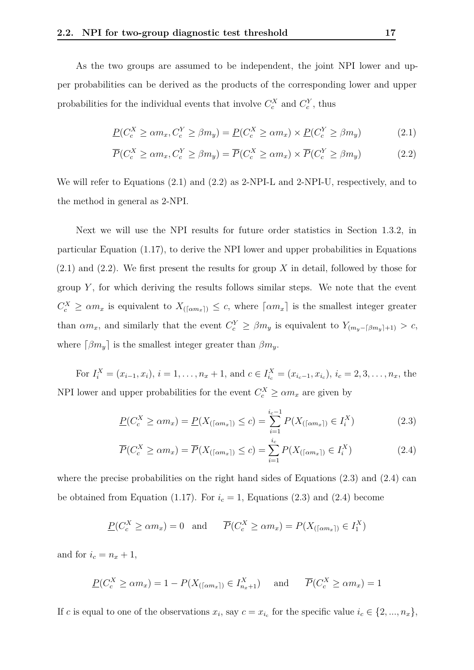As the two groups are assumed to be independent, the joint NPI lower and upper probabilities can be derived as the products of the corresponding lower and upper probabilities for the individual events that involve  $C_c^X$  and  $C_c^Y$ , thus

<span id="page-22-0"></span>
$$
\underline{P}(C_c^X \ge \alpha m_x, C_c^Y \ge \beta m_y) = \underline{P}(C_c^X \ge \alpha m_x) \times \underline{P}(C_c^Y \ge \beta m_y)
$$
\n(2.1)

<span id="page-22-1"></span>
$$
\overline{P}(C_c^X \ge \alpha m_x, C_c^Y \ge \beta m_y) = \overline{P}(C_c^X \ge \alpha m_x) \times \overline{P}(C_c^Y \ge \beta m_y)
$$
\n(2.2)

We will refer to Equations  $(2.1)$  and  $(2.2)$  as 2-NPI-L and 2-NPI-U, respectively, and to the method in general as 2-NPI.

Next we will use the NPI results for future order statistics in Section [1.3.2,](#page-15-0) in particular Equation [\(1.17\)](#page-15-2), to derive the NPI lower and upper probabilities in Equations [\(2.1\)](#page-22-0) and [\(2.2\)](#page-22-1). We first present the results for group *X* in detail, followed by those for group *Y* , for which deriving the results follows similar steps. We note that the event  $C_c^X \geq \alpha m_x$  is equivalent to  $X_{(\lceil \alpha m_x \rceil)} \leq c$ , where  $\lceil \alpha m_x \rceil$  is the smallest integer greater than  $\alpha m_x$ , and similarly that the event  $C_c^Y \geq \beta m_y$  is equivalent to  $Y_{(m_y - \lceil \beta m_y \rceil + 1)} > c$ , where  $\lceil \beta m_y \rceil$  is the smallest integer greater than  $\beta m_y$ .

For  $I_i^X = (x_{i-1}, x_i)$ ,  $i = 1, ..., n_x + 1$ , and  $c \in I_{i_c}^X = (x_{i_c-1}, x_{i_c})$ ,  $i_c = 2, 3, ..., n_x$ , the NPI lower and upper probabilities for the event  $C_c^X \ge \alpha m_x$  are given by

<span id="page-22-2"></span>
$$
\underline{P}(C_c^X \ge \alpha m_x) = \underline{P}(X_{(\lceil \alpha m_x \rceil)} \le c) = \sum_{i=1}^{i_c - 1} P(X_{(\lceil \alpha m_x \rceil)} \in I_i^X)
$$
\n(2.3)

<span id="page-22-3"></span>
$$
\overline{P}(C_c^X \ge \alpha m_x) = \overline{P}(X_{(\lceil \alpha m_x \rceil)} \le c) = \sum_{i=1}^{i_c} P(X_{(\lceil \alpha m_x \rceil)} \in I_i^X)
$$
\n(2.4)

where the precise probabilities on the right hand sides of Equations  $(2.3)$  and  $(2.4)$  can be obtained from Equation [\(1.17\)](#page-15-2). For  $i_c = 1$ , Equations [\(2.3\)](#page-22-2) and [\(2.4\)](#page-22-3) become

$$
\underline{P}(C_c^X \ge \alpha m_x) = 0 \text{ and } \overline{P}(C_c^X \ge \alpha m_x) = P(X_{(\lceil \alpha m_x \rceil)} \in I_1^X)
$$

and for  $i_c = n_x + 1$ ,

$$
\underline{P}(C_c^X \ge \alpha m_x) = 1 - P(X_{(\lceil \alpha m_x \rceil)} \in I_{n_x+1}^X) \quad \text{and} \quad \overline{P}(C_c^X \ge \alpha m_x) = 1
$$

If *c* is equal to one of the observations  $x_i$ , say  $c = x_{i_c}$  for the specific value  $i_c \in \{2, ..., n_x\}$ ,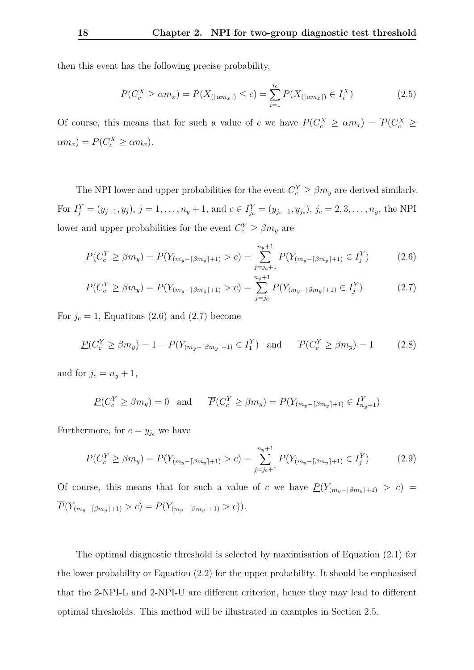then this event has the following precise probability,

$$
P(C_c^X \ge \alpha m_x) = P(X_{(\lceil \alpha m_x \rceil)} \le c) = \sum_{i=1}^{i_c} P(X_{(\lceil \alpha m_x \rceil)} \in I_i^X)
$$
 (2.5)

Of course, this means that for such a value of *c* we have  $\underline{P}(C_c^X \ge \alpha m_x) = \overline{P}(C_c^X \ge$  $a_m$   $P(C_c^X \geq \alpha m_x)$ .

The NPI lower and upper probabilities for the event  $C_c^Y \ge \beta m_y$  are derived similarly. For  $I_j^Y = (y_{j-1}, y_j)$ ,  $j = 1, ..., n_y + 1$ , and  $c \in I_{j_c}^Y = (y_{j_c-1}, y_{j_c})$ ,  $j_c = 2, 3, ..., n_y$ , the NPI lower and upper probabilities for the event  $C_c^Y \geq \beta m_y$  are

<span id="page-23-1"></span><span id="page-23-0"></span>
$$
\underline{P}(C_c^Y \ge \beta m_y) = \underline{P}(Y_{(m_y - \lceil \beta m_y \rceil + 1)} > c) = \sum_{j=j_c+1}^{n_y+1} P(Y_{(m_y - \lceil \beta m_y \rceil + 1)} \in I_j^Y) \tag{2.6}
$$

$$
\overline{P}(C_c^Y \ge \beta m_y) = \overline{P}(Y_{(m_y - \lceil \beta m_y \rceil + 1)} > c) = \sum_{j=j_c}^{n_y + 1} P(Y_{(m_y - \lceil \beta m_y \rceil + 1)} \in I_j^Y) \tag{2.7}
$$

For  $j_c = 1$ , Equations [\(2.6\)](#page-23-0) and [\(2.7\)](#page-23-1) become

$$
\underline{P}(C_c^Y \ge \beta m_y) = 1 - P(Y_{(m_y - \lceil \beta m_y \rceil + 1)} \in I_1^Y) \text{ and } \overline{P}(C_c^Y \ge \beta m_y) = 1 \quad (2.8)
$$

and for  $j_c = n_y + 1$ ,

$$
\underline{P}(C_c^Y \ge \beta m_y) = 0 \text{ and } \overline{P}(C_c^Y \ge \beta m_y) = P(Y_{(m_y - \lceil \beta m_y \rceil + 1)} \in I_{n_y+1}^Y)
$$

Furthermore, for  $c = y_{j_c}$  we have

$$
P(C_c^Y \ge \beta m_y) = P(Y_{(m_y - \lceil \beta m_y \rceil + 1)} > c) = \sum_{j=j_c+1}^{n_y+1} P(Y_{(m_y - \lceil \beta m_y \rceil + 1)} \in I_j^Y) \tag{2.9}
$$

Of course, this means that for such a value of *c* we have  $P(Y_{(m_y - \lceil \beta m_y \rceil + 1)} > c)$  $\overline{P}(Y_{(m_y - \lceil \beta m_y \rceil + 1)} > c) = P(Y_{(m_y - \lceil \beta m_y \rceil + 1)} > c)).$ 

The optimal diagnostic threshold is selected by maximisation of Equation [\(2.1\)](#page-22-0) for the lower probability or Equation [\(2.2\)](#page-22-1) for the upper probability. It should be emphasised that the 2-NPI-L and 2-NPI-U are different criterion, hence they may lead to different optimal thresholds. This method will be illustrated in examples in Section [2.5.](#page-25-0)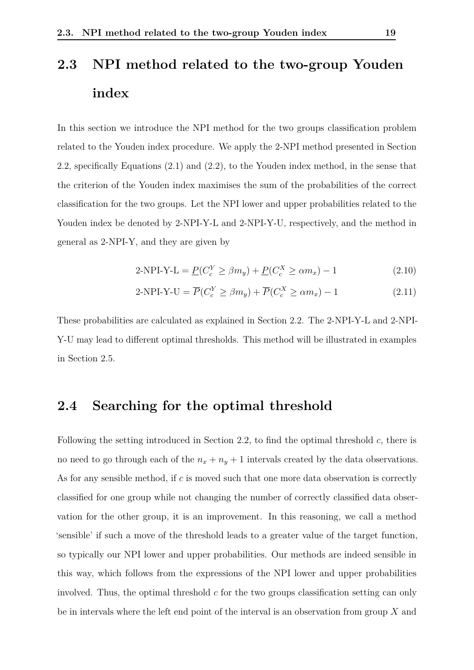# <span id="page-24-0"></span>**2.3 NPI method related to the two-group Youden index**

In this section we introduce the NPI method for the two groups classification problem related to the Youden index procedure. We apply the 2-NPI method presented in Section [2.2,](#page-20-0) specifically Equations [\(2.1\)](#page-22-0) and [\(2.2\)](#page-22-1), to the Youden index method, in the sense that the criterion of the Youden index maximises the sum of the probabilities of the correct classification for the two groups. Let the NPI lower and upper probabilities related to the Youden index be denoted by 2-NPI-Y-L and 2-NPI-Y-U, respectively, and the method in general as 2-NPI-Y, and they are given by

<span id="page-24-2"></span>
$$
2-NPI-Y-L = \underline{P}(C_c^Y \ge \beta m_y) + \underline{P}(C_c^X \ge \alpha m_x) - 1 \tag{2.10}
$$

$$
2-NPI-Y-U = \overline{P}(C_c^Y \ge \beta m_y) + \overline{P}(C_c^X \ge \alpha m_x) - 1 \tag{2.11}
$$

These probabilities are calculated as explained in Section [2.2.](#page-20-0) The 2-NPI-Y-L and 2-NPI-Y-U may lead to different optimal thresholds. This method will be illustrated in examples in Section [2.5.](#page-25-0)

## <span id="page-24-1"></span>**2.4 Searching for the optimal threshold**

Following the setting introduced in Section [2.2,](#page-20-0) to find the optimal threshold *c*, there is no need to go through each of the  $n_x + n_y + 1$  intervals created by the data observations. As for any sensible method, if *c* is moved such that one more data observation is correctly classified for one group while not changing the number of correctly classified data observation for the other group, it is an improvement. In this reasoning, we call a method 'sensible' if such a move of the threshold leads to a greater value of the target function, so typically our NPI lower and upper probabilities. Our methods are indeed sensible in this way, which follows from the expressions of the NPI lower and upper probabilities involved. Thus, the optimal threshold *c* for the two groups classification setting can only be in intervals where the left end point of the interval is an observation from group *X* and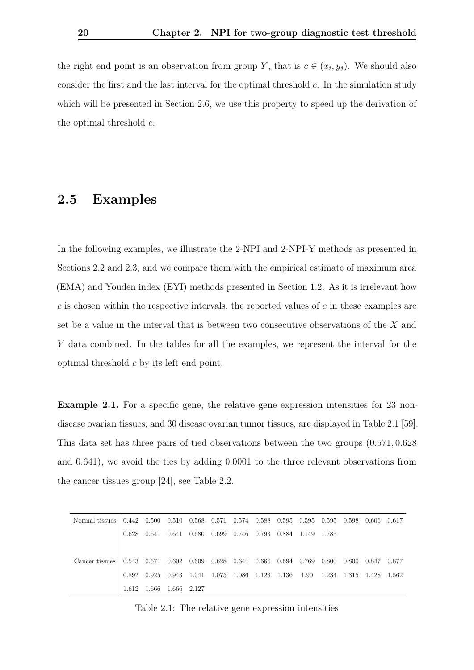the right end point is an observation from group *Y*, that is  $c \in (x_i, y_j)$ . We should also consider the first and the last interval for the optimal threshold *c*. In the simulation study which will be presented in Section [2.6,](#page-29-0) we use this property to speed up the derivation of the optimal threshold *c*.

### <span id="page-25-0"></span>**2.5 Examples**

In the following examples, we illustrate the 2-NPI and 2-NPI-Y methods as presented in Sections [2.2](#page-20-0) and [2.3,](#page-24-0) and we compare them with the empirical estimate of maximum area (EMA) and Youden index (EYI) methods presented in Section [1.2.](#page-10-0) As it is irrelevant how *c* is chosen within the respective intervals, the reported values of *c* in these examples are set be a value in the interval that is between two consecutive observations of the *X* and *Y* data combined. In the tables for all the examples, we represent the interval for the optimal threshold *c* by its left end point.

<span id="page-25-2"></span>**Example 2.1.** For a specific gene, the relative gene expression intensities for 23 nondisease ovarian tissues, and 30 disease ovarian tumor tissues, are displayed in Table [2.1](#page-25-1) [\[59\]](#page-105-1). This data set has three pairs of tied observations between the two groups (0*.*571*,* 0*.*628 and 0*.*641), we avoid the ties by adding 0*.*0001 to the three relevant observations from the cancer tissues group [\[24\]](#page-101-1), see Table [2.2.](#page-26-0)

<span id="page-25-1"></span>

| Normal tissues l |       |                                                 |  |               |                   |             | $\mid$ 0.442  0.500  0.510  0.568  0.571  0.574  0.588  0.595  0.595  0.595  0.598  0.606  0.617                                           |             |  |
|------------------|-------|-------------------------------------------------|--|---------------|-------------------|-------------|--------------------------------------------------------------------------------------------------------------------------------------------|-------------|--|
|                  | 0.628 | $0.641$ $0.641$ $0.680$ $0.699$ $0.746$ $0.793$ |  |               | 0.884 1.149 1.785 |             |                                                                                                                                            |             |  |
|                  |       |                                                 |  |               |                   |             |                                                                                                                                            |             |  |
| Cancer tissues   |       | $0.543$ $0.571$ $0.602$ $0.609$ $0.628$         |  | $0.641$ 0.666 | 0.694 0.769       | 0.800 0.800 |                                                                                                                                            | 0.847 0.877 |  |
|                  | 0.892 |                                                 |  |               |                   |             | $0.925 \quad 0.943 \quad 1.041 \quad 1.075 \quad 1.086 \quad 1.123 \quad 1.136 \quad 1.90 \quad 1.234 \quad 1.315 \quad 1.428 \quad 1.562$ |             |  |
|                  |       | 1.612 1.666 1.666 2.127                         |  |               |                   |             |                                                                                                                                            |             |  |

Table 2.1: The relative gene expression intensities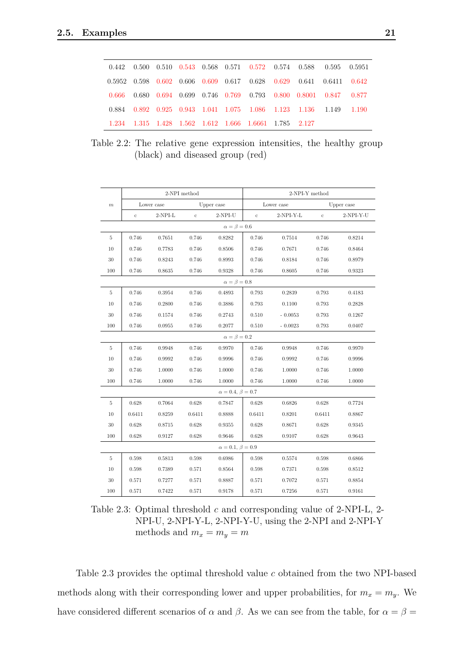<span id="page-26-0"></span>

|  |  |  |                                                             |  | $0.442$ $0.500$ $0.510$ $0.543$ $0.568$ $0.571$ $0.572$ $0.574$ $0.588$ $0.595$ $0.5951$  |       |
|--|--|--|-------------------------------------------------------------|--|-------------------------------------------------------------------------------------------|-------|
|  |  |  |                                                             |  | $0.5952$ $0.598$ $0.602$ $0.606$ $0.609$ $0.617$ $0.628$ $0.629$ $0.641$ $0.6411$ $0.642$ |       |
|  |  |  |                                                             |  | 0.666 0.680 0.694 0.699 0.746 0.769 0.793 0.800 0.8001 0.847 0.877                        |       |
|  |  |  | 0.884 0.892 0.925 0.943 1.041 1.075 1.086 1.123 1.136 1.149 |  |                                                                                           | 1.190 |
|  |  |  | 1.234 1.315 1.428 1.562 1.612 1.666 1.6661 1.785 2.127      |  |                                                                                           |       |

Table 2.2: The relative gene expression intensities, the healthy group (black) and diseased group (red)

<span id="page-26-1"></span>

|       |             |            | 2-NPI method |                                | 2-NPI-Y method |             |          |            |  |
|-------|-------------|------------|--------------|--------------------------------|----------------|-------------|----------|------------|--|
| $\,m$ |             | Lower case |              | Upper case                     |                | Lower case  |          | Upper case |  |
|       | $\mathbf c$ | $2-NPI-L$  | $\mathbf c$  | $2-NPI-U$                      | $\rm ^{c}$     | $2-NPI-Y-L$ | $\rm ^c$ | 2-NPI-Y-U  |  |
|       |             |            |              | $\alpha=\beta=0.6$             |                |             |          |            |  |
| 5     | 0.746       | 0.7651     | 0.746        | 0.8282                         | 0.746          | 0.7514      | 0.746    | 0.8214     |  |
| 10    | 0.746       | 0.7783     | 0.746        | 0.8506                         | 0.746          | 0.7671      | 0.746    | 0.8464     |  |
| 30    | 0.746       | 0.8243     | 0.746        | 0.8993                         | 0.746          | 0.8184      | 0.746    | 0.8979     |  |
| 100   | 0.746       | 0.8635     | 0.746        | 0.9328                         | 0.746          | 0.8605      | 0.746    | 0.9323     |  |
|       |             |            |              | $\alpha = \beta = 0.8$         |                |             |          |            |  |
| 5     | 0.746       | 0.3954     | 0.746        | 0.4893                         | 0.793          | 0.2839      | 0.793    | 0.4183     |  |
| 10    | 0.746       | 0.2800     | 0.746        | 0.3886                         | 0.793          | 0.1100      | 0.793    | 0.2828     |  |
| 30    | 0.746       | 0.1574     | 0.746        | 0.2743                         | 0.510          | $-0.0053$   | 0.793    | 0.1267     |  |
| 100   | 0.746       | 0.0955     | 0.746        | 0.2077                         | 0.510          | $-0.0023$   | 0.793    | 0.0407     |  |
|       |             |            |              | $\alpha = \beta = 0.2$         |                |             |          |            |  |
| 5     | 0.746       | 0.9948     | 0.746        | 0.9970                         | 0.746          | 0.9948      | 0.746    | 0.9970     |  |
| 10    | 0.746       | 0.9992     | 0.746        | 0.9996                         | 0.746          | 0.9992      | 0.746    | 0.9996     |  |
| 30    | 0.746       | 1.0000     | 0.746        | 1.0000                         | 0.746          | 1.0000      | 0.746    | 1.0000     |  |
| 100   | 0.746       | 1.0000     | 0.746        | 1.0000                         | 0.746          | 1.0000      | 0.746    | 1.0000     |  |
|       |             |            |              | $\alpha = 0.4, \, \beta = 0.7$ |                |             |          |            |  |
| 5     | 0.628       | 0.7064     | 0.628        | 0.7847                         | 0.628          | 0.6826      | 0.628    | 0.7724     |  |
| 10    | 0.6411      | 0.8259     | 0.6411       | 0.8888                         | 0.6411         | 0.8201      | 0.6411   | 0.8867     |  |
| 30    | 0.628       | 0.8715     | 0.628        | 0.9355                         | 0.628          | 0.8671      | 0.628    | 0.9345     |  |
| 100   | 0.628       | 0.9127     | 0.628        | 0.9646                         | 0.628          | 0.9107      | 0.628    | 0.9643     |  |
|       |             |            |              | $\alpha = 0.1, \beta = 0.9$    |                |             |          |            |  |
| 5     | 0.598       | 0.5813     | 0.598        | 0.6986                         | 0.598          | 0.5574      | 0.598    | 0.6866     |  |
| 10    | 0.598       | 0.7389     | 0.571        | 0.8564                         | 0.598          | 0.7371      | 0.598    | 0.8512     |  |
| 30    | 0.571       | 0.7277     | 0.571        | 0.8887                         | 0.571          | 0.7072      | 0.571    | 0.8854     |  |
| 100   | 0.571       | 0.7422     | 0.571        | 0.9178                         | 0.571          | 0.7256      | 0.571    | 0.9161     |  |

Table 2.3: Optimal threshold *c* and corresponding value of 2-NPI-L, 2- NPI-U, 2-NPI-Y-L, 2-NPI-Y-U, using the 2-NPI and 2-NPI-Y methods and  $m_x = m_y = m$ 

Table [2.3](#page-26-1) provides the optimal threshold value *c* obtained from the two NPI-based methods along with their corresponding lower and upper probabilities, for  $m_x = m_y$ . We have considered different scenarios of  $\alpha$  and  $\beta$ . As we can see from the table, for  $\alpha = \beta =$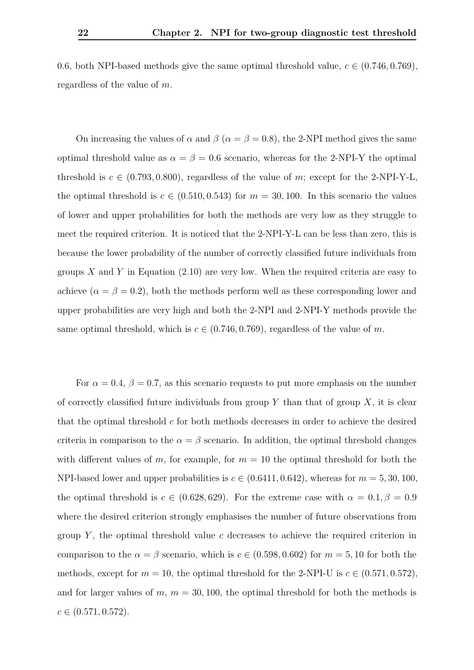0.6, both NPI-based methods give the same optimal threshold value,  $c \in (0.746, 0.769)$ , regardless of the value of *m*.

On increasing the values of  $\alpha$  and  $\beta$  ( $\alpha = \beta = 0.8$ ), the 2-NPI method gives the same optimal threshold value as  $\alpha = \beta = 0.6$  scenario, whereas for the 2-NPI-Y the optimal threshold is  $c \in (0.793, 0.800)$ , regardless of the value of m; except for the 2-NPI-Y-L, the optimal threshold is  $c \in (0.510, 0.543)$  for  $m = 30, 100$ . In this scenario the values of lower and upper probabilities for both the methods are very low as they struggle to meet the required criterion. It is noticed that the 2-NPI-Y-L can be less than zero, this is because the lower probability of the number of correctly classified future individuals from groups *X* and *Y* in Equation [\(2.10\)](#page-24-2) are very low. When the required criteria are easy to achieve ( $\alpha = \beta = 0.2$ ), both the methods perform well as these corresponding lower and upper probabilities are very high and both the 2-NPI and 2-NPI-Y methods provide the same optimal threshold, which is  $c \in (0.746, 0.769)$ , regardless of the value of *m*.

For  $\alpha = 0.4$ ,  $\beta = 0.7$ , as this scenario requests to put more emphasis on the number of correctly classified future individuals from group  $Y$  than that of group  $X$ , it is clear that the optimal threshold *c* for both methods decreases in order to achieve the desired criteria in comparison to the  $\alpha = \beta$  scenario. In addition, the optimal threshold changes with different values of *m*, for example, for  $m = 10$  the optimal threshold for both the NPI-based lower and upper probabilities is  $c \in (0.6411, 0.642)$ , whereas for  $m = 5, 30, 100$ , the optimal threshold is  $c \in (0.628, 629)$ . For the extreme case with  $\alpha = 0.1, \beta = 0.9$ where the desired criterion strongly emphasises the number of future observations from group  $Y$ , the optimal threshold value  $c$  decreases to achieve the required criterion in comparison to the  $\alpha = \beta$  scenario, which is  $c \in (0.598, 0.602)$  for  $m = 5, 10$  for both the methods, except for  $m = 10$ , the optimal threshold for the 2-NPI-U is  $c \in (0.571, 0.572)$ , and for larger values of  $m$ ,  $m = 30, 100$ , the optimal threshold for both the methods is  $c \in (0.571, 0.572)$ .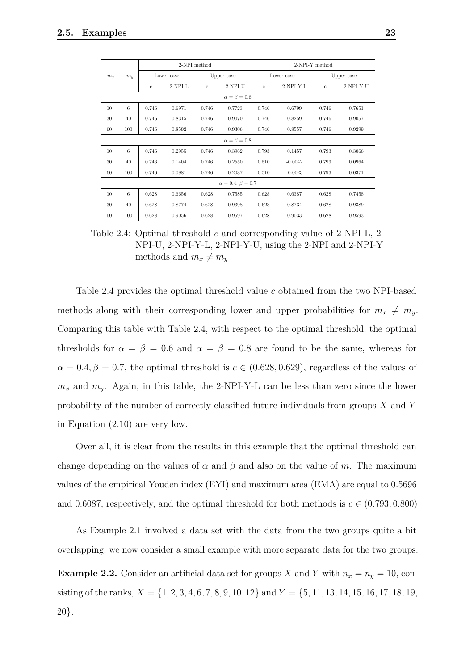<span id="page-28-0"></span>

|                |                |              |            | 2-NPI method |                             | 2-NPI-Y method |             |              |             |  |
|----------------|----------------|--------------|------------|--------------|-----------------------------|----------------|-------------|--------------|-------------|--|
| m <sub>x</sub> | m <sub>y</sub> |              | Lower case |              | Upper case                  |                | Lower case  | Upper case   |             |  |
|                |                | $\mathbf{c}$ | $2-NPI-L$  | $\mathbf{c}$ | $2-NPI-U$                   | $\mathbf{c}$   | $2-NPI-Y-L$ | $\mathbf{c}$ | $2-NPI-Y-U$ |  |
|                |                |              |            |              | $\alpha = \beta = 0.6$      |                |             |              |             |  |
| 10             | 6              | 0.746        | 0.6971     | 0.746        | 0.7723                      | 0.746          | 0.6799      | 0.746        | 0.7651      |  |
| 30             | 40             | 0.746        | 0.8315     | 0.746        | 0.9070                      | 0.746          | 0.8259      | 0.746        | 0.9057      |  |
| 60             | 100            | 0.746        | 0.8592     | 0.746        | 0.9306                      | 0.746          | 0.8557      | 0.746        | 0.9299      |  |
|                |                |              |            |              | $\alpha = \beta = 0.8$      |                |             |              |             |  |
| 10             | 6              | 0.746        | 0.2955     | 0.746        | 0.3962                      | 0.793          | 0.1457      | 0.793        | 0.3066      |  |
| 30             | 40             | 0.746        | 0.1404     | 0.746        | 0.2550                      | 0.510          | $-0.0042$   | 0.793        | 0.0964      |  |
| 60             | 100            | 0.746        | 0.0981     | 0.746        | 0.2087                      | 0.510          | $-0.0023$   | 0.793        | 0.0371      |  |
|                |                |              |            |              | $\alpha = 0.4, \beta = 0.7$ |                |             |              |             |  |
| 10             | 6              | 0.628        | 0.6656     | 0.628        | 0.7585                      | 0.628          | 0.6387      | 0.628        | 0.7458      |  |
| 30             | 40             | 0.628        | 0.8774     | 0.628        | 0.9398                      | 0.628          | 0.8734      | 0.628        | 0.9389      |  |
| 60             | 100            | 0.628        | 0.9056     | 0.628        | 0.9597                      | 0.628          | 0.9033      | 0.628        | 0.9593      |  |

Table 2.4: Optimal threshold *c* and corresponding value of 2-NPI-L, 2- NPI-U, 2-NPI-Y-L, 2-NPI-Y-U, using the 2-NPI and 2-NPI-Y methods and  $m_x \neq m_y$ 

Table [2.4](#page-28-0) provides the optimal threshold value *c* obtained from the two NPI-based methods along with their corresponding lower and upper probabilities for  $m_x \neq m_y$ . Comparing this table with Table [2.4,](#page-28-0) with respect to the optimal threshold, the optimal thresholds for  $\alpha = \beta = 0.6$  and  $\alpha = \beta = 0.8$  are found to be the same, whereas for  $\alpha = 0.4, \beta = 0.7$ , the optimal threshold is  $c \in (0.628, 0.629)$ , regardless of the values of  $m_x$  and  $m_y$ . Again, in this table, the 2-NPI-Y-L can be less than zero since the lower probability of the number of correctly classified future individuals from groups *X* and *Y* in Equation [\(2.10\)](#page-24-2) are very low.

Over all, it is clear from the results in this example that the optimal threshold can change depending on the values of  $\alpha$  and  $\beta$  and also on the value of *m*. The maximum values of the empirical Youden index (EYI) and maximum area (EMA) are equal to 0*.*5696 and 0.6087, respectively, and the optimal threshold for both methods is  $c \in (0.793, 0.800)$ 

As Example [2.1](#page-25-2) involved a data set with the data from the two groups quite a bit overlapping, we now consider a small example with more separate data for the two groups.

**Example 2.2.** Consider an artificial data set for groups *X* and *Y* with  $n_x = n_y = 10$ , consisting of the ranks, *X* = {1*,* 2*,* 3*,* 4*,* 6*,* 7*,* 8*,* 9*,* 10*,* 12} and *Y* = {5*,* 11*,* 13*,* 14*,* 15*,* 16*,* 17*,* 18*,* 19*,* 20}.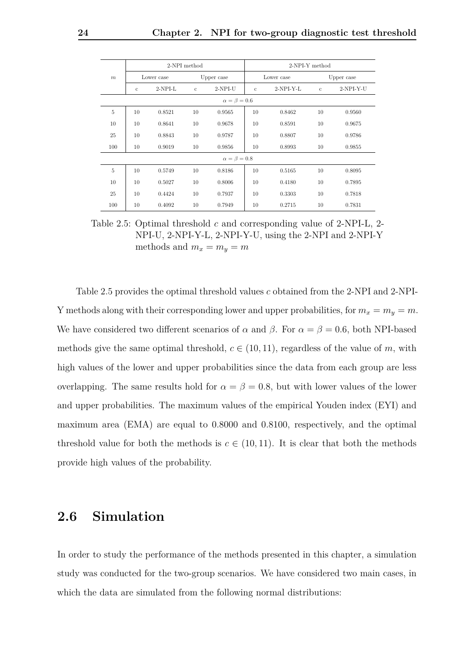<span id="page-29-1"></span>

|                  |              |           | 2-NPI method |                        | 2-NPI-Y method |             |              |             |  |  |  |
|------------------|--------------|-----------|--------------|------------------------|----------------|-------------|--------------|-------------|--|--|--|
| $\boldsymbol{m}$ | Lower case   |           |              | Upper case             |                | Lower case  | Upper case   |             |  |  |  |
|                  | $\mathbf{c}$ | $2-NPI-L$ | $\mathbf{c}$ | $2-NPI-U$              | $\mathbf{c}$   | $2-NPI-Y-L$ | $\mathbf{c}$ | $2-NPI-Y-U$ |  |  |  |
|                  |              |           |              | $\alpha = \beta = 0.6$ |                |             |              |             |  |  |  |
| 5                | 10           | 0.8521    | 10           | 0.9565                 | 10             | 0.8462      | 10           | 0.9560      |  |  |  |
| 10               | 10           | 0.8641    | 10           | 0.9678                 | 10             | 0.8591      | 10           | 0.9675      |  |  |  |
| 25               | 10           | 0.8843    | 10           | 0.9787                 | 10             | 0.8807      | 10           | 0.9786      |  |  |  |
| 100              | 10           | 0.9019    | 10           | 0.9856                 | 10             | 0.8993      | 10           | 0.9855      |  |  |  |
|                  |              |           |              | $\alpha = \beta = 0.8$ |                |             |              |             |  |  |  |
| $\overline{5}$   | 10           | 0.5749    | 10           | 0.8186                 | 10             | 0.5165      | 10           | 0.8095      |  |  |  |
| 10               | 10           | 0.5027    | 10           | 0.8006                 | 10             | 0.4180      | 10           | 0.7895      |  |  |  |
| 25               | 10           | 0.4424    | 10           | 0.7937                 | 10             | 0.3303      | 10           | 0.7818      |  |  |  |
| 100              | 10           | 0.4092    | 10           | 0.7949                 | 10             | 0.2715      | 10           | 0.7831      |  |  |  |

Table 2.5: Optimal threshold *c* and corresponding value of 2-NPI-L, 2- NPI-U, 2-NPI-Y-L, 2-NPI-Y-U, using the 2-NPI and 2-NPI-Y methods and  $m_x = m_y = m$ 

Table [2.5](#page-29-1) provides the optimal threshold values *c* obtained from the 2-NPI and 2-NPI-Y methods along with their corresponding lower and upper probabilities, for  $m_x = m_y = m$ . We have considered two different scenarios of  $\alpha$  and  $\beta$ . For  $\alpha = \beta = 0.6$ , both NPI-based methods give the same optimal threshold,  $c \in (10, 11)$ , regardless of the value of *m*, with high values of the lower and upper probabilities since the data from each group are less overlapping. The same results hold for  $\alpha = \beta = 0.8$ , but with lower values of the lower and upper probabilities. The maximum values of the empirical Youden index (EYI) and maximum area (EMA) are equal to 0*.*8000 and 0*.*8100, respectively, and the optimal threshold value for both the methods is  $c \in (10, 11)$ . It is clear that both the methods provide high values of the probability.

### <span id="page-29-0"></span>**2.6 Simulation**

In order to study the performance of the methods presented in this chapter, a simulation study was conducted for the two-group scenarios. We have considered two main cases, in which the data are simulated from the following normal distributions: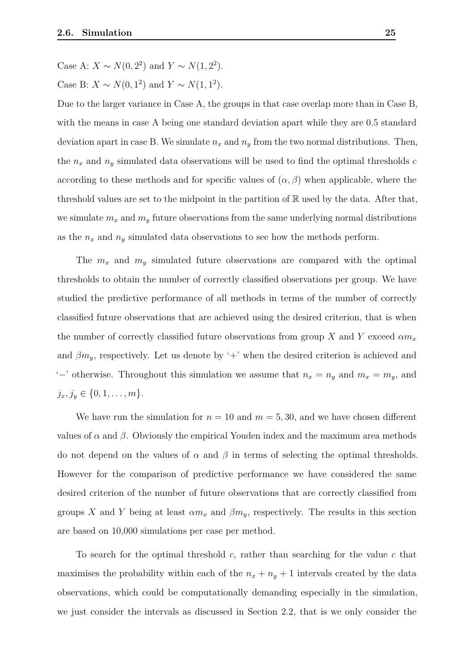Case B: *X* ∼ *N*(0*,* 1<sup>2</sup>) and *Y* ∼ *N*(1*,* 1<sup>2</sup>).

Due to the larger variance in Case A, the groups in that case overlap more than in Case B, with the means in case A being one standard deviation apart while they are 0*.*5 standard deviation apart in case B. We simulate  $n_x$  and  $n_y$  from the two normal distributions. Then, the *n<sup>x</sup>* and *n<sup>y</sup>* simulated data observations will be used to find the optimal thresholds *c* according to these methods and for specific values of  $(\alpha, \beta)$  when applicable, where the threshold values are set to the midpoint in the partition of  $\mathbb R$  used by the data. After that, we simulate  $m_x$  and  $m_y$  future observations from the same underlying normal distributions as the  $n_x$  and  $n_y$  simulated data observations to see how the methods perform.

The  $m_x$  and  $m_y$  simulated future observations are compared with the optimal thresholds to obtain the number of correctly classified observations per group. We have studied the predictive performance of all methods in terms of the number of correctly classified future observations that are achieved using the desired criterion, that is when the number of correctly classified future observations from group *X* and *Y* exceed  $\alpha m_x$ and  $\beta m_y$ , respectively. Let us denote by '+' when the desired criterion is achieved and '−' otherwise. Throughout this simulation we assume that  $n_x = n_y$  and  $m_x = m_y$ , and  $j_x, j_y \in \{0, 1, \ldots, m\}.$ 

We have run the simulation for  $n = 10$  and  $m = 5, 30$ , and we have chosen different values of  $\alpha$  and  $\beta$ . Obviously the empirical Youden index and the maximum area methods do not depend on the values of  $\alpha$  and  $\beta$  in terms of selecting the optimal thresholds. However for the comparison of predictive performance we have considered the same desired criterion of the number of future observations that are correctly classified from groups *X* and *Y* being at least  $\alpha m_x$  and  $\beta m_y$ , respectively. The results in this section are based on 10,000 simulations per case per method.

To search for the optimal threshold *c*, rather than searching for the value *c* that maximises the probability within each of the  $n_x + n_y + 1$  intervals created by the data observations, which could be computationally demanding especially in the simulation, we just consider the intervals as discussed in Section [2.2,](#page-20-0) that is we only consider the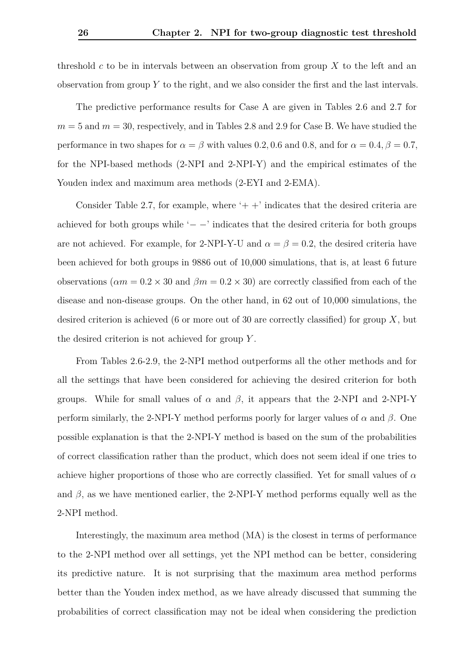threshold *c* to be in intervals between an observation from group *X* to the left and an observation from group *Y* to the right, and we also consider the first and the last intervals.

The predictive performance results for Case A are given in Tables [2.6](#page-33-0) and [2.7](#page-33-1) for  $m = 5$  and  $m = 30$ , respectively, and in Tables [2.8](#page-34-0) and [2.9](#page-34-1) for Case B. We have studied the performance in two shapes for  $\alpha = \beta$  with values 0.2, 0.6 and 0.8, and for  $\alpha = 0.4$ ,  $\beta = 0.7$ , for the NPI-based methods (2-NPI and 2-NPI-Y) and the empirical estimates of the Youden index and maximum area methods (2-EYI and 2-EMA).

Consider Table [2.7,](#page-33-1) for example, where  $+$  + indicates that the desired criteria are achieved for both groups while  $-$  −' indicates that the desired criteria for both groups are not achieved. For example, for 2-NPI-Y-U and  $\alpha = \beta = 0.2$ , the desired criteria have been achieved for both groups in 9886 out of 10,000 simulations, that is, at least 6 future observations ( $\alpha m = 0.2 \times 30$  and  $\beta m = 0.2 \times 30$ ) are correctly classified from each of the disease and non-disease groups. On the other hand, in 62 out of 10,000 simulations, the desired criterion is achieved (6 or more out of 30 are correctly classified) for group *X*, but the desired criterion is not achieved for group *Y* .

From Tables [2.6-](#page-33-0)[2.9,](#page-34-1) the 2-NPI method outperforms all the other methods and for all the settings that have been considered for achieving the desired criterion for both groups. While for small values of  $\alpha$  and  $\beta$ , it appears that the 2-NPI and 2-NPI-Y perform similarly, the 2-NPI-Y method performs poorly for larger values of *α* and *β*. One possible explanation is that the 2-NPI-Y method is based on the sum of the probabilities of correct classification rather than the product, which does not seem ideal if one tries to achieve higher proportions of those who are correctly classified. Yet for small values of *α* and  $\beta$ , as we have mentioned earlier, the 2-NPI-Y method performs equally well as the 2-NPI method.

Interestingly, the maximum area method (MA) is the closest in terms of performance to the 2-NPI method over all settings, yet the NPI method can be better, considering its predictive nature. It is not surprising that the maximum area method performs better than the Youden index method, as we have already discussed that summing the probabilities of correct classification may not be ideal when considering the prediction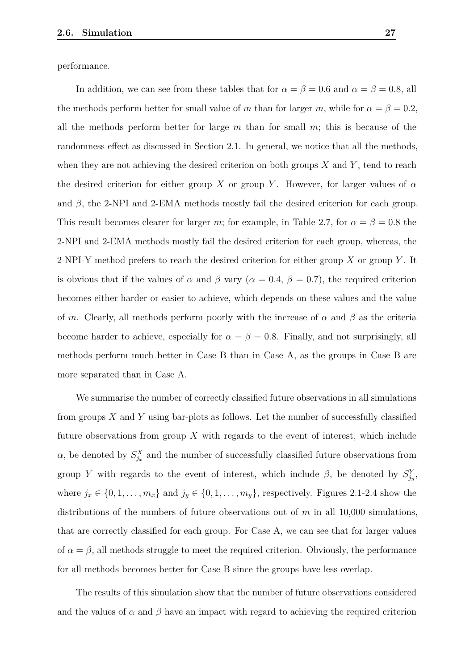performance.

In addition, we can see from these tables that for  $\alpha = \beta = 0.6$  and  $\alpha = \beta = 0.8$ , all the methods perform better for small value of *m* than for larger *m*, while for  $\alpha = \beta = 0.2$ , all the methods perform better for large *m* than for small *m*; this is because of the randomness effect as discussed in Section [2.1.](#page-19-1) In general, we notice that all the methods, when they are not achieving the desired criterion on both groups *X* and *Y* , tend to reach the desired criterion for either group *X* or group *Y*. However, for larger values of  $\alpha$ and  $\beta$ , the 2-NPI and 2-EMA methods mostly fail the desired criterion for each group. This result becomes clearer for larger *m*; for example, in Table [2.7,](#page-33-1) for  $\alpha = \beta = 0.8$  the 2-NPI and 2-EMA methods mostly fail the desired criterion for each group, whereas, the 2-NPI-Y method prefers to reach the desired criterion for either group *X* or group *Y* . It is obvious that if the values of  $\alpha$  and  $\beta$  vary ( $\alpha = 0.4$ ,  $\beta = 0.7$ ), the required criterion becomes either harder or easier to achieve, which depends on these values and the value of *m*. Clearly, all methods perform poorly with the increase of  $\alpha$  and  $\beta$  as the criteria become harder to achieve, especially for  $\alpha = \beta = 0.8$ . Finally, and not surprisingly, all methods perform much better in Case B than in Case A, as the groups in Case B are more separated than in Case A.

We summarise the number of correctly classified future observations in all simulations from groups *X* and *Y* using bar-plots as follows. Let the number of successfully classified future observations from group *X* with regards to the event of interest, which include *α*, be denoted by  $S_{j_x}^X$  and the number of successfully classified future observations from group *Y* with regards to the event of interest, which include  $\beta$ , be denoted by  $S_{j_y}^Y$ , where  $j_x \in \{0, 1, \ldots, m_x\}$  and  $j_y \in \{0, 1, \ldots, m_y\}$ , respectively. Figures [2.1-](#page-35-0)[2.4](#page-36-0) show the distributions of the numbers of future observations out of *m* in all 10,000 simulations, that are correctly classified for each group. For Case A, we can see that for larger values of  $\alpha = \beta$ , all methods struggle to meet the required criterion. Obviously, the performance for all methods becomes better for Case B since the groups have less overlap.

The results of this simulation show that the number of future observations considered and the values of  $\alpha$  and  $\beta$  have an impact with regard to achieving the required criterion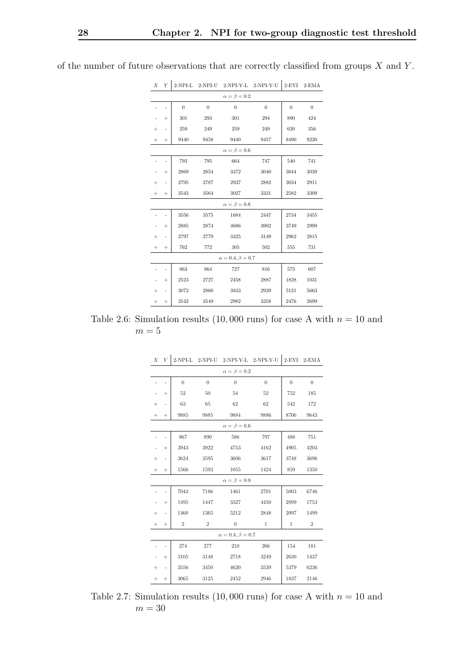| Χ      | Υ                        |                |                  | 2-NPI-L 2-NPI-U 2-NPI-Y-L 2-NPI-Y-U |                  | $2$ -EYI         | $2$ -EMA         |
|--------|--------------------------|----------------|------------------|-------------------------------------|------------------|------------------|------------------|
|        |                          |                |                  | $\alpha = \beta = 0.2$              |                  |                  |                  |
|        | $\overline{\phantom{0}}$ | $\overline{0}$ | $\boldsymbol{0}$ | $\boldsymbol{0}$                    | $\boldsymbol{0}$ | $\boldsymbol{0}$ | $\boldsymbol{0}$ |
|        | $\! + \!\!\!\!$          | 301            | 293              | 301                                 | 294              | 890              | 424              |
| $^{+}$ | $\overline{\phantom{0}}$ | 259            | 249              | 259                                 | 249              | 620              | 356              |
| $^{+}$ | $\! + \!\!\!\!$          | 9440           | 9458             | 9440                                | 9457             | 8490             | 9220             |
|        |                          |                |                  | $\alpha = \beta = 0.6$              |                  |                  |                  |
|        | -                        | 793            | 795              | 664                                 | 747              | 540              | 741              |
| -      | $^{+}$                   | 2869           | 2854             | 3372                                | 3040             | 3844             | 3039             |
| $^{+}$ | $\overline{\phantom{0}}$ | 2795           | 2787             | 2937                                | 2882             | 3034             | 2911             |
| $^{+}$ | $^{+}$                   | 3543           | 3564             | 3027                                | 3331             | 2582             | 3309             |
|        |                          |                |                  | $\alpha=\beta=0.8$                  |                  |                  |                  |
|        |                          | 3556           | 3575             | 1684                                | 2447             | 2734             | 3455             |
| -      | $^{+}$                   | 2885           | 2874             | 4686                                | 3902             | 3749             | 2999             |
| $^{+}$ | $\overline{\phantom{0}}$ | 2797           | 2779             | 3325                                | 3149             | 2962             | 2815             |
| $^{+}$ | $^{+}$                   | 762            | 772              | 305                                 | 502              | 555              | 731              |
|        |                          |                |                  | $\alpha=0.4, \beta=0.7$             |                  |                  |                  |
|        | $\overline{\phantom{0}}$ | 863            | 864              | 727                                 | 816              | 575              | 607              |
| -      | $^{+}$                   | 2523           | 2727             | 2458                                | 2887             | 1828             | 1031             |
| $^{+}$ | $\overline{\phantom{0}}$ | 3072           | 2860             | 3833                                | 2939             | 5121             | 5663             |
| $^{+}$ | $\! + \!\!\!\!$          | 3542           | 3549             | 2982                                | 3358             | 2476             | 2699             |

<span id="page-33-0"></span>of the number of future observations that are correctly classified from groups *X* and *Y* .

<span id="page-33-1"></span>Table 2.6: Simulation results  $(10,000 \text{ runs})$  for case A with  $n = 10$  and  $m=5$ 

| Х      | Y              | $2-NPI-L$        | 2-NPI-U          |                             | 2-NPI-Y-L 2-NPI-Y-U | $2$ -EYI         | $2$ -EMA         |
|--------|----------------|------------------|------------------|-----------------------------|---------------------|------------------|------------------|
|        |                |                  |                  | $\alpha = \beta = 0.2$      |                     |                  |                  |
|        |                | $\boldsymbol{0}$ | $\boldsymbol{0}$ | $\boldsymbol{0}$            | $\boldsymbol{0}$    | $\boldsymbol{0}$ | $\boldsymbol{0}$ |
|        | $^{+}$         | 52               | 50               | 54                          | 52                  | 752              | 185              |
| $^{+}$ | $\overline{a}$ | 63               | 65               | 62                          | 62                  | 542              | 172              |
| $^{+}$ | $^{+}$         | 9885             | 9885             | 9884                        | 9886                | 8706             | 9643             |
|        |                |                  |                  | $\alpha = \beta = 0.6$      |                     |                  |                  |
|        |                | 867              | 890              | 586                         | 797                 | 488              | $751\,$          |
|        | $^{+}$         | 3943             | 3922             | 4753                        | 4162                | 4905             | 4203             |
| $^{+}$ | i.             | 3624             | 3595             | 3606                        | 3617                | 3748             | 3696             |
|        | $^{+}$         | 1566             | 1593             | 1055                        | 1424                | 859              | 1350             |
|        |                |                  |                  | $\alpha = \beta = 0.8$      |                     |                  |                  |
|        |                | 7043             | 7186             | 1461                        | 2701                | 5003             | 6746             |
|        | $^{+}$         | 1495             | 1447             | 3327                        | 4450                | 2899             | 1753             |
| $^{+}$ | ÷,             | 1460             | 1365             | 5212                        | 2848                | 2097             | 1499             |
| $^{+}$ | $^{+}$         | $\overline{2}$   | $\overline{2}$   | $\overline{0}$              | $\mathbf{1}$        | $\mathbf 1$      | $\sqrt{2}$       |
|        |                |                  |                  | $\alpha = 0.4, \beta = 0.7$ |                     |                  |                  |
|        |                | 274              | 277              | 210                         | 266                 | 154              | 181              |
|        | $^{+}$         | 3105             | 3148             | 2718                        | 3249                | 2630             | 1437             |
| $^{+}$ | -              | 3556             | 3450             | 4620                        | 3539                | 5379             | 6236             |
|        | $^{+}$         | 3065             | 3125             | 2452                        | 2946                | 1837             | 2146             |

*X Y* 2-NPI-L 2-NPI-U 2-NPI-Y-L 2-NPI-Y-U 2-EYI 2-EMA

Table 2.7: Simulation results  $(10,000 \text{ runs})$  for case A with  $n = 10$  and  $m = 30$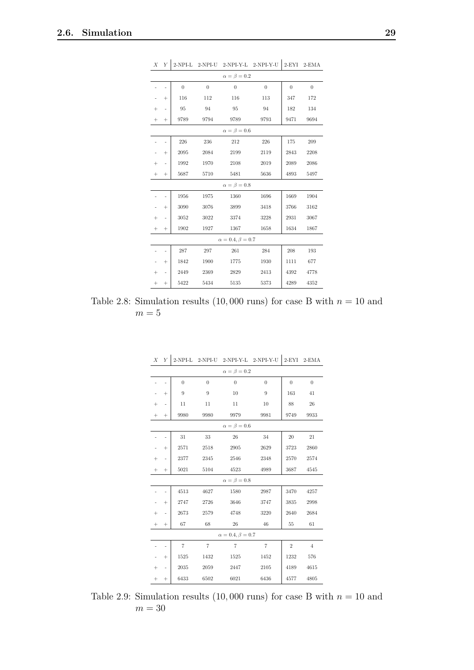|        |        |                  |                  | $\alpha = \beta = 0.2$      |                  |                  |                |
|--------|--------|------------------|------------------|-----------------------------|------------------|------------------|----------------|
|        |        | $\boldsymbol{0}$ | $\boldsymbol{0}$ | $\boldsymbol{0}$            | $\boldsymbol{0}$ | $\boldsymbol{0}$ | $\overline{0}$ |
|        | $^{+}$ | 116              | 112              | 116                         | 113              | 347              | 172            |
| $^{+}$ |        | 95               | 94               | 95                          | 94               | 182              | 134            |
| $^{+}$ | $^+$   | 9789             | 9794             | 9789                        | 9793             | 9471             | 9694           |
|        |        |                  |                  | $\alpha = \beta = 0.6$      |                  |                  |                |
|        |        | 226              | 236              | 212                         | 226              | 175              | 209            |
|        | $^{+}$ | 2095             | 2084             | 2199                        | 2119             | 2843             | 2208           |
| $^+$   |        | 1992             | 1970             | 2108                        | 2019             | 2089             | 2086           |
| $^{+}$ | $^{+}$ | 5687             | 5710             | 5481                        | 5636             | 4893             | 5497           |
|        |        |                  |                  | $\alpha = \beta = 0.8$      |                  |                  |                |
|        |        | 1956             | 1975             | 1360                        | 1696             | 1669             | 1904           |
|        | $^{+}$ | 3090             | 3076             | 3899                        | 3418             | 3766             | 3162           |
| $^+$   |        | 3052             | 3022             | 3374                        | 3228             | 2931             | 3067           |
| $^{+}$ | $^{+}$ | 1902             | 1927             | 1367                        | 1658             | 1634             | 1867           |
|        |        |                  |                  | $\alpha = 0.4, \beta = 0.7$ |                  |                  |                |
|        |        | 287              | 297              | 261                         | 284              | 208              | 193            |
|        | $^{+}$ | 1842             | 1900             | 1775                        | 1930             | 1111             | 677            |
| $^{+}$ |        | 2449             | 2369             | 2829                        | 2413             | 4392             | 4778           |
| $^{+}$ | $^{+}$ | 5422             | 5434             | 5135                        | 5373             | 4289             | 4352           |

<span id="page-34-0"></span>*X Y* 2-NPI-L 2-NPI-U 2-NPI-Y-L 2-NPI-Y-U 2-EYI 2-EMA

<span id="page-34-1"></span>Table 2.8: Simulation results  $(10,000 \text{ runs})$  for case B with  $n = 10$  and  $m=5$ 

| Χ      | Y                        |                  |                  | 2-NPI-L 2-NPI-U 2-NPI-Y-L 2-NPI-Y-U |                  |                  | 2-EYI 2-EMA      |
|--------|--------------------------|------------------|------------------|-------------------------------------|------------------|------------------|------------------|
|        |                          |                  |                  | $\alpha = \beta = 0.2$              |                  |                  |                  |
|        | $\overline{a}$           | $\boldsymbol{0}$ | $\overline{0}$   | $\boldsymbol{0}$                    | $\boldsymbol{0}$ | $\boldsymbol{0}$ | $\boldsymbol{0}$ |
|        | $^{+}$                   | 9                | $\boldsymbol{9}$ | 10                                  | $\boldsymbol{9}$ | 163              | 41               |
| $^{+}$ | ÷,                       | 11               | 11               | 11                                  | 10               | 88               | 26               |
| $^{+}$ | $^{+}$                   | 9980             | 9980             | 9979                                | 9981             | 9749             | 9933             |
|        |                          |                  |                  | $\alpha = \beta = 0.6$              |                  |                  |                  |
|        | $\overline{a}$           | 31               | 33               | 26                                  | 34               | 20               | 21               |
|        | $^{+}$                   | 2571             | 2518             | 2905                                | 2629             | 3723             | 2860             |
| $^{+}$ | -                        | 2377             | 2345             | 2546                                | 2348             | 2570             | 2574             |
| $^{+}$ | $^{+}$                   | 5021             | 5104             | 4523                                | 4989             | 3687             | 4545             |
|        |                          |                  |                  | $\alpha = \beta = 0.8$              |                  |                  |                  |
|        | $\overline{a}$           | 4513             | 4627             | 1580                                | 2987             | 3470             | 4257             |
|        | $^{+}$                   | 2747             | 2726             | 3646                                | 3747             | 3835             | 2998             |
| $^{+}$ | i,                       | 2673             | 2579             | 4748                                | 3220             | 2640             | 2684             |
| $^{+}$ | $^{+}$                   | 67               | 68               | 26                                  | 46               | 55               | 61               |
|        |                          |                  |                  | $\alpha=0.4, \beta=0.7$             |                  |                  |                  |
|        | $\overline{a}$           | $\overline{7}$   | $\overline{7}$   | $\overline{7}$                      | $\overline{7}$   | $\overline{2}$   | $\overline{4}$   |
|        | $^{+}$                   | 1525             | 1432             | 1525                                | 1452             | 1232             | 576              |
| $^{+}$ | $\overline{\phantom{0}}$ | 2035             | 2059             | 2447                                | 2105             | 4189             | 4615             |
|        | $^{+}$                   | 6433             | 6502             | 6021                                | 6436             | 4577             | 4805             |

Table 2.9: Simulation results  $(10,000 \text{ runs})$  for case B with  $n = 10$  and  $m = 30$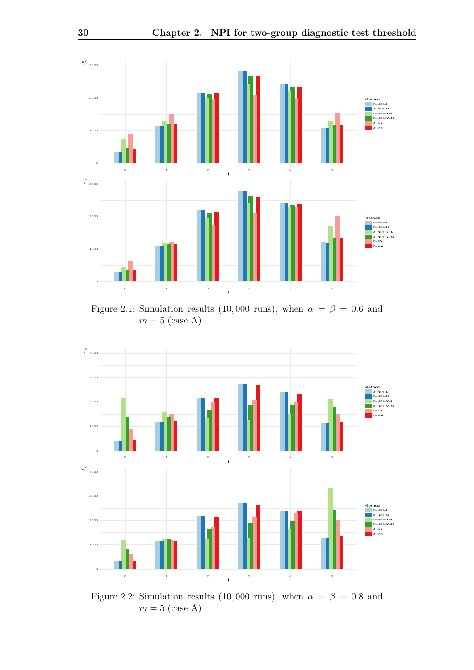<span id="page-35-0"></span>

Figure 2.1: Simulation results (10,000 runs), when  $\alpha = \beta = 0.6$  and  $m = 5$  (case A)



Figure 2.2: Simulation results (10,000 runs), when  $\alpha = \beta = 0.8$  and  $m = 5$  (case A)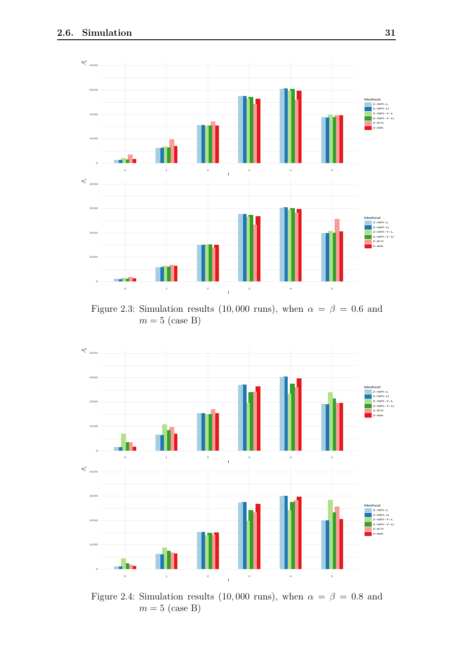

Figure 2.3: Simulation results (10,000 runs), when  $\alpha = \beta = 0.6$  and  $m = 5$  (case B)



Figure 2.4: Simulation results (10,000 runs), when  $\alpha = \beta = 0.8$  and  $m = 5$  (case B)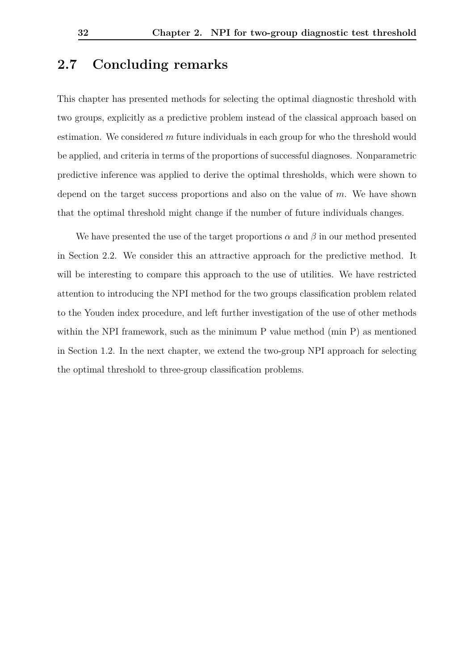#### **2.7 Concluding remarks**

This chapter has presented methods for selecting the optimal diagnostic threshold with two groups, explicitly as a predictive problem instead of the classical approach based on estimation. We considered *m* future individuals in each group for who the threshold would be applied, and criteria in terms of the proportions of successful diagnoses. Nonparametric predictive inference was applied to derive the optimal thresholds, which were shown to depend on the target success proportions and also on the value of *m*. We have shown that the optimal threshold might change if the number of future individuals changes.

We have presented the use of the target proportions  $\alpha$  and  $\beta$  in our method presented in Section [2.2.](#page-20-0) We consider this an attractive approach for the predictive method. It will be interesting to compare this approach to the use of utilities. We have restricted attention to introducing the NPI method for the two groups classification problem related to the Youden index procedure, and left further investigation of the use of other methods within the NPI framework, such as the minimum P value method (min P) as mentioned in Section [1.2.](#page-10-0) In the next chapter, we extend the two-group NPI approach for selecting the optimal threshold to three-group classification problems.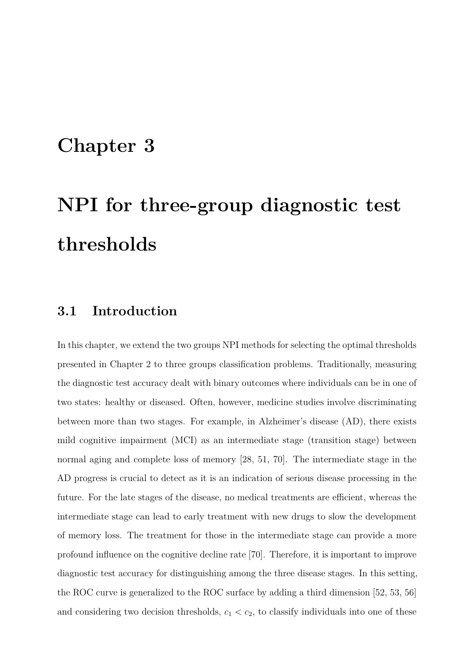### **Chapter 3**

# **NPI for three-group diagnostic test thresholds**

#### **3.1 Introduction**

In this chapter, we extend the two groups NPI methods for selecting the optimal thresholds presented in Chapter [2](#page-19-0) to three groups classification problems. Traditionally, measuring the diagnostic test accuracy dealt with binary outcomes where individuals can be in one of two states: healthy or diseased. Often, however, medicine studies involve discriminating between more than two stages. For example, in Alzheimer's disease (AD), there exists mild cognitive impairment (MCI) as an intermediate stage (transition stage) between normal aging and complete loss of memory [\[28,](#page-101-0) [51,](#page-104-0) [70\]](#page-106-0). The intermediate stage in the AD progress is crucial to detect as it is an indication of serious disease processing in the future. For the late stages of the disease, no medical treatments are efficient, whereas the intermediate stage can lead to early treatment with new drugs to slow the development of memory loss. The treatment for those in the intermediate stage can provide a more profound influence on the cognitive decline rate [\[70\]](#page-106-0). Therefore, it is important to improve diagnostic test accuracy for distinguishing among the three disease stages. In this setting, the ROC curve is generalized to the ROC surface by adding a third dimension [\[52,](#page-104-1) [53,](#page-104-2) [56\]](#page-104-3) and considering two decision thresholds,  $c_1 < c_2$ , to classify individuals into one of these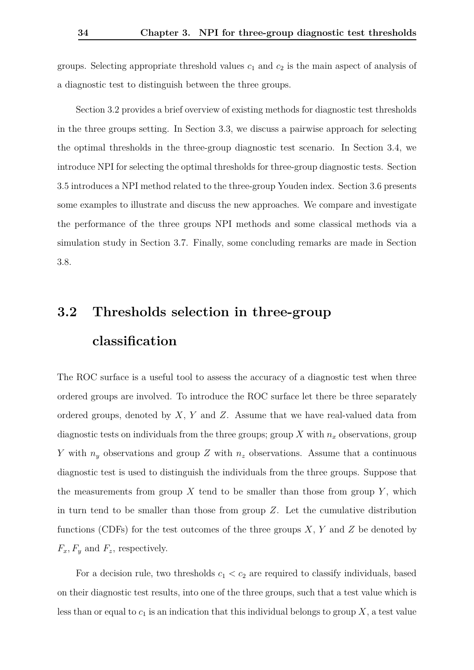groups. Selecting appropriate threshold values *c*<sup>1</sup> and *c*<sup>2</sup> is the main aspect of analysis of a diagnostic test to distinguish between the three groups.

Section [3.2](#page-39-0) provides a brief overview of existing methods for diagnostic test thresholds in the three groups setting. In Section [3.3,](#page-42-0) we discuss a pairwise approach for selecting the optimal thresholds in the three-group diagnostic test scenario. In Section [3.4,](#page-44-0) we introduce NPI for selecting the optimal thresholds for three-group diagnostic tests. Section [3.5](#page-48-0) introduces a NPI method related to the three-group Youden index. Section [3.6](#page-48-1) presents some examples to illustrate and discuss the new approaches. We compare and investigate the performance of the three groups NPI methods and some classical methods via a simulation study in Section [3.7.](#page-59-0) Finally, some concluding remarks are made in Section [3.8.](#page-70-0)

## <span id="page-39-0"></span>**3.2 Thresholds selection in three-group classification**

The ROC surface is a useful tool to assess the accuracy of a diagnostic test when three ordered groups are involved. To introduce the ROC surface let there be three separately ordered groups, denoted by *X*, *Y* and *Z*. Assume that we have real-valued data from diagnostic tests on individuals from the three groups; group  $X$  with  $n_x$  observations, group *Y* with *n<sup>y</sup>* observations and group *Z* with *n<sup>z</sup>* observations. Assume that a continuous diagnostic test is used to distinguish the individuals from the three groups. Suppose that the measurements from group  $X$  tend to be smaller than those from group  $Y$ , which in turn tend to be smaller than those from group  $Z$ . Let the cumulative distribution functions (CDFs) for the test outcomes of the three groups *X*, *Y* and *Z* be denoted by  $F_x, F_y$  and  $F_z$ , respectively.

For a decision rule, two thresholds  $c_1 < c_2$  are required to classify individuals, based on their diagnostic test results, into one of the three groups, such that a test value which is less than or equal to  $c_1$  is an indication that this individual belongs to group  $X$ , a test value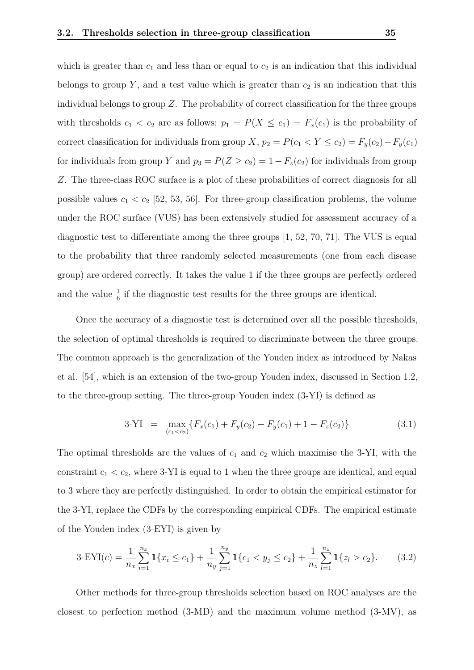which is greater than  $c_1$  and less than or equal to  $c_2$  is an indication that this individual belongs to group  $Y$ , and a test value which is greater than  $c_2$  is an indication that this individual belongs to group *Z*. The probability of correct classification for the three groups with thresholds  $c_1 < c_2$  are as follows;  $p_1 = P(X \le c_1) = F_x(c_1)$  is the probability of correct classification for individuals from group *X*,  $p_2 = P(c_1 < Y \le c_2) = F_y(c_2) - F_y(c_1)$ for individuals from group *Y* and  $p_3 = P(Z \ge c_2) = 1 - F_z(c_2)$  for individuals from group *Z*. The three-class ROC surface is a plot of these probabilities of correct diagnosis for all possible values  $c_1 < c_2$  [\[52,](#page-104-1) [53,](#page-104-2) [56\]](#page-104-3). For three-group classification problems, the volume under the ROC surface (VUS) has been extensively studied for assessment accuracy of a diagnostic test to differentiate among the three groups [\[1,](#page-99-0) [52,](#page-104-1) [70,](#page-106-0) [71\]](#page-106-1). The VUS is equal to the probability that three randomly selected measurements (one from each disease group) are ordered correctly. It takes the value 1 if the three groups are perfectly ordered and the value  $\frac{1}{6}$  if the diagnostic test results for the three groups are identical.

Once the accuracy of a diagnostic test is determined over all the possible thresholds, the selection of optimal thresholds is required to discriminate between the three groups. The common approach is the generalization of the Youden index as introduced by Nakas et al. [\[54\]](#page-104-4), which is an extension of the two-group Youden index, discussed in Section [1.2,](#page-10-0) to the three-group setting. The three-group Youden index (3-YI) is defined as

<span id="page-40-0"></span>
$$
3-YI = \max_{(c_1 < c_2)} \{ F_x(c_1) + F_y(c_2) - F_y(c_1) + 1 - F_z(c_2) \}
$$
\n(3.1)

The optimal thresholds are the values of  $c_1$  and  $c_2$  which maximise the 3-YI, with the constraint  $c_1 < c_2$ , where 3-YI is equal to 1 when the three groups are identical, and equal to 3 where they are perfectly distinguished. In order to obtain the empirical estimator for the 3-YI, replace the CDFs by the corresponding empirical CDFs. The empirical estimate of the Youden index (3-EYI) is given by

$$
3-\text{EYI}(c) = \frac{1}{n_x} \sum_{i=1}^{n_x} \mathbf{1}\{x_i \le c_1\} + \frac{1}{n_y} \sum_{j=1}^{n_y} \mathbf{1}\{c_1 < y_j \le c_2\} + \frac{1}{n_z} \sum_{l=1}^{n_z} \mathbf{1}\{z_l > c_2\}.\tag{3.2}
$$

Other methods for three-group thresholds selection based on ROC analyses are the closest to perfection method (3-MD) and the maximum volume method (3-MV), as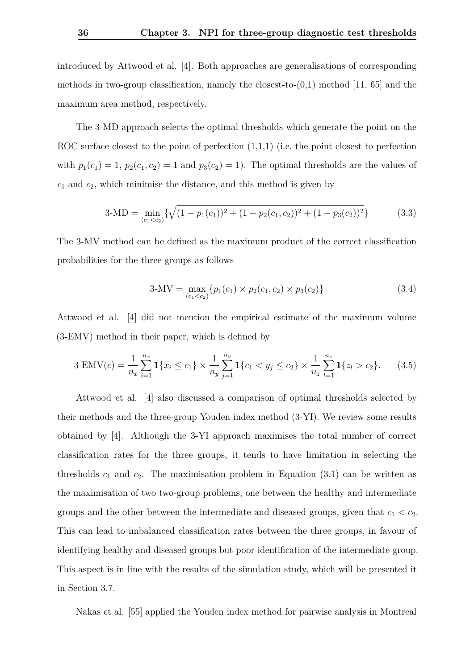introduced by Attwood et al. [\[4\]](#page-99-1). Both approaches are generalisations of corresponding methods in two-group classification, namely the closest-to- $(0,1)$  method [\[11,](#page-100-0) [65\]](#page-105-0) and the maximum area method, respectively.

The 3-MD approach selects the optimal thresholds which generate the point on the ROC surface closest to the point of perfection  $(1,1,1)$  (i.e. the point closest to perfection with  $p_1(c_1) = 1$ ,  $p_2(c_1, c_2) = 1$  and  $p_3(c_2) = 1$ ). The optimal thresholds are the values of *c*<sup>1</sup> and *c*2, which minimise the distance, and this method is given by

$$
3-MD = \min_{(c_1 < c_2)} \{ \sqrt{(1 - p_1(c_1))^2 + (1 - p_2(c_1, c_2))^2 + (1 - p_3(c_2))^2} \}
$$
(3.3)

The 3-MV method can be defined as the maximum product of the correct classification probabilities for the three groups as follows

$$
3-MV = \max_{(c_1 < c_2)} \{p_1(c_1) \times p_2(c_1, c_2) \times p_3(c_2)\}\tag{3.4}
$$

Attwood et al. [\[4\]](#page-99-1) did not mention the empirical estimate of the maximum volume (3-EMV) method in their paper, which is defined by

$$
3\text{-EMV}(c) = \frac{1}{n_x} \sum_{i=1}^{n_x} \mathbf{1}\{x_i \le c_1\} \times \frac{1}{n_y} \sum_{j=1}^{n_y} \mathbf{1}\{c_1 < y_j \le c_2\} \times \frac{1}{n_z} \sum_{l=1}^{n_z} \mathbf{1}\{z_l > c_2\}.\tag{3.5}
$$

Attwood et al. [\[4\]](#page-99-1) also discussed a comparison of optimal thresholds selected by their methods and the three-group Youden index method (3-YI). We review some results obtained by [\[4\]](#page-99-1). Although the 3-YI approach maximises the total number of correct classification rates for the three groups, it tends to have limitation in selecting the thresholds  $c_1$  and  $c_2$ . The maximisation problem in Equation [\(3.1\)](#page-40-0) can be written as the maximisation of two two-group problems, one between the healthy and intermediate groups and the other between the intermediate and diseased groups, given that  $c_1 < c_2$ . This can lead to imbalanced classification rates between the three groups, in favour of identifying healthy and diseased groups but poor identification of the intermediate group. This aspect is in line with the results of the simulation study, which will be presented it in Section [3.7.](#page-59-0)

Nakas et al. [\[55\]](#page-104-5) applied the Youden index method for pairwise analysis in Montreal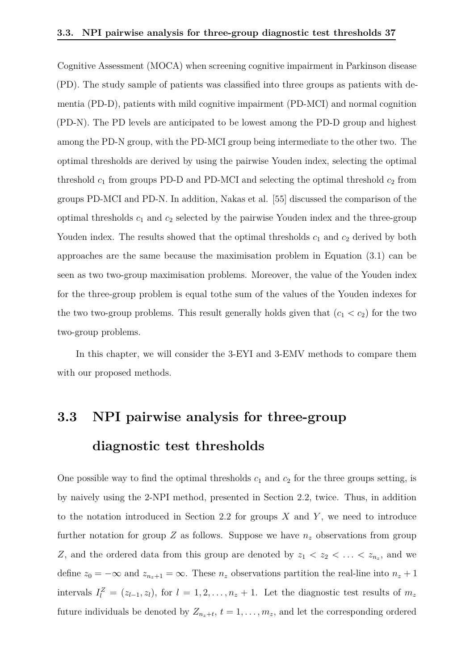Cognitive Assessment (MOCA) when screening cognitive impairment in Parkinson disease (PD). The study sample of patients was classified into three groups as patients with dementia (PD-D), patients with mild cognitive impairment (PD-MCI) and normal cognition (PD-N). The PD levels are anticipated to be lowest among the PD-D group and highest among the PD-N group, with the PD-MCI group being intermediate to the other two. The optimal thresholds are derived by using the pairwise Youden index, selecting the optimal threshold  $c_1$  from groups PD-D and PD-MCI and selecting the optimal threshold  $c_2$  from groups PD-MCI and PD-N. In addition, Nakas et al. [\[55\]](#page-104-5) discussed the comparison of the optimal thresholds  $c_1$  and  $c_2$  selected by the pairwise Youden index and the three-group Youden index. The results showed that the optimal thresholds  $c_1$  and  $c_2$  derived by both approaches are the same because the maximisation problem in Equation [\(3.1\)](#page-40-0) can be seen as two two-group maximisation problems. Moreover, the value of the Youden index for the three-group problem is equal tothe sum of the values of the Youden indexes for the two two-group problems. This result generally holds given that  $(c_1 < c_2)$  for the two two-group problems.

In this chapter, we will consider the 3-EYI and 3-EMV methods to compare them with our proposed methods.

### <span id="page-42-0"></span>**3.3 NPI pairwise analysis for three-group diagnostic test thresholds**

One possible way to find the optimal thresholds  $c_1$  and  $c_2$  for the three groups setting, is by naively using the 2-NPI method, presented in Section [2.2,](#page-20-0) twice. Thus, in addition to the notation introduced in Section [2.2](#page-20-0) for groups *X* and *Y* , we need to introduce further notation for group  $Z$  as follows. Suppose we have  $n_z$  observations from group *Z*, and the ordered data from this group are denoted by  $z_1 < z_2 < \ldots < z_{n_z}$ , and we define  $z_0 = -\infty$  and  $z_{n_z+1} = \infty$ . These  $n_z$  observations partition the real-line into  $n_z + 1$ intervals  $I_l^Z = (z_{l-1}, z_l)$ , for  $l = 1, 2, \ldots, n_z + 1$ . Let the diagnostic test results of  $m_z$ future individuals be denoted by  $Z_{n_z+t}$ ,  $t = 1, \ldots, m_z$ , and let the corresponding ordered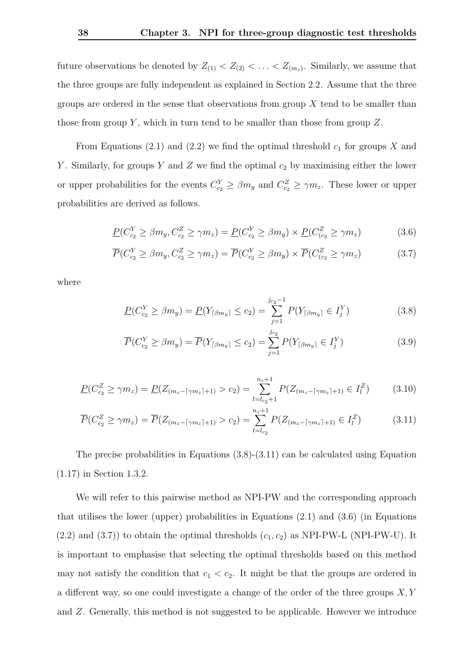future observations be denoted by  $Z_{(1)} < Z_{(2)} < \ldots < Z_{(m_z)}$ . Similarly, we assume that the three groups are fully independent as explained in Section [2.2.](#page-20-0) Assume that the three groups are ordered in the sense that observations from group *X* tend to be smaller than those from group *Y* , which in turn tend to be smaller than those from group *Z*.

From Equations  $(2.1)$  and  $(2.2)$  we find the optimal threshold  $c<sub>1</sub>$  for groups X and *Y* . Similarly, for groups *Y* and *Z* we find the optimal *c*<sup>2</sup> by maximising either the lower or upper probabilities for the events  $C_{c_2}^Y \ge \beta m_y$  and  $C_{c_2}^Z \ge \gamma m_z$ . These lower or upper probabilities are derived as follows.

<span id="page-43-2"></span>
$$
\underline{P}(C_{c_2}^Y \ge \beta m_y, C_{c_2}^Z \ge \gamma m_z) = \underline{P}(C_{c_2}^Y \ge \beta m_y) \times \underline{P}(C_{(c_2}^Z \ge \gamma m_z)
$$
(3.6)

$$
\overline{P}(C_{c_2}^Y \ge \beta m_y, C_{c_2}^Z \ge \gamma m_z) = \overline{P}(C_{c_2}^Y \ge \beta m_y) \times \overline{P}(C_{(c_2}^Z \ge \gamma m_z)
$$
\n(3.7)

where

<span id="page-43-3"></span><span id="page-43-0"></span>
$$
\underline{P}(C_{c_2}^Y \ge \beta m_y) = \underline{P}(Y_{\lceil \beta m_y \rceil} \le c_2) = \sum_{j=1}^{j_{c_2}-1} P(Y_{\lceil \beta m_y \rceil} \in I_j^Y) \tag{3.8}
$$

<span id="page-43-1"></span>
$$
\overline{P}(C_{c_2}^Y \ge \beta m_y) = \overline{P}(Y_{\lceil \beta m_y \rceil} \le c_2) = \sum_{j=1}^{j_{c_2}} P(Y_{\lceil \beta m_y \rceil} \in I_j^Y)
$$
\n(3.9)

$$
\underline{P}(C_{c_2}^Z \ge \gamma m_z) = \underline{P}(Z_{(m_z - \lceil \gamma m_z \rceil + 1)} > c_2) = \sum_{l = l_{c_2} + 1}^{n_z + 1} P(Z_{(m_z - \lceil \gamma m_z \rceil + 1)} \in I_l^Z) \tag{3.10}
$$

$$
\overline{P}(C_{c_2}^Z \ge \gamma m_z) = \overline{P}(Z_{(m_z - \lceil \gamma m_z \rceil + 1)} > c_2) = \sum_{l = l_{c_2}}^{n_z + 1} P(Z_{(m_z - \lceil \gamma m_z \rceil + 1)} \in I_l^Z) \tag{3.11}
$$

The precise probabilities in Equations  $(3.8)-(3.11)$  $(3.8)-(3.11)$  $(3.8)-(3.11)$  can be calculated using Equation [\(1.17\)](#page-15-0) in Section [1.3.2.](#page-15-1)

We will refer to this pairwise method as NPI-PW and the corresponding approach that utilises the lower (upper) probabilities in Equations [\(2.1\)](#page-22-0) and [\(3.6\)](#page-43-2) (in Equations  $(2.2)$  and  $(3.7)$ ) to obtain the optimal thresholds  $(c_1, c_2)$  as NPI-PW-L (NPI-PW-U). It is important to emphasise that selecting the optimal thresholds based on this method may not satisfy the condition that  $c_1 < c_2$ . It might be that the groups are ordered in a different way, so one could investigate a change of the order of the three groups *X, Y* and *Z*. Generally, this method is not suggested to be applicable. However we introduce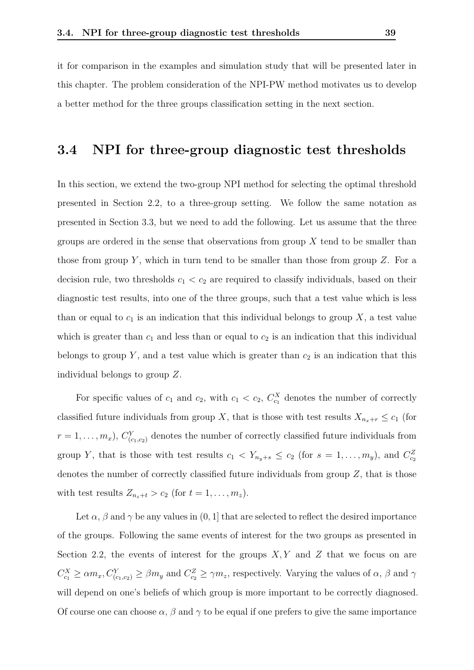it for comparison in the examples and simulation study that will be presented later in this chapter. The problem consideration of the NPI-PW method motivates us to develop a better method for the three groups classification setting in the next section.

#### <span id="page-44-0"></span>**3.4 NPI for three-group diagnostic test thresholds**

In this section, we extend the two-group NPI method for selecting the optimal threshold presented in Section [2.2,](#page-20-0) to a three-group setting. We follow the same notation as presented in Section [3.3,](#page-42-0) but we need to add the following. Let us assume that the three groups are ordered in the sense that observations from group *X* tend to be smaller than those from group *Y* , which in turn tend to be smaller than those from group *Z*. For a decision rule, two thresholds  $c_1 < c_2$  are required to classify individuals, based on their diagnostic test results, into one of the three groups, such that a test value which is less than or equal to  $c_1$  is an indication that this individual belongs to group  $X$ , a test value which is greater than  $c_1$  and less than or equal to  $c_2$  is an indication that this individual belongs to group  $Y$ , and a test value which is greater than  $c_2$  is an indication that this individual belongs to group *Z*.

For specific values of  $c_1$  and  $c_2$ , with  $c_1 < c_2$ ,  $C_{c_1}^X$  denotes the number of correctly classified future individuals from group *X*, that is those with test results  $X_{n_x+r} \leq c_1$  (for  $r = 1, \ldots, m_x$ ,  $C^{Y}_{(c_1, c_2)}$  denotes the number of correctly classified future individuals from group *Y*, that is those with test results  $c_1 < Y_{n_y+s} \le c_2$  (for  $s = 1, \ldots, m_y$ ), and  $C_{c_2}^Z$ denotes the number of correctly classified future individuals from group *Z*, that is those with test results  $Z_{n_z+t} > c_2$  (for  $t = 1, \ldots, m_z$ ).

Let  $\alpha$ ,  $\beta$  and  $\gamma$  be any values in  $(0, 1]$  that are selected to reflect the desired importance of the groups. Following the same events of interest for the two groups as presented in Section [2.2,](#page-20-0) the events of interest for the groups *X, Y* and *Z* that we focus on are  $C_{c_1}^X \ge \alpha m_x, C_{(c_1,c_2)}^Y \ge \beta m_y$  and  $C_{c_2}^Z \ge \gamma m_z$ , respectively. Varying the values of  $\alpha$ ,  $\beta$  and  $\gamma$ will depend on one's beliefs of which group is more important to be correctly diagnosed. Of course one can choose  $\alpha$ ,  $\beta$  and  $\gamma$  to be equal if one prefers to give the same importance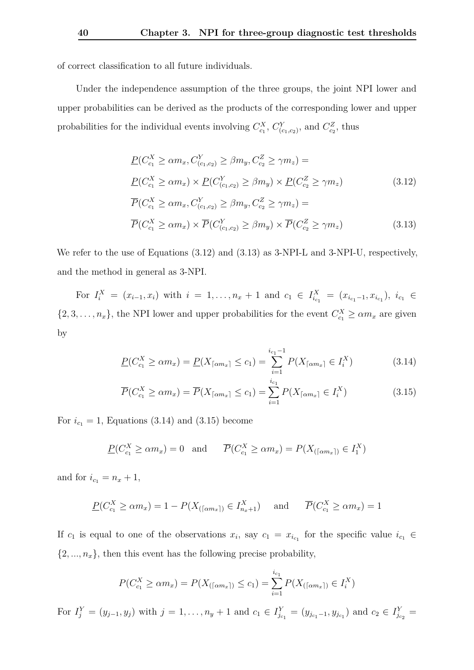of correct classification to all future individuals.

Under the independence assumption of the three groups, the joint NPI lower and upper probabilities can be derived as the products of the corresponding lower and upper probabilities for the individual events involving  $C_{c_1}^X$ ,  $C_{(c_1,c_2)}^Y$ , and  $C_{c_2}^Z$ , thus

<span id="page-45-1"></span><span id="page-45-0"></span>
$$
\underline{P}(C_{c_1}^X \ge \alpha m_x, C_{(c_1, c_2)}^Y \ge \beta m_y, C_{c_2}^Z \ge \gamma m_z) =
$$
\n
$$
\underline{P}(C_{c_1}^X \ge \alpha m_x) \times \underline{P}(C_{(c_1, c_2)}^Y \ge \beta m_y) \times \underline{P}(C_{c_2}^Z \ge \gamma m_z)
$$
\n
$$
\overline{P}(C_{c_1}^X \ge \alpha m_x, C_{(c_1, c_2)}^Y \ge \beta m_y, C_{c_2}^Z \ge \gamma m_z) =
$$
\n
$$
\overline{P}(C_{c_1}^X \ge \alpha m_x) \times \overline{P}(C_{(c_1, c_2)}^Y \ge \beta m_y) \times \overline{P}(C_{c_2}^Z \ge \gamma m_z)
$$
\n(3.13)

We refer to the use of Equations [\(3.12\)](#page-45-0) and [\(3.13\)](#page-45-1) as 3-NPI-L and 3-NPI-U, respectively, and the method in general as 3-NPI.

For  $I_i^X = (x_{i-1}, x_i)$  with  $i = 1, ..., n_x + 1$  and  $c_1 \in I_{i_{c_1}}^X = (x_{i_{c_1}-1}, x_{i_{c_1}}), i_{c_1} \in$  $\{2, 3, \ldots, n_x\}$ , the NPI lower and upper probabilities for the event  $C_{c_1}^X \ge \alpha m_x$  are given by

<span id="page-45-2"></span>
$$
\underline{P}(C_{c_1}^X \ge \alpha m_x) = \underline{P}(X_{\lceil \alpha m_x \rceil} \le c_1) = \sum_{i=1}^{i_{c_1}-1} P(X_{\lceil \alpha m_x \rceil} \in I_i^X) \tag{3.14}
$$

<span id="page-45-3"></span>
$$
\overline{P}(C_{c_1}^X \ge \alpha m_x) = \overline{P}(X_{\lceil \alpha m_x \rceil} \le c_1) = \sum_{i=1}^{i_{c_1}} P(X_{\lceil \alpha m_x \rceil} \in I_i^X)
$$
\n(3.15)

For  $i_{c_1} = 1$ , Equations [\(3.14\)](#page-45-2) and [\(3.15\)](#page-45-3) become

$$
\underline{P}(C_{c_1}^X \ge \alpha m_x) = 0 \quad \text{and} \quad \overline{P}(C_{c_1}^X \ge \alpha m_x) = P(X_{(\lceil \alpha m_x \rceil)} \in I_1^X)
$$

and for  $i_{c_1} = n_x + 1$ ,

$$
\underline{P}(C_{c_1}^X \ge \alpha m_x) = 1 - P(X_{(\lceil \alpha m_x \rceil)} \in I_{n_x+1}^X) \quad \text{and} \quad \overline{P}(C_{c_1}^X \ge \alpha m_x) = 1
$$

If  $c_1$  is equal to one of the observations  $x_i$ , say  $c_1 = x_{i_{c_1}}$  for the specific value  $i_{c_1} \in$  $\{2, ..., n_x\}$ , then this event has the following precise probability,

$$
P(C_{c_1}^X \ge \alpha m_x) = P(X_{(\lceil \alpha m_x \rceil)} \le c_1) = \sum_{i=1}^{i_{c_1}} P(X_{(\lceil \alpha m_x \rceil)} \in I_i^X)
$$

For  $I_j^Y = (y_{j-1}, y_j)$  with  $j = 1, ..., n_y + 1$  and  $c_1 \in I_{j_{c_1}}^Y = (y_{j_{c_1}-1}, y_{j_{c_1}})$  and  $c_2 \in I_{j_{c_2}}^Y =$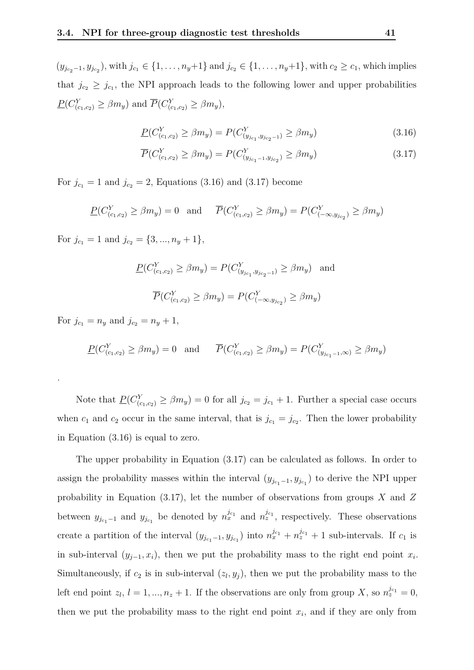$(y_{j_{c_2}-1}, y_{j_{c_2}})$ , with  $j_{c_1} \in \{1, ..., n_y+1\}$  and  $j_{c_2} \in \{1, ..., n_y+1\}$ , with  $c_2 ≥ c_1$ , which implies that  $j_{c_2} \geq j_{c_1}$ , the NPI approach leads to the following lower and upper probabilities  $P(C_{(c_1,c_2)}^Y \ge \beta m_y)$  and  $\overline{P}(C_{(c_1,c_2)}^Y \ge \beta m_y)$ ,

<span id="page-46-0"></span>
$$
\underline{P}(C_{(c_1,c_2)}^Y \ge \beta m_y) = P(C_{(y_{j_{c_1}},y_{j_{c_2}-1})}^Y \ge \beta m_y)
$$
\n(3.16)

$$
\overline{P}(C_{(c_1,c_2)}^Y \ge \beta m_y) = P(C_{(y_{jc_1-1}, y_{jc_2})}^Y \ge \beta m_y)
$$
\n(3.17)

For  $j_{c_1} = 1$  and  $j_{c_2} = 2$ , Equations [\(3.16\)](#page-46-0) and [\(3.17\)](#page-46-0) become

$$
\underline{P}(C_{(c_1,c_2)}^Y \ge \beta m_y) = 0 \text{ and } \overline{P}(C_{(c_1,c_2)}^Y \ge \beta m_y) = P(C_{(-\infty,y_{j_{c_2}})}^Y \ge \beta m_y)
$$

For  $j_{c_1} = 1$  and  $j_{c_2} = \{3, ..., n_y + 1\},\$ 

$$
P(C_{(c_1,c_2)}^Y \ge \beta m_y) = P(C_{(y_{j_{c_1}},y_{j_{c_2}-1})}^Y \ge \beta m_y)
$$
 and  

$$
\overline{P}(C_{(c_1,c_2)}^Y \ge \beta m_y) = P(C_{(-\infty,y_{j_{c_2}})}^Y \ge \beta m_y)
$$

For  $j_{c_1} = n_y$  and  $j_{c_2} = n_y + 1$ ,

.

$$
\underline{P}(C_{(c_1,c_2)}^Y \ge \beta m_y) = 0 \text{ and } \overline{P}(C_{(c_1,c_2)}^Y \ge \beta m_y) = P(C_{(y_{j_{c_1}-1},\infty)}^Y \ge \beta m_y)
$$

Note that  $\underline{P}(C_{(c_1,c_2)}^Y \geq \beta m_y) = 0$  for all  $j_{c_2} = j_{c_1} + 1$ . Further a special case occurs when  $c_1$  and  $c_2$  occur in the same interval, that is  $j_{c_1} = j_{c_2}$ . Then the lower probability in Equation [\(3.16\)](#page-46-0) is equal to zero.

The upper probability in Equation [\(3.17\)](#page-46-0) can be calculated as follows. In order to assign the probability masses within the interval  $(y_{j_{c_1}-1}, y_{j_{c_1}})$  to derive the NPI upper probability in Equation [\(3.17\)](#page-46-0), let the number of observations from groups *X* and *Z* between  $y_{j_{c_1}-1}$  and  $y_{j_{c_1}}$  be denoted by  $n_x^{j_{c_1}}$  and  $n_z^{j_{c_1}}$ , respectively. These observations create a partition of the interval  $(y_{j_{c_1}-1}, y_{j_{c_1}})$  into  $n_x^{j_{c_1}} + n_z^{j_{c_1}} + 1$  sub-intervals. If  $c_1$  is in sub-interval  $(y_{j-1}, x_i)$ , then we put the probability mass to the right end point  $x_i$ . Simultaneously, if  $c_2$  is in sub-interval  $(z_l, y_j)$ , then we put the probability mass to the left end point  $z_l$ ,  $l = 1, ..., n_z + 1$ . If the observations are only from group *X*, so  $n_z^{j_{c_1}} = 0$ , then we put the probability mass to the right end point  $x_i$ , and if they are only from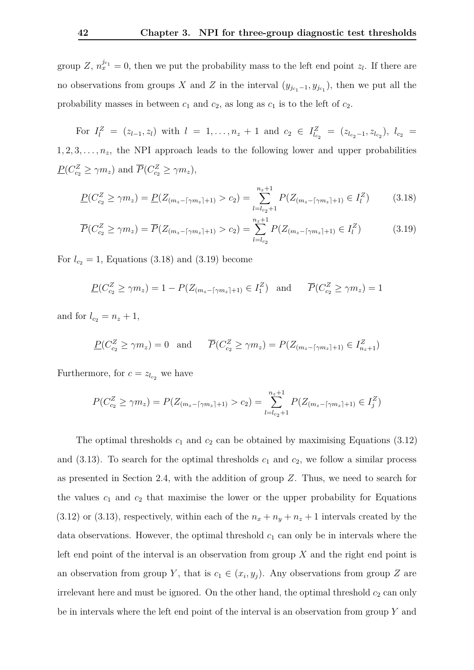group *Z*,  $n_x^{j_{c_1}} = 0$ , then we put the probability mass to the left end point  $z_l$ . If there are no observations from groups *X* and *Z* in the interval  $(y_{j_{c_1}-1}, y_{j_{c_1}})$ , then we put all the probability masses in between  $c_1$  and  $c_2$ , as long as  $c_1$  is to the left of  $c_2$ .

For  $I_l^Z = (z_{l-1}, z_l)$  with  $l = 1, ..., n_z + 1$  and  $c_2 \in I_{l_{c_2}}^Z = (z_{l_{c_2}-1}, z_{l_{c_2}}), l_{c_2} =$  $1, 2, 3, \ldots, n_z$ , the NPI approach leads to the following lower and upper probabilities  $P(C_{c_2}^Z \ge \gamma m_z)$  and  $\overline{P}(C_{c_2}^Z \ge \gamma m_z)$ ,

<span id="page-47-0"></span>
$$
\underline{P}(C_{c_2}^Z \ge \gamma m_z) = \underline{P}(Z_{(m_z - \lceil \gamma m_z \rceil + 1)} > c_2) = \sum_{l = l_{c_2} + 1}^{n_z + 1} P(Z_{(m_z - \lceil \gamma m_z \rceil + 1)} \in I_l^Z) \tag{3.18}
$$

$$
\overline{P}(C_{c_2}^Z \ge \gamma m_z) = \overline{P}(Z_{(m_z - \lceil \gamma m_z \rceil + 1)} > c_2) = \sum_{l = l_{c_2}}^{n_z + 1} P(Z_{(m_z - \lceil \gamma m_z \rceil + 1)} \in I_l^Z) \tag{3.19}
$$

For  $l_{c_2} = 1$ , Equations [\(3.18\)](#page-47-0) and [\(3.19\)](#page-47-1) become

<span id="page-47-1"></span>
$$
\underline{P}(C_{c_2}^Z \ge \gamma m_z) = 1 - P(Z_{(m_z - \lceil \gamma m_z \rceil + 1)} \in I_1^Z) \text{ and } \overline{P}(C_{c_2}^Z \ge \gamma m_z) = 1
$$

and for  $l_{c_2} = n_z + 1$ ,

$$
\underline{P}(C_{c_2}^Z \ge \gamma m_z) = 0 \quad \text{and} \quad \overline{P}(C_{c_2}^Z \ge \gamma m_z) = P(Z_{(m_z - \lceil \gamma m_z \rceil + 1)} \in I_{n_z + 1}^Z)
$$

Furthermore, for  $c = z_{l_{c_2}}$  we have

$$
P(C_{c_2}^Z \ge \gamma m_z) = P(Z_{(m_z - \lceil \gamma m_z \rceil + 1)} > c_2) = \sum_{l=l_{c_2}+1}^{n_z+1} P(Z_{(m_z - \lceil \gamma m_z \rceil + 1)} \in I_j^Z)
$$

The optimal thresholds  $c_1$  and  $c_2$  can be obtained by maximising Equations  $(3.12)$ and  $(3.13)$ . To search for the optimal thresholds  $c_1$  and  $c_2$ , we follow a similar process as presented in Section [2.4,](#page-24-0) with the addition of group *Z*. Thus, we need to search for the values  $c_1$  and  $c_2$  that maximise the lower or the upper probability for Equations  $(3.12)$  or  $(3.13)$ , respectively, within each of the  $n_x + n_y + n_z + 1$  intervals created by the data observations. However, the optimal threshold  $c_1$  can only be in intervals where the left end point of the interval is an observation from group *X* and the right end point is an observation from group *Y*, that is  $c_1 \in (x_i, y_j)$ . Any observations from group *Z* are irrelevant here and must be ignored. On the other hand, the optimal threshold  $c_2$  can only be in intervals where the left end point of the interval is an observation from group *Y* and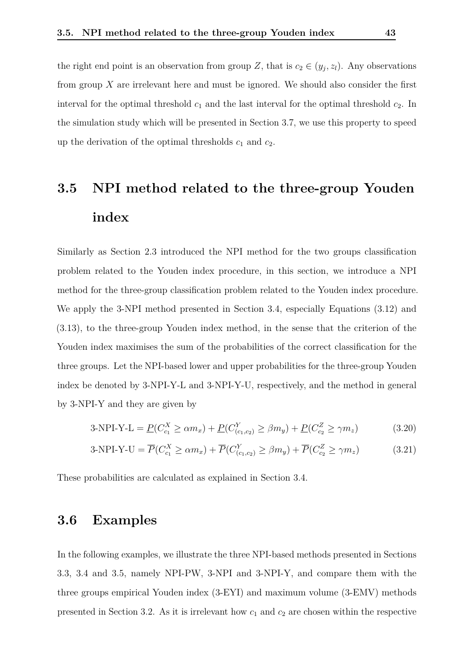the right end point is an observation from group *Z*, that is  $c_2 \in (y_j, z_l)$ . Any observations from group *X* are irrelevant here and must be ignored. We should also consider the first interval for the optimal threshold  $c_1$  and the last interval for the optimal threshold  $c_2$ . In the simulation study which will be presented in Section [3.7,](#page-59-0) we use this property to speed up the derivation of the optimal thresholds  $c_1$  and  $c_2$ .

### <span id="page-48-0"></span>**3.5 NPI method related to the three-group Youden index**

Similarly as Section [2.3](#page-24-1) introduced the NPI method for the two groups classification problem related to the Youden index procedure, in this section, we introduce a NPI method for the three-group classification problem related to the Youden index procedure. We apply the 3-NPI method presented in Section [3.4,](#page-44-0) especially Equations [\(3.12\)](#page-45-0) and [\(3.13\)](#page-45-1), to the three-group Youden index method, in the sense that the criterion of the Youden index maximises the sum of the probabilities of the correct classification for the three groups. Let the NPI-based lower and upper probabilities for the three-group Youden index be denoted by 3-NPI-Y-L and 3-NPI-Y-U, respectively, and the method in general by 3-NPI-Y and they are given by

<span id="page-48-2"></span>
$$
3-NPI-Y-L = \underline{P}(C_{c_1}^X \ge \alpha m_x) + \underline{P}(C_{(c_1,c_2)}^Y \ge \beta m_y) + \underline{P}(C_{c_2}^Z \ge \gamma m_z)
$$
(3.20)

<span id="page-48-3"></span>
$$
3-NPI-Y-U = \overline{P}(C_{c_1}^X \ge \alpha m_x) + \overline{P}(C_{(c_1,c_2)}^Y \ge \beta m_y) + \overline{P}(C_{c_2}^Z \ge \gamma m_z)
$$
(3.21)

<span id="page-48-1"></span>These probabilities are calculated as explained in Section [3.4.](#page-44-0)

#### **3.6 Examples**

In the following examples, we illustrate the three NPI-based methods presented in Sections [3.3,](#page-42-0) [3.4](#page-44-0) and [3.5,](#page-48-0) namely NPI-PW, 3-NPI and 3-NPI-Y, and compare them with the three groups empirical Youden index (3-EYI) and maximum volume (3-EMV) methods presented in Section [3.2.](#page-39-0) As it is irrelevant how  $c_1$  and  $c_2$  are chosen within the respective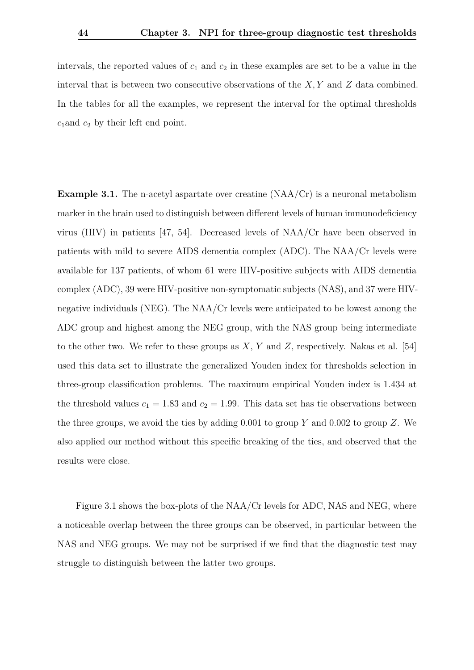intervals, the reported values of  $c_1$  and  $c_2$  in these examples are set to be a value in the interval that is between two consecutive observations of the *X, Y* and *Z* data combined. In the tables for all the examples, we represent the interval for the optimal thresholds *c*1and *c*<sup>2</sup> by their left end point.

**Example 3.1.** The n-acetyl aspartate over creatine (NAA/Cr) is a neuronal metabolism marker in the brain used to distinguish between different levels of human immunodeficiency virus (HIV) in patients [\[47,](#page-103-0) [54\]](#page-104-4). Decreased levels of NAA/Cr have been observed in patients with mild to severe AIDS dementia complex (ADC). The NAA/Cr levels were available for 137 patients, of whom 61 were HIV-positive subjects with AIDS dementia complex (ADC), 39 were HIV-positive non-symptomatic subjects (NAS), and 37 were HIVnegative individuals (NEG). The NAA/Cr levels were anticipated to be lowest among the ADC group and highest among the NEG group, with the NAS group being intermediate to the other two. We refer to these groups as *X*, *Y* and *Z*, respectively. Nakas et al. [\[54\]](#page-104-4) used this data set to illustrate the generalized Youden index for thresholds selection in three-group classification problems. The maximum empirical Youden index is 1*.*434 at the threshold values  $c_1 = 1.83$  and  $c_2 = 1.99$ . This data set has tie observations between the three groups, we avoid the ties by adding 0*.*001 to group *Y* and 0*.*002 to group *Z*. We also applied our method without this specific breaking of the ties, and observed that the results were close.

Figure [3.1](#page-50-0) shows the box-plots of the NAA/Cr levels for ADC, NAS and NEG, where a noticeable overlap between the three groups can be observed, in particular between the NAS and NEG groups. We may not be surprised if we find that the diagnostic test may struggle to distinguish between the latter two groups.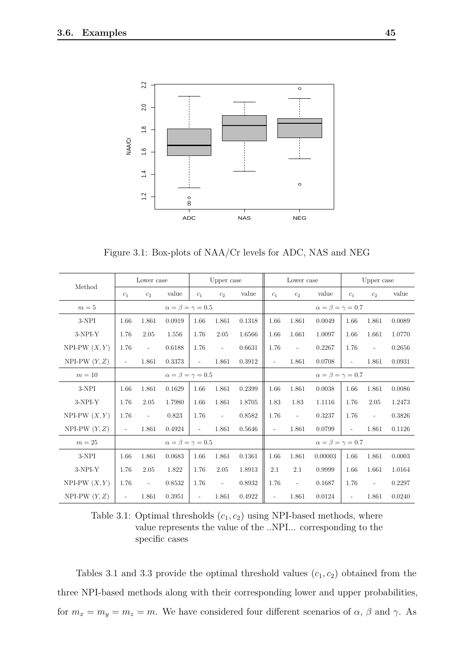<span id="page-50-0"></span>

Figure 3.1: Box-plots of NAA/Cr levels for ADC, NAS and NEG

<span id="page-50-1"></span>

|                          |                                 | Lower case                         |                                 |                          | Upper case               |        |                          | Lower case               |                                 |                          | Upper case               |        |
|--------------------------|---------------------------------|------------------------------------|---------------------------------|--------------------------|--------------------------|--------|--------------------------|--------------------------|---------------------------------|--------------------------|--------------------------|--------|
| Method                   | $c_1$                           | c <sub>2</sub>                     | value                           | $c_1$                    | c <sub>2</sub>           | value  | $c_1$                    | c <sub>2</sub>           | value                           | $c_1$                    | c <sub>2</sub>           | value  |
| $m=5$                    |                                 |                                    | $\alpha = \beta = \gamma = 0.5$ |                          |                          |        |                          |                          | $\alpha = \beta = \gamma = 0.7$ |                          |                          |        |
| $3\mbox{-} \mathrm{NPI}$ | 1.66                            | 1.861                              | 0.0919                          | 1.66                     | 1.861                    | 0.1318 | 1.66                     | 1.861                    | 0.0049                          | 1.66                     | 1.861                    | 0.0089 |
| 3-NPI-Y                  | 1.76                            | 2.05                               | 1.556                           | 1.76                     | 2.05                     | 1.6566 | 1.66                     | 1.661                    | 1.0097                          | 1.66                     | 1.661                    | 1.0770 |
| NPI-PW $(X, Y)$          | 1.76                            | 0.6188<br>$\overline{\phantom{a}}$ |                                 | 1.76                     | $\overline{\phantom{a}}$ | 0.6631 | 1.76                     | $\overline{\phantom{a}}$ | 0.2267                          | 1.76                     | $\overline{\phantom{a}}$ | 0.2656 |
| NPI-PW $(Y, Z)$          | $\overline{\phantom{a}}$        | 0.3373<br>1.861                    |                                 | $\overline{\phantom{a}}$ | 1.861                    | 0.3912 | $\overline{\phantom{a}}$ | 1.861                    | 0.0708                          | $\overline{\phantom{a}}$ | 1.861                    | 0.0931 |
| $m=10$                   | $\alpha = \beta = \gamma = 0.5$ |                                    |                                 |                          |                          |        |                          |                          | $\alpha = \beta = \gamma = 0.7$ |                          |                          |        |
| 3-NPI                    | 1.66                            | 1.861                              | 0.1629                          | 1.66                     | 1.861                    | 0.2399 | 1.66                     | 1.861                    | 0.0038                          | 1.66                     | 1.861                    | 0.0086 |
| 3-NPI-Y                  | 1.76                            | 2.05                               | 1.7980                          | 1.66                     | 1.861                    | 1.8705 | 1.83                     | 1.83                     | 1.1116                          | 1.76                     | 2.05                     | 1.2473 |
| NPI-PW $(X, Y)$          | 1.76                            | $\overline{\phantom{a}}$           | 0.823                           | 1.76                     | $\Box$                   | 0.8582 | 1.76                     | $\overline{\phantom{a}}$ | 0.3237                          | 1.76                     | $\overline{\phantom{a}}$ | 0.3826 |
| NPI-PW $(Y, Z)$          | $\overline{\phantom{a}}$        | 1.861                              | 0.4924                          | $\overline{\phantom{a}}$ | 1.861                    | 0.5646 | $\overline{\phantom{a}}$ | 1.861                    | 0.0799                          | $\overline{\phantom{a}}$ | 1.861                    | 0.1126 |
| $m=25$                   |                                 |                                    | $\alpha = \beta = \gamma = 0.5$ |                          |                          |        |                          |                          | $\alpha = \beta = \gamma = 0.7$ |                          |                          |        |
| 3-NPI                    | 1.66                            | 1.861                              | 0.0683                          | 1.66                     | 1.861                    | 0.1361 | 1.66                     | 1.861                    | 0.00003                         | 1.66                     | 1.861                    | 0.0003 |
| 3-NPI-Y                  | 1.76                            | 2.05                               | 1.822                           | 1.76                     | 2.05                     | 1.8913 | 2.1                      | 2.1                      | 0.9999                          | 1.66                     | 1.661                    | 1.0164 |
| NPI-PW $(X, Y)$          | 1.76                            | $\overline{\phantom{a}}$           | 0.8532                          | 1.76                     | $\Box$                   | 0.8932 | 1.76                     | $\overline{\phantom{a}}$ | 0.1687                          | 1.76                     | $\overline{\phantom{a}}$ | 0.2297 |
| NPI-PW $(Y, Z)$          | $\overline{\phantom{a}}$        | 1.861                              | 0.3951                          | $\overline{\phantom{a}}$ | 1.861                    | 0.4922 | $\overline{\phantom{a}}$ | 1.861                    | 0.0124                          | $\overline{\phantom{a}}$ | 1.861                    | 0.0240 |

Table 3.1: Optimal thresholds  $(c_1, c_2)$  using NPI-based methods, where value represents the value of the ..NPI... corresponding to the specific cases

Tables [3.1](#page-50-1) and [3.3](#page-52-0) provide the optimal threshold values  $(c_1, c_2)$  obtained from the three NPI-based methods along with their corresponding lower and upper probabilities, for  $m_x = m_y = m_z = m$ . We have considered four different scenarios of  $\alpha$ ,  $\beta$  and  $\gamma$ . As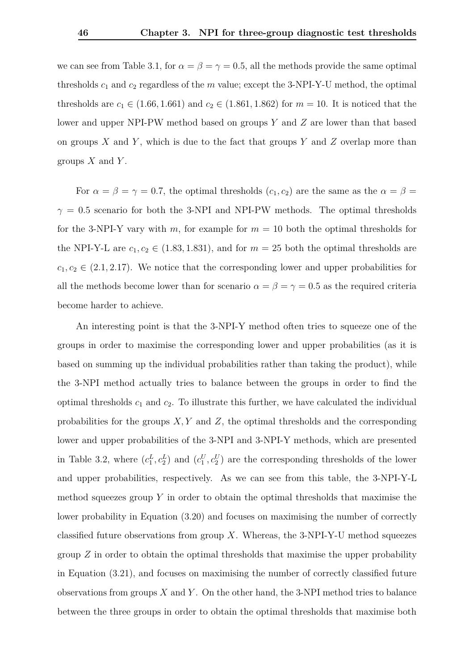we can see from Table [3.1,](#page-50-1) for  $\alpha = \beta = \gamma = 0.5$ , all the methods provide the same optimal thresholds  $c_1$  and  $c_2$  regardless of the  $m$  value; except the 3-NPI-Y-U method, the optimal thresholds are  $c_1 \in (1.66, 1.661)$  and  $c_2 \in (1.861, 1.862)$  for  $m = 10$ . It is noticed that the lower and upper NPI-PW method based on groups *Y* and *Z* are lower than that based on groups *X* and *Y* , which is due to the fact that groups *Y* and *Z* overlap more than groups *X* and *Y* .

For  $\alpha = \beta = \gamma = 0.7$ , the optimal thresholds  $(c_1, c_2)$  are the same as the  $\alpha = \beta =$  $\gamma = 0.5$  scenario for both the 3-NPI and NPI-PW methods. The optimal thresholds for the 3-NPI-Y vary with *m*, for example for  $m = 10$  both the optimal thresholds for the NPI-Y-L are  $c_1, c_2 \in (1.83, 1.831)$ , and for  $m = 25$  both the optimal thresholds are  $c_1, c_2 \in (2.1, 2.17)$ . We notice that the corresponding lower and upper probabilities for all the methods become lower than for scenario  $\alpha = \beta = \gamma = 0.5$  as the required criteria become harder to achieve.

An interesting point is that the 3-NPI-Y method often tries to squeeze one of the groups in order to maximise the corresponding lower and upper probabilities (as it is based on summing up the individual probabilities rather than taking the product), while the 3-NPI method actually tries to balance between the groups in order to find the optimal thresholds  $c_1$  and  $c_2$ . To illustrate this further, we have calculated the individual probabilities for the groups *X, Y* and *Z*, the optimal thresholds and the corresponding lower and upper probabilities of the 3-NPI and 3-NPI-Y methods, which are presented in Table [3.2,](#page-52-1) where  $(c_1^L, c_2^L)$  and  $(c_1^U, c_2^U)$  are the corresponding thresholds of the lower and upper probabilities, respectively. As we can see from this table, the 3-NPI-Y-L method squeezes group *Y* in order to obtain the optimal thresholds that maximise the lower probability in Equation [\(3.20\)](#page-48-2) and focuses on maximising the number of correctly classified future observations from group *X*. Whereas, the 3-NPI-Y-U method squeezes group *Z* in order to obtain the optimal thresholds that maximise the upper probability in Equation [\(3.21\)](#page-48-3), and focuses on maximising the number of correctly classified future observations from groups *X* and *Y* . On the other hand, the 3-NPI method tries to balance between the three groups in order to obtain the optimal thresholds that maximise both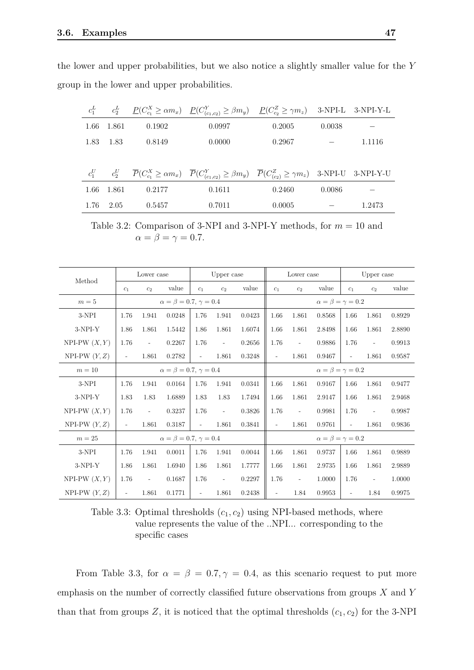the lower and upper probabilities, but we also notice a slightly smaller value for the *Y* group in the lower and upper probabilities.

<span id="page-52-1"></span>

| $c_1^L$ |        |        | $c_2^L$ $\underline{P}(C_{c_1}^X \ge \alpha m_x)$ $\underline{P}(C_{(c_1,c_2)}^Y \ge \beta m_y)$ $\underline{P}(C_{c_2}^Z \ge \gamma m_z)$ 3-NPI-L 3-NPI-Y-L |        |        |        |
|---------|--------|--------|--------------------------------------------------------------------------------------------------------------------------------------------------------------|--------|--------|--------|
| 1.66    | 1.861  | 0.1902 | 0.0997                                                                                                                                                       | 0.2005 | 0.0038 |        |
| 1.83    | - 1.83 | 0.8149 | 0.0000                                                                                                                                                       | 0.2967 |        | 1.1116 |
|         |        |        |                                                                                                                                                              |        |        |        |
| $c_1^U$ |        |        | $c_2^U$ $\overline{P}(C_{c_1}^X \ge \alpha m_x)$ $\overline{P}(C_{(c_1,c_2)}^Y \ge \beta m_y)$ $\overline{P}(C_{(c_2)}^Z \ge \gamma m_z)$ 3-NPI-U 3-NPI-Y-U  |        |        |        |
| 1.66    | 1.861  | 0.2177 | 0.1611                                                                                                                                                       | 0.2460 | 0.0086 |        |
| 1.76    | 2.05   | 0.5457 | 0.7011                                                                                                                                                       | 0.0005 |        | 1.2473 |

Table 3.2: Comparison of 3-NPI and 3-NPI-Y methods, for *m* = 10 and  $\alpha = \beta = \gamma = 0.7$ .

<span id="page-52-0"></span>

|                 |                          | Lower case                           |                                      |                          | Upper case               |        |                                 | Lower case               |                                 | Upper case               |                          |        |
|-----------------|--------------------------|--------------------------------------|--------------------------------------|--------------------------|--------------------------|--------|---------------------------------|--------------------------|---------------------------------|--------------------------|--------------------------|--------|
| Method          | $c_1$                    | c <sub>2</sub>                       | value                                | $c_1$                    | c <sub>2</sub>           | value  | $c_1$                           | c <sub>2</sub>           | value                           | $c_1$                    | c <sub>2</sub>           | value  |
| $m=5$           |                          |                                      | $\alpha = \beta = 0.7, \gamma = 0.4$ |                          |                          |        | $\alpha = \beta = \gamma = 0.2$ |                          |                                 |                          |                          |        |
| 3-NPI           | 1.76                     | 1.941                                | 0.0248                               | 1.76                     | 1.941                    | 0.0423 | 1.66                            | 1.861                    | 0.8568                          | 1.66                     | 1.861                    | 0.8929 |
| $3-NPI-Y$       | 1.86                     | 1.861<br>1.5442                      |                                      | 1.86                     | 1.861                    | 1.6074 | 1.66                            | 1.861                    | 2.8498                          | 1.66                     | 1.861                    | 2.8890 |
| NPI-PW $(X, Y)$ | 1.76                     | 0.2267<br>$\overline{\phantom{a}}$   |                                      | 1.76                     | $\overline{\phantom{a}}$ | 0.2656 | 1.76                            | $\overline{\phantom{a}}$ | 0.9886                          | 1.76                     | $\overline{\phantom{a}}$ | 0.9913 |
| NPI-PW $(Y, Z)$ | $\overline{\phantom{a}}$ | 1.861<br>0.2782                      |                                      | $\overline{\phantom{a}}$ | 1.861                    | 0.3248 | $\overline{\phantom{a}}$        | 1.861                    | 0.9467                          | $\overline{\phantom{a}}$ | 1.861                    | 0.9587 |
| $m=10$          |                          | $\alpha = \beta = 0.7, \gamma = 0.4$ |                                      |                          |                          |        |                                 |                          | $\alpha = \beta = \gamma = 0.2$ |                          |                          |        |
| 3-NPI           | 1.76                     | 1.941                                | 0.0164                               | 1.76                     | 1.941                    | 0.0341 | 1.66                            | 1.861                    | 0.9167                          | 1.66                     | 1.861                    | 0.9477 |
| $3-NPI-Y$       | 1.83                     | 1.83                                 | 1.6889                               | 1.83                     | 1.83                     | 1.7494 | 1.66                            | 1.861                    | 2.9147                          | 1.66                     | 1.861                    | 2.9468 |
| NPI-PW $(X, Y)$ | 1.76                     | $\overline{\phantom{a}}$             | 0.3237                               | 1.76                     | $\overline{\phantom{a}}$ | 0.3826 | 1.76                            | $\overline{\phantom{a}}$ | 0.9981                          | 1.76                     | $\overline{\phantom{a}}$ | 0.9987 |
| NPI-PW $(Y, Z)$ | $\overline{\phantom{a}}$ | 1.861                                | 0.3187                               | $\overline{\phantom{a}}$ | 1.861                    | 0.3841 | $\overline{\phantom{a}}$        | 1.861                    | 0.9761                          | $\overline{\phantom{a}}$ | 1.861                    | 0.9836 |
| $m=25$          |                          |                                      | $\alpha = \beta = 0.7, \gamma = 0.4$ |                          |                          |        |                                 |                          | $\alpha = \beta = \gamma = 0.2$ |                          |                          |        |
| 3-NPI           | 1.76                     | 1.941                                | 0.0011                               | 1.76                     | 1.941                    | 0.0044 | 1.66                            | 1.861                    | 0.9737                          | 1.66                     | 1.861                    | 0.9889 |
| $3-NPI-Y$       | 1.86                     | 1.861                                | 1.6940                               | 1.86                     | 1.861                    | 1.7777 | 1.66                            | 1.861                    | 2.9735                          | 1.66                     | 1.861                    | 2.9889 |
| NPI-PW $(X, Y)$ | 1.76                     | $\overline{\phantom{a}}$             | 0.1687                               | 1.76                     | $\overline{\phantom{a}}$ | 0.2297 | 1.76                            | $\overline{\phantom{a}}$ | 1.0000                          | 1.76                     | $\overline{\phantom{a}}$ | 1.0000 |
| NPI-PW $(Y, Z)$ | $\overline{\phantom{a}}$ | 1.861                                | 0.1771                               | ÷.                       | 1.861                    | 0.2438 | $\overline{\phantom{a}}$        | 1.84                     | 0.9953                          | $\overline{\phantom{a}}$ | 1.84                     | 0.9975 |

Table 3.3: Optimal thresholds  $(c_1, c_2)$  using NPI-based methods, where value represents the value of the ..NPI... corresponding to the specific cases

From Table [3.3,](#page-52-0) for  $\alpha = \beta = 0.7, \gamma = 0.4$ , as this scenario request to put more emphasis on the number of correctly classified future observations from groups *X* and *Y* than that from groups  $Z$ , it is noticed that the optimal thresholds  $(c_1, c_2)$  for the 3-NPI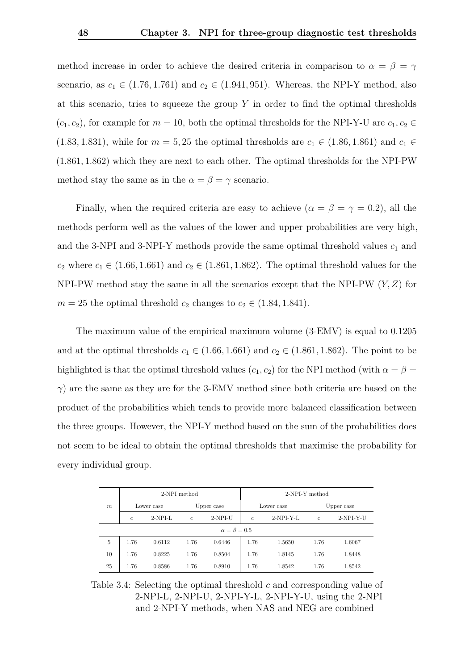method increase in order to achieve the desired criteria in comparison to  $\alpha = \beta = \gamma$ scenario, as  $c_1 \in (1.76, 1.761)$  and  $c_2 \in (1.941, 951)$ . Whereas, the NPI-Y method, also at this scenario, tries to squeeze the group *Y* in order to find the optimal thresholds  $(c_1, c_2)$ , for example for  $m = 10$ , both the optimal thresholds for the NPI-Y-U are  $c_1, c_2 \in$  $(1.83, 1.831)$ , while for  $m = 5, 25$  the optimal thresholds are  $c_1 \in (1.86, 1.861)$  and  $c_1 \in$ (1*.*861*,* 1*.*862) which they are next to each other. The optimal thresholds for the NPI-PW method stay the same as in the  $\alpha = \beta = \gamma$  scenario.

Finally, when the required criteria are easy to achieve  $(\alpha = \beta = \gamma = 0.2)$ , all the methods perform well as the values of the lower and upper probabilities are very high, and the 3-NPI and 3-NPI-Y methods provide the same optimal threshold values  $c_1$  and *c*<sub>2</sub> where  $c_1 \in (1.66, 1.661)$  and  $c_2 \in (1.861, 1.862)$ . The optimal threshold values for the NPI-PW method stay the same in all the scenarios except that the NPI-PW (*Y, Z*) for  $m = 25$  the optimal threshold  $c_2$  changes to  $c_2 \in (1.84, 1.841)$ .

The maximum value of the empirical maximum volume (3-EMV) is equal to 0*.*1205 and at the optimal thresholds  $c_1 \in (1.66, 1.661)$  and  $c_2 \in (1.861, 1.862)$ . The point to be highlighted is that the optimal threshold values  $(c_1, c_2)$  for the NPI method (with  $\alpha = \beta =$ *γ*) are the same as they are for the 3-EMV method since both criteria are based on the product of the probabilities which tends to provide more balanced classification between the three groups. However, the NPI-Y method based on the sum of the probabilities does not seem to be ideal to obtain the optimal thresholds that maximise the probability for every individual group.

<span id="page-53-0"></span>

|                  |             |            | 2-NPI method |                        | 2-NPI-Y method |             |              |             |  |  |
|------------------|-------------|------------|--------------|------------------------|----------------|-------------|--------------|-------------|--|--|
| $\boldsymbol{m}$ |             | Lower case |              | Upper case             |                | Lower case  | Upper case   |             |  |  |
|                  | $\mathbf c$ | $2-NPI-L$  | $\mathbf{c}$ | $2-NPI-U$              | $\mathbf{c}$   | $2-NPI-Y-L$ | $\mathbf{c}$ | $2-NPI-Y-U$ |  |  |
|                  |             |            |              | $\alpha = \beta = 0.5$ |                |             |              |             |  |  |
| 5                | 1.76        | 0.6112     | 1.76         | 0.6446                 | 1.76           | 1.5650      | 1.76         | 1.6067      |  |  |
| 10               | 1.76        | 0.8225     | 1.76         | 0.8504                 | 1.76           | 1.8145      | 1.76         | 1.8448      |  |  |
| 25               | 1.76        | 0.8586     | 1.76         | 0.8910                 | 1.76           | 1.8542      | 1.76         | 1.8542      |  |  |

Table 3.4: Selecting the optimal threshold *c* and corresponding value of 2-NPI-L, 2-NPI-U, 2-NPI-Y-L, 2-NPI-Y-U, using the 2-NPI and 2-NPI-Y methods, when NAS and NEG are combined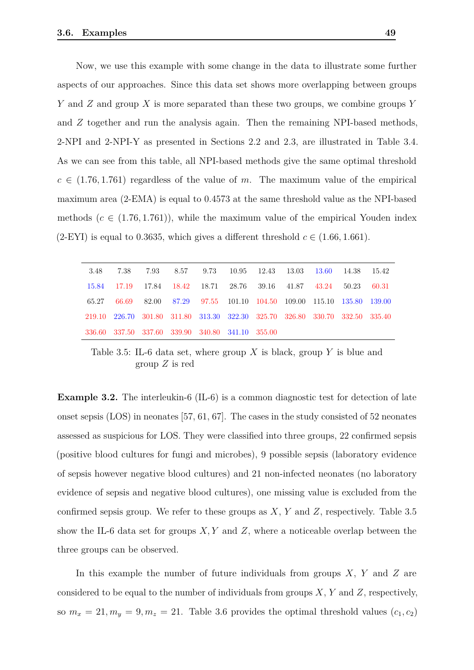Now, we use this example with some change in the data to illustrate some further aspects of our approaches. Since this data set shows more overlapping between groups *Y* and *Z* and group *X* is more separated than these two groups, we combine groups *Y* and *Z* together and run the analysis again. Then the remaining NPI-based methods, 2-NPI and 2-NPI-Y as presented in Sections [2.2](#page-20-0) and [2.3,](#page-24-1) are illustrated in Table [3.4.](#page-53-0) As we can see from this table, all NPI-based methods give the same optimal threshold  $c \in (1.76, 1.761)$  regardless of the value of *m*. The maximum value of the empirical maximum area (2-EMA) is equal to 0*.*4573 at the same threshold value as the NPI-based methods  $(c \in (1.76, 1.761))$ , while the maximum value of the empirical Youden index (2-EYI) is equal to 0.3635, which gives a different threshold  $c \in (1.66, 1.661)$ .

<span id="page-54-0"></span>

| 3.48  | 7.38                                                                         | 7.93 8.57 9.73 10.95 12.43 13.03 13.60 14.38                      |  |  |  | 15.42 |
|-------|------------------------------------------------------------------------------|-------------------------------------------------------------------|--|--|--|-------|
|       | 15.84 17.19 17.84 18.42 18.71 28.76 39.16 41.87 43.24 50.23                  |                                                                   |  |  |  | 60.31 |
| 65.27 |                                                                              | 66.69 82.00 87.29 97.55 101.10 104.50 109.00 115.10 135.80 139.00 |  |  |  |       |
|       | 219.10 226.70 301.80 311.80 313.30 322.30 325.70 326.80 330.70 332.50 335.40 |                                                                   |  |  |  |       |
|       | 336.60 337.50 337.60 339.90 340.80 341.10 355.00                             |                                                                   |  |  |  |       |

Table 3.5: IL-6 data set, where group *X* is black, group *Y* is blue and group *Z* is red

**Example 3.2.** The interleukin-6 (IL-6) is a common diagnostic test for detection of late onset sepsis (LOS) in neonates [\[57,](#page-104-6) [61,](#page-105-1) [67\]](#page-105-2). The cases in the study consisted of 52 neonates assessed as suspicious for LOS. They were classified into three groups, 22 confirmed sepsis (positive blood cultures for fungi and microbes), 9 possible sepsis (laboratory evidence of sepsis however negative blood cultures) and 21 non-infected neonates (no laboratory evidence of sepsis and negative blood cultures), one missing value is excluded from the confirmed sepsis group. We refer to these groups as *X*, *Y* and *Z*, respectively. Table [3.5](#page-54-0) show the IL-6 data set for groups *X, Y* and *Z*, where a noticeable overlap between the three groups can be observed.

In this example the number of future individuals from groups *X*, *Y* and *Z* are considered to be equal to the number of individuals from groups *X*, *Y* and *Z*, respectively, so  $m_x = 21, m_y = 9, m_z = 21$ . Table [3.6](#page-55-0) provides the optimal threshold values  $(c_1, c_2)$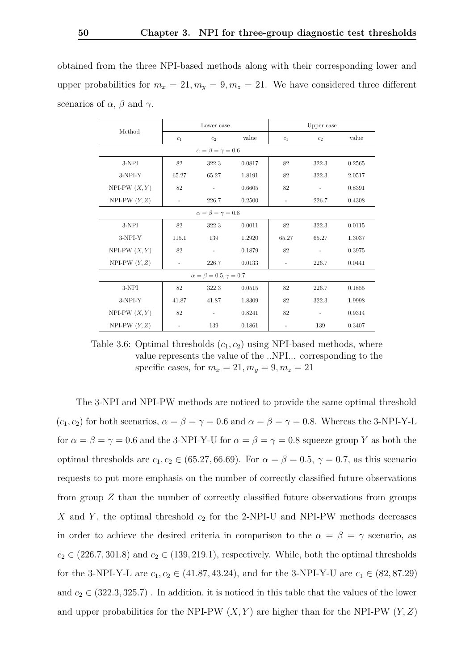obtained from the three NPI-based methods along with their corresponding lower and upper probabilities for  $m_x = 21, m_y = 9, m_z = 21$ . We have considered three different scenarios of  $\alpha$ ,  $\beta$  and  $\gamma$ .

<span id="page-55-0"></span>

|                                 |       | Lower case                           |        |                          | Upper case |        |  |  |
|---------------------------------|-------|--------------------------------------|--------|--------------------------|------------|--------|--|--|
| Method                          | $c_1$ | c <sub>2</sub>                       | value  | $c_1$                    | $c_2$      | value  |  |  |
|                                 |       | $\alpha = \beta = \gamma = 0.6$      |        |                          |            |        |  |  |
| 3-NPI                           | 82    | 322.3                                | 0.0817 | 82                       | 322.3      | 0.2565 |  |  |
| $3-NPI-Y$                       | 65.27 | 65.27                                | 1.8191 | 82                       | 322.3      | 2.0517 |  |  |
| NPI-PW $(X, Y)$                 | 82    |                                      | 0.6605 | 82                       |            | 0.8391 |  |  |
| NPI-PW $(Y, Z)$                 |       | 226.7                                | 0.2500 | $\overline{\phantom{a}}$ | 226.7      | 0.4308 |  |  |
| $\alpha = \beta = \gamma = 0.8$ |       |                                      |        |                          |            |        |  |  |
| 3-NPI                           | 82    | 322.3                                | 0.0011 | 82                       | 322.3      | 0.0115 |  |  |
| $3-NPI-Y$                       | 115.1 | 139                                  | 1.2920 | 65.27                    | 65.27      | 1.3037 |  |  |
| $NPI-PW(X,Y)$                   | 82    |                                      | 0.1879 | 82                       |            | 0.3975 |  |  |
| NPI-PW $(Y, Z)$                 |       | 226.7                                | 0.0133 | $\overline{\phantom{a}}$ | 226.7      | 0.0441 |  |  |
|                                 |       | $\alpha = \beta = 0.5, \gamma = 0.7$ |        |                          |            |        |  |  |
| 3-NPI                           | 82    | 322.3                                | 0.0515 | 82                       | 226.7      | 0.1855 |  |  |
| $3-NPI-Y$                       | 41.87 | 41.87                                | 1.8309 | 82                       | 322.3      | 1.9998 |  |  |
| NPI-PW $(X, Y)$                 | 82    |                                      | 0.8241 | 82                       |            | 0.9314 |  |  |
| NPI-PW $(Y, Z)$                 |       | 139                                  | 0.1861 | $\overline{\phantom{a}}$ | 139        | 0.3407 |  |  |

Table 3.6: Optimal thresholds  $(c_1, c_2)$  using NPI-based methods, where value represents the value of the ..NPI... corresponding to the specific cases, for  $m_x = 21, m_y = 9, m_z = 21$ 

The 3-NPI and NPI-PW methods are noticed to provide the same optimal threshold  $(c_1, c_2)$  for both scenarios,  $\alpha = \beta = \gamma = 0.6$  and  $\alpha = \beta = \gamma = 0.8$ . Whereas the 3-NPI-Y-L for  $\alpha = \beta = \gamma = 0.6$  and the 3-NPI-Y-U for  $\alpha = \beta = \gamma = 0.8$  squeeze group Y as both the optimal thresholds are  $c_1, c_2 \in (65.27, 66.69)$ . For  $\alpha = \beta = 0.5, \gamma = 0.7$ , as this scenario requests to put more emphasis on the number of correctly classified future observations from group *Z* than the number of correctly classified future observations from groups *X* and *Y* , the optimal threshold *c*<sup>2</sup> for the 2-NPI-U and NPI-PW methods decreases in order to achieve the desired criteria in comparison to the  $\alpha = \beta = \gamma$  scenario, as  $c_2 \in (226.7, 301.8)$  and  $c_2 \in (139, 219.1)$ , respectively. While, both the optimal thresholds for the 3-NPI-Y-L are  $c_1, c_2 \in (41.87, 43.24)$ , and for the 3-NPI-Y-U are  $c_1 \in (82, 87.29)$ and  $c_2 \in (322.3, 325.7)$ . In addition, it is noticed in this table that the values of the lower and upper probabilities for the NPI-PW  $(X, Y)$  are higher than for the NPI-PW  $(Y, Z)$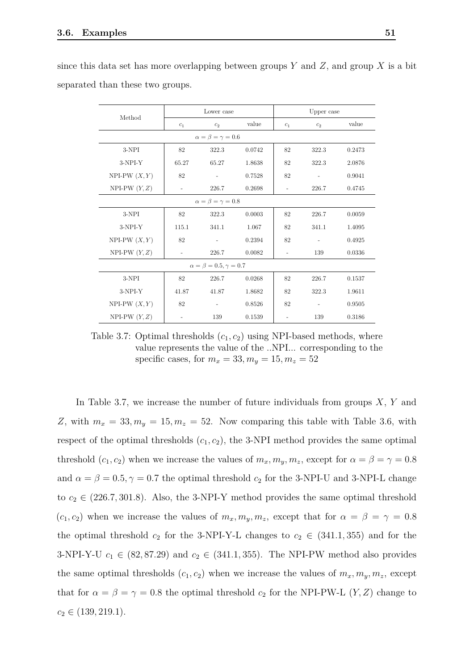| Method                          |                          | Lower case                           |        |                          | Upper case               |        |  |  |  |
|---------------------------------|--------------------------|--------------------------------------|--------|--------------------------|--------------------------|--------|--|--|--|
|                                 | $c_1$                    | $c_2$                                | value  | $c_1$                    | c <sub>2</sub>           | value  |  |  |  |
|                                 |                          | $\alpha = \beta = \gamma = 0.6$      |        |                          |                          |        |  |  |  |
| 3-NPI                           | 82                       | 322.3                                | 0.0742 | 82                       | 322.3                    | 0.2473 |  |  |  |
| $3-NPI-Y$                       | 65.27                    | 65.27                                | 1.8638 | 82                       | 322.3                    | 2.0876 |  |  |  |
| NPI-PW $(X, Y)$                 | 82                       | $\overline{\phantom{a}}$             | 0.7528 | 82                       | $\sim$                   | 0.9041 |  |  |  |
| NPI-PW $(Y, Z)$                 | $\overline{\phantom{a}}$ | 226.7                                | 0.2698 | $\overline{\phantom{a}}$ | 226.7                    | 0.4745 |  |  |  |
| $\alpha = \beta = \gamma = 0.8$ |                          |                                      |        |                          |                          |        |  |  |  |
| 3-NPI                           | 82                       | 322.3                                | 0.0003 | 82                       | 226.7                    | 0.0059 |  |  |  |
| $3-NPI-Y$                       | 115.1                    | 341.1                                | 1.067  | 82                       | 341.1                    | 1.4095 |  |  |  |
| NPI-PW $(X, Y)$                 | 82                       |                                      | 0.2394 | 82                       |                          | 0.4925 |  |  |  |
| NPI-PW $(Y, Z)$                 |                          | 226.7                                | 0.0082 |                          | 139                      | 0.0336 |  |  |  |
|                                 |                          | $\alpha = \beta = 0.5, \gamma = 0.7$ |        |                          |                          |        |  |  |  |
| 3-NPI                           | 82                       | 226.7                                | 0.0268 | 82                       | 226.7                    | 0.1537 |  |  |  |
| $3-NPI-Y$                       | 41.87                    | 41.87                                | 1.8682 | 82                       | 322.3                    | 1.9611 |  |  |  |
| NPI-PW $(X, Y)$                 | 82                       |                                      | 0.8526 | 82                       | $\overline{\phantom{a}}$ | 0.9505 |  |  |  |
| NPI-PW $(Y, Z)$                 | $\overline{\phantom{a}}$ | 139                                  | 0.1539 | $\overline{\phantom{0}}$ | 139                      | 0.3186 |  |  |  |

<span id="page-56-0"></span>since this data set has more overlapping between groups *Y* and *Z*, and group *X* is a bit separated than these two groups.

Table 3.7: Optimal thresholds  $(c_1, c_2)$  using NPI-based methods, where value represents the value of the ..NPI... corresponding to the specific cases, for  $m_x = 33, m_y = 15, m_z = 52$ 

In Table [3.7,](#page-56-0) we increase the number of future individuals from groups *X*, *Y* and *Z*, with  $m_x = 33, m_y = 15, m_z = 52$ . Now comparing this table with Table [3.6,](#page-55-0) with respect of the optimal thresholds  $(c_1, c_2)$ , the 3-NPI method provides the same optimal threshold  $(c_1, c_2)$  when we increase the values of  $m_x, m_y, m_z$ , except for  $\alpha = \beta = \gamma = 0.8$ and  $\alpha = \beta = 0.5, \gamma = 0.7$  the optimal threshold  $c_2$  for the 3-NPI-U and 3-NPI-L change to  $c_2 \in (226.7, 301.8)$ . Also, the 3-NPI-Y method provides the same optimal threshold  $(c_1, c_2)$  when we increase the values of  $m_x, m_y, m_z$ , except that for  $\alpha = \beta = \gamma = 0.8$ the optimal threshold  $c_2$  for the 3-NPI-Y-L changes to  $c_2 \in (341.1, 355)$  and for the 3-NPI-Y-U  $c_1 \in (82, 87.29)$  and  $c_2 \in (341.1, 355)$ . The NPI-PW method also provides the same optimal thresholds  $(c_1, c_2)$  when we increase the values of  $m_x, m_y, m_z$ , except that for  $\alpha = \beta = \gamma = 0.8$  the optimal threshold  $c_2$  for the NPI-PW-L (*Y, Z*) change to  $c_2 \in (139, 219.1).$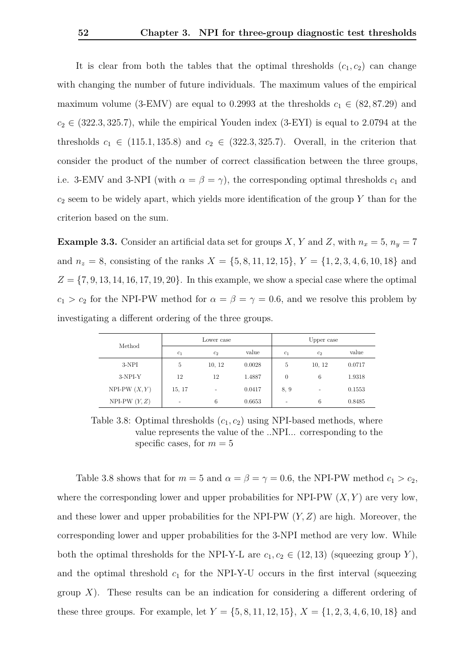It is clear from both the tables that the optimal thresholds  $(c_1, c_2)$  can change with changing the number of future individuals. The maximum values of the empirical maximum volume (3-EMV) are equal to 0.2993 at the thresholds  $c_1 \in (82, 87.29)$  and  $c_2 \in (322.3, 325.7)$ , while the empirical Youden index  $(3$ -EYI) is equal to 2.0794 at the thresholds  $c_1 \in (115.1, 135.8)$  and  $c_2 \in (322.3, 325.7)$ . Overall, in the criterion that consider the product of the number of correct classification between the three groups, i.e. 3-EMV and 3-NPI (with  $\alpha = \beta = \gamma$ ), the corresponding optimal thresholds  $c_1$  and *c*<sup>2</sup> seem to be widely apart, which yields more identification of the group *Y* than for the criterion based on the sum.

**Example 3.3.** Consider an artificial data set for groups *X*, *Y* and *Z*, with  $n_x = 5$ ,  $n_y = 7$ and  $n_z = 8$ , consisting of the ranks  $X = \{5, 8, 11, 12, 15\}$ ,  $Y = \{1, 2, 3, 4, 6, 10, 18\}$  and *Z* = {7*,* 9*,* 13*,* 14*,* 16*,* 17*,* 19*,* 20}. In this example, we show a special case where the optimal *c*<sub>1</sub> > *c*<sub>2</sub> for the NPI-PW method for  $\alpha = \beta = \gamma = 0.6$ , and we resolve this problem by investigating a different ordering of the three groups.

<span id="page-57-0"></span>

|                 |                | Lower case     |        | Upper case     |                |        |  |
|-----------------|----------------|----------------|--------|----------------|----------------|--------|--|
| Method          | c <sub>1</sub> | c <sub>2</sub> | value  | c <sub>1</sub> | c <sub>2</sub> | value  |  |
| 3-NPI           | 5              | 10, 12         | 0.0028 | 5              | 10, 12         | 0.0717 |  |
| $3-NPI-Y$       | 12             | 12             | 1.4887 | $\theta$       | 6              | 1.9318 |  |
| NPI-PW $(X, Y)$ | 15, 17         |                | 0.0417 | 8.9            |                | 0.1553 |  |
| NPI-PW $(Y, Z)$ |                | 6              | 0.6653 |                | 6              | 0.8485 |  |

Table 3.8: Optimal thresholds  $(c_1, c_2)$  using NPI-based methods, where value represents the value of the ..NPI... corresponding to the specific cases, for  $m = 5$ 

Table [3.8](#page-57-0) shows that for  $m = 5$  and  $\alpha = \beta = \gamma = 0.6$ , the NPI-PW method  $c_1 > c_2$ , where the corresponding lower and upper probabilities for NPI-PW  $(X, Y)$  are very low, and these lower and upper probabilities for the NPI-PW (*Y, Z*) are high. Moreover, the corresponding lower and upper probabilities for the 3-NPI method are very low. While both the optimal thresholds for the NPI-Y-L are  $c_1, c_2 \in (12, 13)$  (squeezing group *Y*), and the optimal threshold  $c_1$  for the NPI-Y-U occurs in the first interval (squeezing group *X*). These results can be an indication for considering a different ordering of these three groups. For example, let  $Y = \{5, 8, 11, 12, 15\}$ ,  $X = \{1, 2, 3, 4, 6, 10, 18\}$  and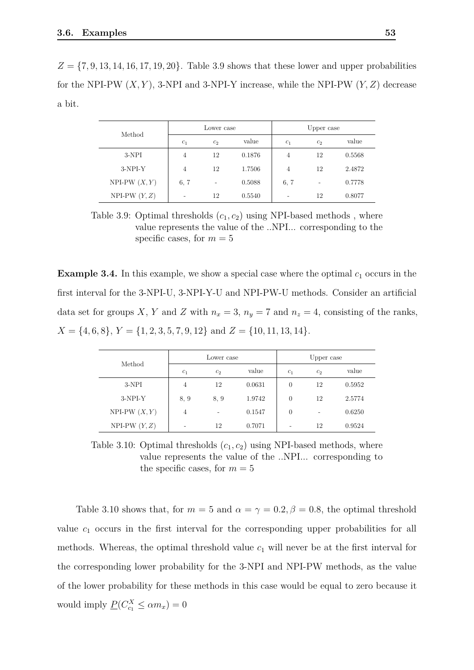$Z = \{7, 9, 13, 14, 16, 17, 19, 20\}$ . Table [3.9](#page-58-0) shows that these lower and upper probabilities for the NPI-PW (*X, Y* ), 3-NPI and 3-NPI-Y increase, while the NPI-PW (*Y, Z*) decrease a bit.

<span id="page-58-0"></span>

| Method          |                | Lower case     |        | Upper case     |                |        |  |
|-----------------|----------------|----------------|--------|----------------|----------------|--------|--|
|                 | c <sub>1</sub> | c <sub>2</sub> | value  | c <sub>1</sub> | c <sub>2</sub> | value  |  |
| $3-NPI$         | 4              | 12             | 0.1876 | 4              | 12             | 0.5568 |  |
| $3-NPI-Y$       | 4              | 12             | 1.7506 | 4              | 12             | 2.4872 |  |
| NPI-PW $(X, Y)$ | 6, 7           | ۰              | 0.5088 | 6, 7           | ۰              | 0.7778 |  |
| $NPI-PW(Y, Z)$  |                | 12             | 0.5540 |                | 12             | 0.8077 |  |

Table 3.9: Optimal thresholds  $(c_1, c_2)$  using NPI-based methods, where value represents the value of the ..NPI... corresponding to the specific cases, for  $m = 5$ 

**Example 3.4.** In this example, we show a special case where the optimal  $c_1$  occurs in the first interval for the 3-NPI-U, 3-NPI-Y-U and NPI-PW-U methods. Consider an artificial data set for groups *X*, *Y* and *Z* with  $n_x = 3$ ,  $n_y = 7$  and  $n_z = 4$ , consisting of the ranks,  $X = \{4, 6, 8\}, Y = \{1, 2, 3, 5, 7, 9, 12\}$  and  $Z = \{10, 11, 13, 14\}.$ 

<span id="page-58-1"></span>

|                 |                | Lower case     |        | Upper case     |                          |        |  |
|-----------------|----------------|----------------|--------|----------------|--------------------------|--------|--|
| Method          | c <sub>1</sub> | c <sub>2</sub> | value  | c <sub>1</sub> | c <sub>2</sub>           | value  |  |
| $3-NPI$         | 4              | 12             | 0.0631 | $\theta$       | 12                       | 0.5952 |  |
| $3-NPI-Y$       | 8, 9           | 8, 9           | 1.9742 | $\theta$       | 12                       | 2.5774 |  |
| NPI-PW $(X, Y)$ | 4              | -              | 0.1547 | $\theta$       | $\overline{\phantom{m}}$ | 0.6250 |  |
| NPI-PW $(Y, Z)$ | ۰              | 12             | 0.7071 | ٠              | 12                       | 0.9524 |  |

Table 3.10: Optimal thresholds  $(c_1, c_2)$  using NPI-based methods, where value represents the value of the ..NPI... corresponding to the specific cases, for  $m = 5$ 

Table [3.10](#page-58-1) shows that, for  $m = 5$  and  $\alpha = \gamma = 0.2$ ,  $\beta = 0.8$ , the optimal threshold value *c*<sup>1</sup> occurs in the first interval for the corresponding upper probabilities for all methods. Whereas, the optimal threshold value  $c_1$  will never be at the first interval for the corresponding lower probability for the 3-NPI and NPI-PW methods, as the value of the lower probability for these methods in this case would be equal to zero because it would imply  $\underline{P}(C_{c_1}^X \le \alpha m_x) = 0$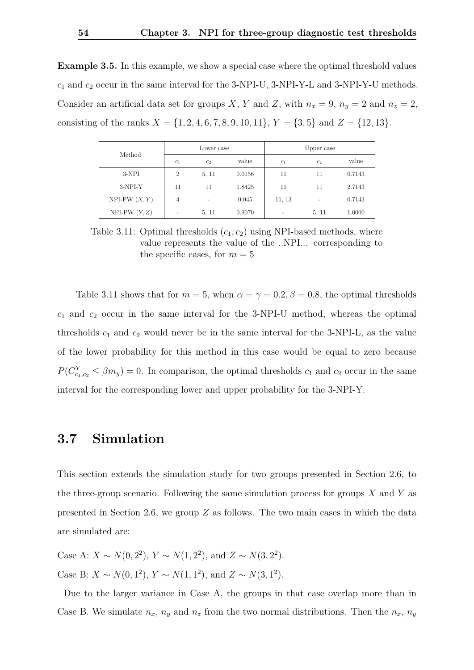**Example 3.5.** In this example, we show a special case where the optimal threshold values *c*<sup>1</sup> and *c*<sup>2</sup> occur in the same interval for the 3-NPI-U, 3-NPI-Y-L and 3-NPI-Y-U methods. Consider an artificial data set for groups *X*, *Y* and *Z*, with  $n_x = 9$ ,  $n_y = 2$  and  $n_z = 2$ , consisting of the ranks  $X = \{1, 2, 4, 6, 7, 8, 9, 10, 11\}, Y = \{3, 5\}$  and  $Z = \{12, 13\}.$ 

<span id="page-59-1"></span>

| Method          |                          | Lower case     |        |                | Upper case               |        |
|-----------------|--------------------------|----------------|--------|----------------|--------------------------|--------|
|                 | c <sub>1</sub>           | c <sub>2</sub> | value  | c <sub>1</sub> | c <sub>2</sub>           | value  |
| $3-NPI$         | $\overline{2}$           | 5, 11          | 0.0156 | 11             | 11                       | 0.7143 |
| $3-NPI-Y$       | 11                       | 11             | 1.8425 | 11             | 11                       | 2.7143 |
| NPI-PW $(X, Y)$ | 4                        |                | 0.045  | 11, 13         | $\overline{\phantom{0}}$ | 0.7143 |
| NPI-PW $(Y, Z)$ | $\overline{\phantom{0}}$ | 5, 11          | 0.9070 |                | 5, 11                    | 1.0000 |

Table 3.11: Optimal thresholds  $(c_1, c_2)$  using NPI-based methods, where value represents the value of the ..NPI... corresponding to the specific cases, for  $m = 5$ 

Table [3.11](#page-59-1) shows that for  $m = 5$ , when  $\alpha = \gamma = 0.2$ ,  $\beta = 0.8$ , the optimal thresholds *c*<sup>1</sup> and *c*<sup>2</sup> occur in the same interval for the 3-NPI-U method, whereas the optimal thresholds  $c_1$  and  $c_2$  would never be in the same interval for the 3-NPI-L, as the value of the lower probability for this method in this case would be equal to zero because  $P(C_{c_1,c_2}^Y \leq \beta m_y) = 0$ . In comparison, the optimal thresholds  $c_1$  and  $c_2$  occur in the same interval for the corresponding lower and upper probability for the 3-NPI-Y.

#### <span id="page-59-0"></span>**3.7 Simulation**

This section extends the simulation study for two groups presented in Section [2.6,](#page-29-0) to the three-group scenario. Following the same simulation process for groups *X* and *Y* as presented in Section [2.6,](#page-29-0) we group *Z* as follows. The two main cases in which the data are simulated are:

Case A: *X* ∼ *N*(0*,* 2<sup>2</sup>), *Y* ∼ *N*(1*,* 2<sup>2</sup>), and *Z* ∼ *N*(3*,* 2<sup>2</sup>). Case B: *X* ∼ *N*(0*,* 1<sup>2</sup>), *Y* ∼ *N*(1*,* 1<sup>2</sup>), and *Z* ∼ *N*(3*,* 1<sup>2</sup>).

Due to the larger variance in Case A, the groups in that case overlap more than in Case B. We simulate  $n_x$ ,  $n_y$  and  $n_z$  from the two normal distributions. Then the  $n_x$ ,  $n_y$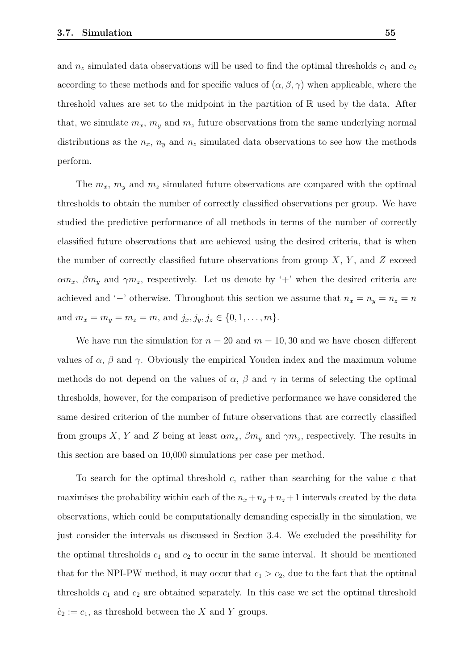and  $n_z$  simulated data observations will be used to find the optimal thresholds  $c_1$  and  $c_2$ according to these methods and for specific values of  $(\alpha, \beta, \gamma)$  when applicable, where the threshold values are set to the midpoint in the partition of  $\mathbb R$  used by the data. After that, we simulate  $m_x$ ,  $m_y$  and  $m_z$  future observations from the same underlying normal distributions as the  $n_x$ ,  $n_y$  and  $n_z$  simulated data observations to see how the methods perform.

The  $m_x$ ,  $m_y$  and  $m_z$  simulated future observations are compared with the optimal thresholds to obtain the number of correctly classified observations per group. We have studied the predictive performance of all methods in terms of the number of correctly classified future observations that are achieved using the desired criteria, that is when the number of correctly classified future observations from group *X*, *Y* , and *Z* exceed  $\alpha m_x$ ,  $\beta m_y$  and  $\gamma m_z$ , respectively. Let us denote by '+' when the desired criteria are achieved and '−' otherwise. Throughout this section we assume that  $n_x = n_y = n_z = n$ and  $m_x = m_y = m_z = m$ , and  $j_x, j_y, j_z \in \{0, 1, \ldots, m\}$ .

We have run the simulation for  $n = 20$  and  $m = 10, 30$  and we have chosen different values of *α*, *β* and *γ*. Obviously the empirical Youden index and the maximum volume methods do not depend on the values of  $\alpha$ ,  $\beta$  and  $\gamma$  in terms of selecting the optimal thresholds, however, for the comparison of predictive performance we have considered the same desired criterion of the number of future observations that are correctly classified from groups *X*, *Y* and *Z* being at least  $\alpha m_x$ ,  $\beta m_y$  and  $\gamma m_z$ , respectively. The results in this section are based on 10,000 simulations per case per method.

To search for the optimal threshold *c*, rather than searching for the value *c* that maximises the probability within each of the  $n_x + n_y + n_z + 1$  intervals created by the data observations, which could be computationally demanding especially in the simulation, we just consider the intervals as discussed in Section [3.4.](#page-44-0) We excluded the possibility for the optimal thresholds  $c_1$  and  $c_2$  to occur in the same interval. It should be mentioned that for the NPI-PW method, it may occur that  $c_1 > c_2$ , due to the fact that the optimal thresholds  $c_1$  and  $c_2$  are obtained separately. In this case we set the optimal threshold  $\tilde{c}_2 := c_1$ , as threshold between the *X* and *Y* groups.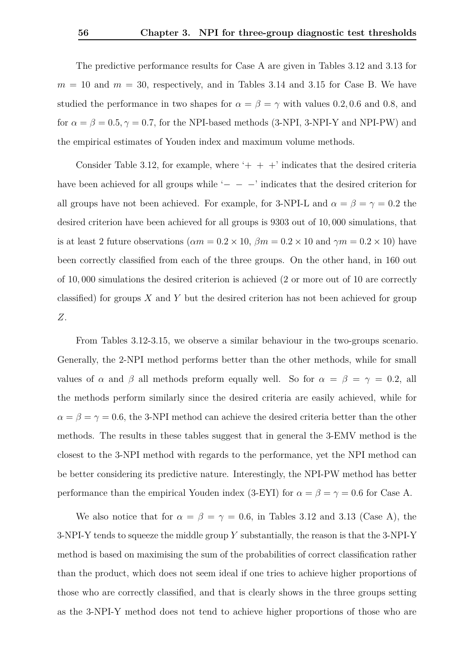The predictive performance results for Case A are given in Tables [3.12](#page-64-0) and [3.13](#page-65-0) for  $m = 10$  and  $m = 30$ , respectively, and in Tables [3.14](#page-66-0) and [3.15](#page-67-0) for Case B. We have studied the performance in two shapes for  $\alpha = \beta = \gamma$  with values 0.2, 0.6 and 0.8, and for  $\alpha = \beta = 0.5, \gamma = 0.7$ , for the NPI-based methods (3-NPI, 3-NPI-Y and NPI-PW) and the empirical estimates of Youden index and maximum volume methods.

Consider Table [3.12,](#page-64-0) for example, where  $+ + +$  indicates that the desired criteria have been achieved for all groups while ' $-$ ' indicates that the desired criterion for all groups have not been achieved. For example, for 3-NPI-L and  $\alpha = \beta = \gamma = 0.2$  the desired criterion have been achieved for all groups is 9303 out of 10*,* 000 simulations, that is at least 2 future observations ( $\alpha m = 0.2 \times 10$ ,  $\beta m = 0.2 \times 10$  and  $\gamma m = 0.2 \times 10$ ) have been correctly classified from each of the three groups. On the other hand, in 160 out of 10*,* 000 simulations the desired criterion is achieved (2 or more out of 10 are correctly classified) for groups *X* and *Y* but the desired criterion has not been achieved for group *Z*.

From Tables [3.12-](#page-64-0)[3.15,](#page-67-0) we observe a similar behaviour in the two-groups scenario. Generally, the 2-NPI method performs better than the other methods, while for small values of *α* and *β* all methods preform equally well. So for  $\alpha = \beta = \gamma = 0.2$ , all the methods perform similarly since the desired criteria are easily achieved, while for  $\alpha = \beta = \gamma = 0.6$ , the 3-NPI method can achieve the desired criteria better than the other methods. The results in these tables suggest that in general the 3-EMV method is the closest to the 3-NPI method with regards to the performance, yet the NPI method can be better considering its predictive nature. Interestingly, the NPI-PW method has better performance than the empirical Youden index (3-EYI) for  $\alpha = \beta = \gamma = 0.6$  for Case A.

We also notice that for  $\alpha = \beta = \gamma = 0.6$ , in Tables [3.12](#page-64-0) and [3.13](#page-65-0) (Case A), the 3-NPI-Y tends to squeeze the middle group *Y* substantially, the reason is that the 3-NPI-Y method is based on maximising the sum of the probabilities of correct classification rather than the product, which does not seem ideal if one tries to achieve higher proportions of those who are correctly classified, and that is clearly shows in the three groups setting as the 3-NPI-Y method does not tend to achieve higher proportions of those who are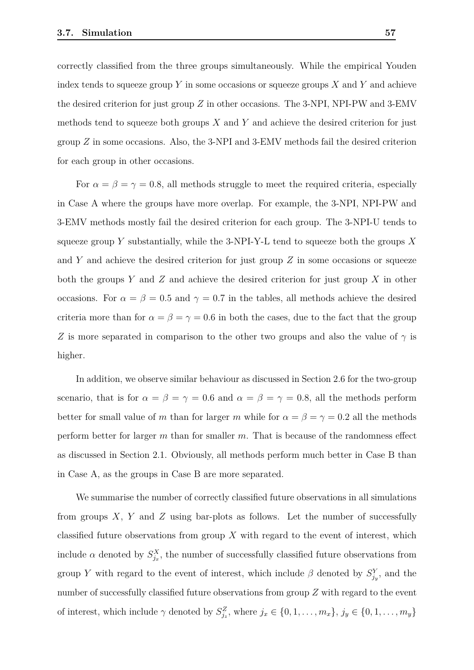correctly classified from the three groups simultaneously. While the empirical Youden index tends to squeeze group *Y* in some occasions or squeeze groups *X* and *Y* and achieve the desired criterion for just group *Z* in other occasions. The 3-NPI, NPI-PW and 3-EMV methods tend to squeeze both groups *X* and *Y* and achieve the desired criterion for just group *Z* in some occasions. Also, the 3-NPI and 3-EMV methods fail the desired criterion for each group in other occasions.

For  $\alpha = \beta = \gamma = 0.8$ , all methods struggle to meet the required criteria, especially in Case A where the groups have more overlap. For example, the 3-NPI, NPI-PW and 3-EMV methods mostly fail the desired criterion for each group. The 3-NPI-U tends to squeeze group *Y* substantially, while the 3-NPI-Y-L tend to squeeze both the groups *X* and *Y* and achieve the desired criterion for just group *Z* in some occasions or squeeze both the groups *Y* and *Z* and achieve the desired criterion for just group *X* in other occasions. For  $\alpha = \beta = 0.5$  and  $\gamma = 0.7$  in the tables, all methods achieve the desired criteria more than for  $\alpha = \beta = \gamma = 0.6$  in both the cases, due to the fact that the group *Z* is more separated in comparison to the other two groups and also the value of *γ* is higher.

In addition, we observe similar behaviour as discussed in Section [2.6](#page-29-0) for the two-group scenario, that is for  $\alpha = \beta = \gamma = 0.6$  and  $\alpha = \beta = \gamma = 0.8$ , all the methods perform better for small value of *m* than for larger *m* while for  $\alpha = \beta = \gamma = 0.2$  all the methods perform better for larger *m* than for smaller *m*. That is because of the randomness effect as discussed in Section [2.1.](#page-19-1) Obviously, all methods perform much better in Case B than in Case A, as the groups in Case B are more separated.

We summarise the number of correctly classified future observations in all simulations from groups *X*, *Y* and *Z* using bar-plots as follows. Let the number of successfully classified future observations from group *X* with regard to the event of interest, which include  $\alpha$  denoted by  $S_{j_x}^X$ , the number of successfully classified future observations from group *Y* with regard to the event of interest, which include  $\beta$  denoted by  $S_{j_y}^Y$ , and the number of successfully classified future observations from group *Z* with regard to the event of interest, which include  $\gamma$  denoted by  $S_{j_z}^Z$ , where  $j_x \in \{0, 1, \ldots, m_x\}$ ,  $j_y \in \{0, 1, \ldots, m_y\}$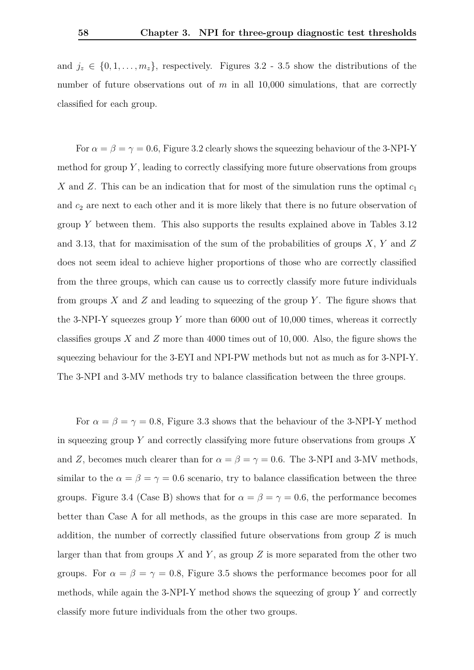and  $j_z \in \{0, 1, \ldots, m_z\}$ , respectively. Figures [3.2](#page-68-0) - [3.5](#page-69-0) show the distributions of the number of future observations out of *m* in all 10,000 simulations, that are correctly classified for each group.

For  $\alpha = \beta = \gamma = 0.6$ , Figure [3.2](#page-68-0) clearly shows the squeezing behaviour of the 3-NPI-Y method for group *Y* , leading to correctly classifying more future observations from groups *X* and *Z*. This can be an indication that for most of the simulation runs the optimal *c*<sup>1</sup> and  $c_2$  are next to each other and it is more likely that there is no future observation of group *Y* between them. This also supports the results explained above in Tables [3.12](#page-64-0) and [3.13,](#page-65-0) that for maximisation of the sum of the probabilities of groups *X*, *Y* and *Z* does not seem ideal to achieve higher proportions of those who are correctly classified from the three groups, which can cause us to correctly classify more future individuals from groups *X* and *Z* and leading to squeezing of the group *Y* . The figure shows that the 3-NPI-Y squeezes group *Y* more than 6000 out of 10,000 times, whereas it correctly classifies groups *X* and *Z* more than 4000 times out of 10*,* 000. Also, the figure shows the squeezing behaviour for the 3-EYI and NPI-PW methods but not as much as for 3-NPI-Y. The 3-NPI and 3-MV methods try to balance classification between the three groups.

For  $\alpha = \beta = \gamma = 0.8$ , Figure [3.3](#page-68-1) shows that the behaviour of the 3-NPI-Y method in squeezing group *Y* and correctly classifying more future observations from groups *X* and *Z*, becomes much clearer than for  $\alpha = \beta = \gamma = 0.6$ . The 3-NPI and 3-MV methods, similar to the  $\alpha = \beta = \gamma = 0.6$  scenario, try to balance classification between the three groups. Figure [3.4](#page-69-1) (Case B) shows that for  $\alpha = \beta = \gamma = 0.6$ , the performance becomes better than Case A for all methods, as the groups in this case are more separated. In addition, the number of correctly classified future observations from group *Z* is much larger than that from groups *X* and *Y* , as group *Z* is more separated from the other two groups. For  $\alpha = \beta = \gamma = 0.8$ , Figure [3.5](#page-69-0) shows the performance becomes poor for all methods, while again the 3-NPI-Y method shows the squeezing of group *Y* and correctly classify more future individuals from the other two groups.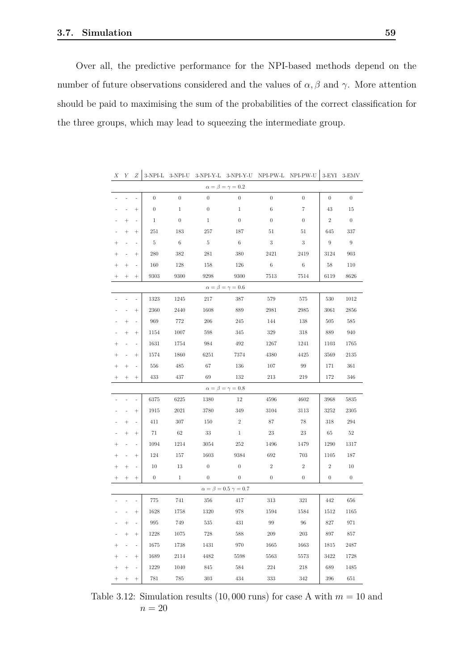Over all, the predictive performance for the NPI-based methods depend on the number of future observations considered and the values of  $\alpha$ ,  $\beta$  and  $\gamma$ . More attention should be paid to maximising the sum of the probabilities of the correct classification for the three groups, which may lead to squeezing the intermediate group.

<span id="page-64-0"></span>

|           |                           |           | 9-111 1-D        | $0 - 1 + 1 - 0$  | $0 - 1$ $1 - 1 - 1$ |                                 |                  |                  | காப் சுவ         |                  |  |  |  |
|-----------|---------------------------|-----------|------------------|------------------|---------------------|---------------------------------|------------------|------------------|------------------|------------------|--|--|--|
|           |                           |           |                  |                  |                     | $\alpha = \beta = \gamma = 0.2$ |                  |                  |                  |                  |  |  |  |
|           |                           |           | $\boldsymbol{0}$ | $\overline{0}$   | $\boldsymbol{0}$    | $\boldsymbol{0}$                | $\boldsymbol{0}$ | $\boldsymbol{0}$ | $\boldsymbol{0}$ | $\overline{0}$   |  |  |  |
|           |                           | $\ddot{}$ | $\boldsymbol{0}$ | $\mathbf 1$      | $\boldsymbol{0}$    | 1                               | 6                | 7                | 43               | 15               |  |  |  |
|           | $^{+}$                    | ä,        | $\mathbf{1}$     | $\boldsymbol{0}$ | 1                   | $\boldsymbol{0}$                | $\overline{0}$   | $\boldsymbol{0}$ | $\sqrt{2}$       | $\boldsymbol{0}$ |  |  |  |
|           | $\ddot{}$                 | $^{+}$    | 251              | 183              | 257                 | 187                             | 51               | 51               | 645              | 337              |  |  |  |
| $^{+}$    |                           |           | $5\,$            | $6\phantom{.}6$  | $5\,$               | - 6                             | 3                | $\sqrt{3}$       | $\boldsymbol{9}$ | -9               |  |  |  |
|           |                           | $^{+}$    | 280              | 382              | $281\,$             | 380                             | 2421             | 2419             | 3124             | 903              |  |  |  |
|           | $^+$                      |           | 160              | 128              | 158                 | 126                             | $\,6$            | 6                | 58               | 110              |  |  |  |
|           | $^{+}$                    | $^{+}$    | 9303             | 9300             | 9298                | 9300                            | 7513             | 7514             | 6119             | 8626             |  |  |  |
|           | $\alpha=\beta=\gamma=0.6$ |           |                  |                  |                     |                                 |                  |                  |                  |                  |  |  |  |
|           | L                         |           | 1323             | 1245             | 217                 | 387                             | 579              | 575              | 530              | 1012             |  |  |  |
|           |                           | $^{+}$    | 2360             | 2440             | 1608                | 889                             | 2981             | 2985             | 3061             | $2856\,$         |  |  |  |
|           | $\ddot{}$                 |           | 969              | 772              | 206                 | 245                             | 144              | 138              | 505              | $585\,$          |  |  |  |
|           | $^{+}$                    | $+$       | 1154             | 1007             | 598                 | 345                             | 329              | 318              | 889              | 940              |  |  |  |
| $\ddot{}$ | ä,                        |           | 1631             | 1754             | 984                 | 492                             | 1267             | 1241             | 1103             | 1765             |  |  |  |
|           |                           | $^{+}$    | 1574             | 1860             | 6251                | 7374                            | 4380             | 4425             | 3569             | 2135             |  |  |  |
|           | $^{+}$                    |           | 556              | 485              | 67                  | 136                             | 107              | 99               | 171              | 361              |  |  |  |
|           | $^+$                      | $^{+}$    | 433              | 437              | 69                  | 132                             | 213              | 219              | 172              | 346              |  |  |  |
|           |                           |           |                  |                  |                     | $\alpha=\beta=\gamma=0.8$       |                  |                  |                  |                  |  |  |  |
|           |                           |           | 6375             | $6225\,$         | 1380                | 12                              | 4596             | 4602             | 3968             | 5835             |  |  |  |
|           |                           | $^{+}$    | 1915             | 2021             | 3780                | 349                             | 3104             | 3113             | 3252             | 2305             |  |  |  |
|           | $^{+}$                    |           | 411              | $307\,$          | 150                 | $\sqrt{2}$                      | 87               | 78               | 318              | 294              |  |  |  |
|           | $^{+}$                    | $^{+}$    | 71               | 62               | 33                  | $\mathbf{1}$                    | 23               | 23               | -65              | 52               |  |  |  |
| $^{+}$    | $\overline{\phantom{a}}$  | ä,        | 1094             | 1214             | 3054                | 252                             | 1496             | 1479             | 1290             | 1317             |  |  |  |
|           | ä,                        | $^{+}$    | 124              | 157              | 1603                | 9384                            | 692              | 703              | 1105             | 187              |  |  |  |
|           | $^+$                      | i,        | 10               | 13               | $\boldsymbol{0}$    | $\boldsymbol{0}$                | $\,2$            | $\,2$            | $\sqrt{2}$       | $10\,$           |  |  |  |
|           | $^{+}$                    | $^{+}$    | $\overline{0}$   | $\mathbf{1}$     | $\boldsymbol{0}$    | $\overline{\phantom{0}}$        | $\theta$         | $\overline{0}$   | $\mathbf{0}$     | $\overline{0}$   |  |  |  |
|           |                           |           |                  |                  |                     | $\alpha=\beta=0.5$ $\gamma=0.7$ |                  |                  |                  |                  |  |  |  |
|           |                           |           | 775              | 741              | 356                 | 417                             | 313              | 321              | 442              | 656              |  |  |  |
|           |                           | $\ddot{}$ | 1628             | 1758             | 1320                | 978                             | 1594             | 1584             | 1512             | 1165             |  |  |  |
|           | $\! + \!\!\!\!$           | i,        | 995              | 749              | 535                 | 431                             | 99               | 96               | 827              | 971              |  |  |  |
|           | $\ddot{}$                 | $^{+}$    | 1228             | 1075             | 728                 | 588                             | 209              | 203              | 897              | 857              |  |  |  |
| $^{+}$    | ä,                        |           | 1675             | 1738             | 1431                | 970                             | 1665             | 1663             | 1815             | 2487             |  |  |  |
| $\ddag$   |                           | $^{+}$    | 1689             | 2114             | 4482                | 5598                            | 5563             | 5573             | 3422             | 1728             |  |  |  |
|           | $+$                       |           | 1229             | 1040             | 845                 | 584                             | 224              | 218              | 689              | 1485             |  |  |  |
|           | $^{+}$                    | $^{+}$    | 781              | $785\,$          | 303                 | 434                             | 333              | 342              | 396              | 651              |  |  |  |

*X Y Z* 3-NPI-L 3-NPI-U 3-NPI-Y-L 3-NPI-Y-U NPI-PW-L NPI-PW-U 3-EYI 3-EMV

Table 3.12: Simulation results  $(10,000 \text{ runs})$  for case A with  $m = 10$  and  $n = 20$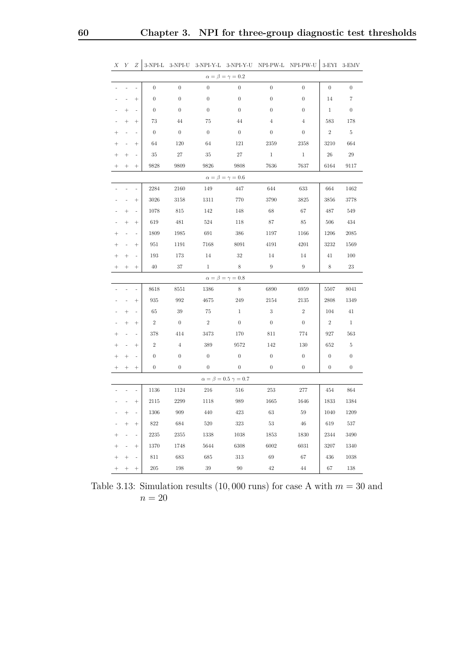| $\alpha = \beta = \gamma = 0.2$ |                                 |                    |                  |                  |                  |                                 |                  |                  |                  |                  |  |
|---------------------------------|---------------------------------|--------------------|------------------|------------------|------------------|---------------------------------|------------------|------------------|------------------|------------------|--|
|                                 |                                 |                    | $\boldsymbol{0}$ | $\boldsymbol{0}$ | $\boldsymbol{0}$ | $\boldsymbol{0}$                | $\overline{0}$   | $\boldsymbol{0}$ | $\boldsymbol{0}$ | $\overline{0}$   |  |
|                                 | ä,                              | $^{+}$             | $\boldsymbol{0}$ | $\boldsymbol{0}$ | $\mathbf{0}$     | $\boldsymbol{0}$                | $\overline{0}$   | $\mathbf{0}$     | 14               | $\overline{7}$   |  |
|                                 | $^{+}$                          | ä,                 | $\boldsymbol{0}$ | $\boldsymbol{0}$ | $\boldsymbol{0}$ | $\boldsymbol{0}$                | $\boldsymbol{0}$ | $\boldsymbol{0}$ | $\mathbf{1}$     | $\boldsymbol{0}$ |  |
|                                 | $\ddot{}$                       | $^{+}$             | 73               | 44               | 75               | 44                              | $\overline{4}$   | $\overline{4}$   | 583              | 178              |  |
| $^{+}$                          | ä,                              |                    | $\mathbf{0}$     | $\boldsymbol{0}$ | $\mathbf{0}$     | $\boldsymbol{0}$                | $\theta$         | $\boldsymbol{0}$ | $\mathbf{2}$     | 5                |  |
| $\ddot{}$                       | ÷,                              | $^{+}$             | 64               | 120              | 64               | 121                             | 2359             | 2358             | 3210             | 664              |  |
|                                 | $^{+}$                          |                    | 35               | $27\,$           | 35               | 27                              | $\,1\,$          | 1                | 26               | 29               |  |
|                                 | $^{+}$                          | $^{+}$             | 9828             | 9809             | 9826             | 9808                            | 7636             | 7637             | 6164             | 9117             |  |
|                                 | $\alpha=\beta=\gamma=0.6$       |                    |                  |                  |                  |                                 |                  |                  |                  |                  |  |
|                                 | ä,                              | ä,                 | 2284             | 2160             | 149              | 447                             | 644              | 633              | 664              | 1462             |  |
|                                 |                                 | $^{+}$             | 3026             | 3158             | 1311             | 770                             | 3790             | 3825             | 3856             | 3778             |  |
|                                 | $^{+}$                          |                    | 1078             | 815              | 142              | 148                             | 68               | 67               | 487              | 549              |  |
|                                 | $^{+}$                          | $^{+}$             | 619              | 481              | 524              | 118                             | 87               | 85               | 506              | 434              |  |
|                                 | ÷,                              | ä,                 | 1809             | 1985             | $691\,$          | 386                             | 1197             | 1166             | 1206             | 2085             |  |
|                                 | ä,                              | $^{+}$             | 951              | 1191             | 7168             | 8091                            | 4191             | 4201             | 3232             | 1569             |  |
|                                 | $\ddot{}$                       |                    | 193              | 173              | 14               | 32                              | 14               | 14               | 41               | 100              |  |
|                                 | $^{+}$                          | $^{+}$             | 40               | 37               | 1                | 8                               | 9                | 9                | 8                | 23               |  |
|                                 |                                 |                    |                  |                  |                  | $\alpha = \beta = \gamma = 0.8$ |                  |                  |                  |                  |  |
|                                 |                                 |                    | 8618             | 8551             | 1386             | 8                               | 6890             | 6959             | 5507             | 8041             |  |
|                                 |                                 | $^{+}$             | 935              | 992              | 4675             | 249                             | 2154             | 2135             | 2808             | 1349             |  |
|                                 | $^{+}$                          |                    | 65               | $39\,$           | 75               | $\mathbf{1}$                    | $\sqrt{3}$       | $\,2$            | 104              | 41               |  |
|                                 | $^{+}$                          | $^{+}$             | $\,2$            | $\boldsymbol{0}$ | $\,2$            | $\boldsymbol{0}$                | $\boldsymbol{0}$ | $\boldsymbol{0}$ | $\,2$            | $\mathbf{1}$     |  |
|                                 |                                 |                    | 378              | 414              | 3473             | 170                             | 811              | 774              | 927              | 563              |  |
|                                 |                                 | $^{+}$             | $\overline{2}$   | $\overline{4}$   | 389              | 9572                            | 142              | 130              | 652              | $\,$ 5 $\,$      |  |
|                                 | $^{+}$                          | ä,                 | $\boldsymbol{0}$ | $\boldsymbol{0}$ | $\boldsymbol{0}$ | $\boldsymbol{0}$                | $\boldsymbol{0}$ | $\boldsymbol{0}$ | $\boldsymbol{0}$ | $\boldsymbol{0}$ |  |
|                                 | $^{+}$                          | $\hspace{0.1mm} +$ | $\boldsymbol{0}$ | $\boldsymbol{0}$ | $\overline{0}$   | $\boldsymbol{0}$                | $\boldsymbol{0}$ | $\boldsymbol{0}$ | $\boldsymbol{0}$ | $\overline{0}$   |  |
|                                 | $\alpha=\beta=0.5$ $\gamma=0.7$ |                    |                  |                  |                  |                                 |                  |                  |                  |                  |  |
|                                 | L.                              | L.                 | $1136\,$         | 1124             | 216              | 516                             | $253\,$          | $277\,$          | 454              | 864              |  |
|                                 | ä,                              | $^{+}$             | 2115             | 2299             | 1118             | 989                             | 1665             | 1646             | 1833             | 1384             |  |
|                                 | $^{+}$                          | ÷,                 | 1306             | 909              | 440              | 423                             | 63               | 59               | 1040             | 1209             |  |
|                                 | $^{+}$                          | $^{+}$             | 822              | 684              | 520              | 323                             | 53               | 46               | 619              | 537              |  |
| $^{+}$                          | $\overline{\phantom{a}}$        | ä,                 | 2235             | 2355             | 1338             | 1038                            | 1853             | 1830             | 2344             | 3490             |  |
| $\ddag$                         | $\frac{1}{2}$                   | $^{+}$             | 1370             | 1748             | 5644             | 6308                            | 6002             | 6031             | 3207             | 1340             |  |
| $\ddot{}$                       | $+$                             |                    | 811              | 683              | 685              | 313                             | 69               | 67               | 436              | 1038             |  |
|                                 | $^{+}$                          | $^{+}$             | 205              | 198              | 39               | 90                              | 42               | 44               | 67               | 138              |  |

<span id="page-65-0"></span>*X Y Z* 3-NPI-L 3-NPI-U 3-NPI-Y-L 3-NPI-Y-U NPI-PW-L NPI-PW-U 3-EYI 3-EMV

Table 3.13: Simulation results  $(10,000 \text{ runs})$  for case A with  $m = 30$  and  $n = 20$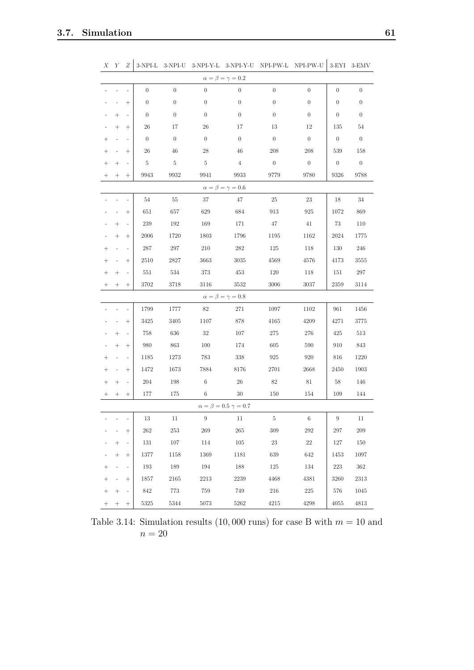<span id="page-66-0"></span>

| Х                               | Y                               | Ζ                        | $3$ -NPI-L $\,$  | $3-NPI-U$        |                  |                           | 3-NPI-Y-L 3-NPI-Y-U NPI-PW-L NPI-PW-U |                  | $3-EYI$          | 3-EMV            |  |
|---------------------------------|---------------------------------|--------------------------|------------------|------------------|------------------|---------------------------|---------------------------------------|------------------|------------------|------------------|--|
| $\alpha=\beta=\gamma=0.2$       |                                 |                          |                  |                  |                  |                           |                                       |                  |                  |                  |  |
|                                 |                                 |                          | $\overline{0}$   | $\boldsymbol{0}$ | $\boldsymbol{0}$ | $\overline{0}$            | $\boldsymbol{0}$                      | $\theta$         | $\overline{0}$   | $\boldsymbol{0}$ |  |
|                                 |                                 | $^{+}$                   | $\boldsymbol{0}$ | $\boldsymbol{0}$ | $\boldsymbol{0}$ | $\boldsymbol{0}$          | $\boldsymbol{0}$                      | $\boldsymbol{0}$ | $\overline{0}$   | $\boldsymbol{0}$ |  |
|                                 | $\! +$                          |                          | $\boldsymbol{0}$ | $\boldsymbol{0}$ | $\boldsymbol{0}$ | $\boldsymbol{0}$          | $\boldsymbol{0}$                      | $\theta$         | $\boldsymbol{0}$ | $\boldsymbol{0}$ |  |
|                                 | $\! +$                          | $^{+}$                   | 26               | 17               | 26               | 17                        | 13                                    | 12               | 135              | 54               |  |
| $^+$                            | $\overline{\phantom{0}}$        |                          | $\boldsymbol{0}$ | $\boldsymbol{0}$ | $\boldsymbol{0}$ | $\boldsymbol{0}$          | $\theta$                              | $\overline{0}$   | $\mathbf{0}$     | $\boldsymbol{0}$ |  |
| $^+$                            |                                 | $^{+}$                   | $26\,$           | 46               | 28               | 46                        | 208                                   | 208              | 539              | 158              |  |
|                                 | $^{+}$                          |                          | $\bf 5$          | $\bf 5$          | $\bf 5$          | $\overline{4}$            | $\boldsymbol{0}$                      | $\overline{0}$   | $\boldsymbol{0}$ | $\boldsymbol{0}$ |  |
|                                 | $^{+}$                          | $^{+}$                   | 9943             | 9932             | 9941             | 9933                      | 9779                                  | 9780             | 9326             | 9788             |  |
|                                 | $\alpha = \beta = \gamma = 0.6$ |                          |                  |                  |                  |                           |                                       |                  |                  |                  |  |
|                                 |                                 |                          | 54               | 55               | 37               | 47                        | $25\,$                                | $23\,$           | 18               | $34\,$           |  |
|                                 |                                 | $^{+}$                   | 651              | 657              | 629              | 684                       | 913                                   | 925              | 1072             | 869              |  |
|                                 | $\! + \!\!\!\!$                 | $\overline{\phantom{a}}$ | $239\,$          | 192              | 169              | 171                       | 47                                    | 41               | 73               | 110              |  |
|                                 | $^{+}$                          | $^{+}$                   | 2006             | 1720             | 1803             | 1796                      | 1195                                  | 1162             | 2024             | 1775             |  |
| $^{+}$                          |                                 |                          | 287              | $297\,$          | 210              | 282                       | 125                                   | 118              | 130              | 246              |  |
| $\overline{+}$                  |                                 | $^{+}$                   | 2510             | 2827             | 3663             | $3035\,$                  | 4569                                  | $4576\,$         | 4173             | 3555             |  |
| $^+$                            | $^{+}$                          |                          | $551\,$          | 534              | 373              | 453                       | 120                                   | 118              | $151\,$          | $297\,$          |  |
|                                 | $^+$                            | $^{+}$                   | 3702             | 3718             | 3116             | 3532                      | 3006                                  | 3037             | 2359             | 3114             |  |
|                                 |                                 |                          |                  |                  |                  | $\alpha=\beta=\gamma=0.8$ |                                       |                  |                  |                  |  |
|                                 |                                 |                          | 1799             | 1777             | 82               | 271                       | 1097                                  | 1102             | 961              | 1456             |  |
|                                 |                                 | $^{+}$                   | 3425             | 3405             | 1107             | 878                       | 4165                                  | 4209             | 4271             | 3775             |  |
|                                 | $\! +$                          |                          | 758              | 636              | 32               | $107\,$                   | $275\,$                               | 276              | 425              | $513\,$          |  |
|                                 | $^{+}$                          | $^{+}$                   | 980              | $863\,$          | 100              | 174                       | 605                                   | 590              | 910              | 843              |  |
| $^{+}$                          | $\blacksquare$                  |                          | 1185             | 1273             | 783              | $338\,$                   | $925\,$                               | $920\,$          | 816              | 1220             |  |
|                                 |                                 | $^{+}$                   | 1472             | 1673             | 7884             | 8176                      | 2701                                  | 2668             | 2450             | 1903             |  |
|                                 | $\! + \!\!\!\!$                 |                          | $204\,$          | 198              | $\,6$            | $26\,$                    | $82\,$                                | $81\,$           | 58               | 146              |  |
|                                 |                                 | $^{+}$                   | 177              | 175              | $\,6$            | 30                        | 150                                   | 154              | 109              | 144              |  |
| $\alpha=\beta=0.5$ $\gamma=0.7$ |                                 |                          |                  |                  |                  |                           |                                       |                  |                  |                  |  |
|                                 |                                 |                          | $13\,$           | $11\,$           | 9                | 11                        | $-5$                                  | $-6$             | 9                | 11               |  |
|                                 | $\sim$                          | $^{+}$                   | 262              | 253              | 269              | 265                       | 309                                   | 292              | 297              | 209              |  |
|                                 | $\boldsymbol{+}$                | $\bar{\phantom{a}}$      | 131              | $107\,$          | 114              | $105\,$                   | $23\,$                                | $22\,$           | 127              | 150              |  |
|                                 | $^{+}$                          | $^{+}$                   | 1377             | 1158             | 1369             | 1181                      | 639                                   | 642              | 1453             | 1097             |  |
| $^{+}$                          | $\omega$                        | $\bar{\phantom{a}}$      | 193              | $189\,$          | 194              | $188\,$                   | 125                                   | 134              | $223\,$          | $362\,$          |  |
| $^+$                            | $\overline{\phantom{a}}$        | $^{+}$                   | 1857             | $\,2165$         | 2213             | 2239                      | 4468                                  | 4381             | 3260             | $2313\,$         |  |
| $^{+}$                          | $^{+}$                          |                          | 842              | 773              | 759              | 749                       | $216\,$                               | $225\,$          | $576\,$          | 1045             |  |
|                                 |                                 | $^{+}$                   | $5325\,$         | $5344\,$         | 5073             | $5262\,$                  | 4215                                  | 4298             | $4055\,$         | 4813             |  |

Table 3.14: Simulation results  $(10,000 \text{ runs})$  for case B with  $m = 10$  and  $n = 20$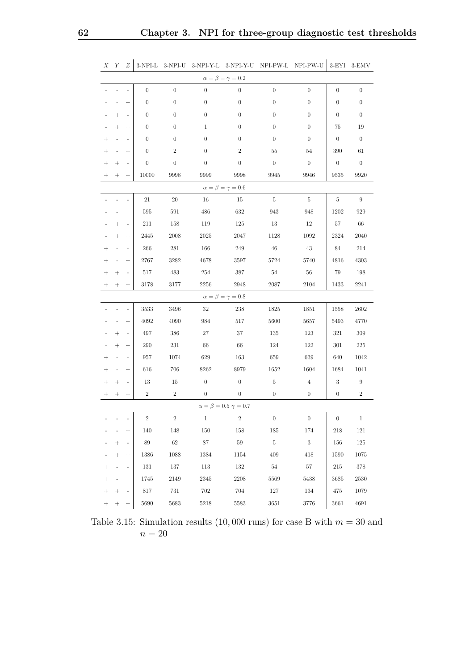<span id="page-67-0"></span>

| X                               | Y                        | Ζ                        | $3-NPI-L$        | $3-NPI-U$        |                  |                           | 3-NPI-Y-L 3-NPI-Y-U NPI-PW-L NPI-PW-U |                  | $3$ -EYI                 | 3-EMV            |
|---------------------------------|--------------------------|--------------------------|------------------|------------------|------------------|---------------------------|---------------------------------------|------------------|--------------------------|------------------|
| $\alpha=\beta=\gamma=0.2$       |                          |                          |                  |                  |                  |                           |                                       |                  |                          |                  |
|                                 |                          |                          | $\boldsymbol{0}$ | $\boldsymbol{0}$ | $\theta$         | $\overline{0}$            | $\boldsymbol{0}$                      | $\boldsymbol{0}$ | $\boldsymbol{0}$         | $\boldsymbol{0}$ |
|                                 |                          | $^{+}$                   | $\boldsymbol{0}$ | $\boldsymbol{0}$ | $\overline{0}$   | $\boldsymbol{0}$          | $\boldsymbol{0}$                      | $\boldsymbol{0}$ | $\boldsymbol{0}$         | $\boldsymbol{0}$ |
|                                 | $\! + \!\!\!\!$          |                          | $\boldsymbol{0}$ | $\boldsymbol{0}$ | $\boldsymbol{0}$ | $\boldsymbol{0}$          | $\boldsymbol{0}$                      | $\boldsymbol{0}$ | $\theta$                 | $\boldsymbol{0}$ |
|                                 | $^{+}$                   | $^{+}$                   | $\boldsymbol{0}$ | $\boldsymbol{0}$ | 1                | $\boldsymbol{0}$          | $\boldsymbol{0}$                      | $\boldsymbol{0}$ | 75                       | 19               |
| $^+$                            |                          |                          | $\boldsymbol{0}$ | $\boldsymbol{0}$ | $\boldsymbol{0}$ | $\boldsymbol{0}$          | $\boldsymbol{0}$                      | $\boldsymbol{0}$ | $\boldsymbol{0}$         | $\boldsymbol{0}$ |
| $^+$                            |                          | $^{+}$                   | $\boldsymbol{0}$ | $\,2$            | $\boldsymbol{0}$ | $\boldsymbol{2}$          | 55                                    | 54               | 390                      | 61               |
| $^+$                            | $^{+}$                   |                          | $\boldsymbol{0}$ | $\boldsymbol{0}$ | $\boldsymbol{0}$ | $\boldsymbol{0}$          | $\boldsymbol{0}$                      | $\boldsymbol{0}$ | $\boldsymbol{0}$         | $\boldsymbol{0}$ |
| $^+$                            | $^{+}$                   | $^{+}$                   | 10000            | 9998             | 9999             | 9998                      | 9945                                  | 9946             | 9535                     | 9920             |
| $\alpha = \beta = \gamma = 0.6$ |                          |                          |                  |                  |                  |                           |                                       |                  |                          |                  |
|                                 |                          |                          | $21\,$           | $20\,$           | 16               | 15                        | $5\,$                                 | $\overline{5}$   | $\bf 5$                  | $\boldsymbol{9}$ |
|                                 |                          | $^{+}$                   | 595              | $591\,$          | 486              | 632                       | 943                                   | 948              | 1202                     | $929\,$          |
|                                 | $\! + \!\!\!\!$          | $\overline{a}$           | $211\,$          | 158              | 119              | 125                       | 13                                    | 12               | 57                       | 66               |
|                                 | $^{+}$                   | $^{+}$                   | 2445             | 2008             | 2025             | 2047                      | 1128                                  | 1092             | 2324                     | 2040             |
| $^{+}$                          |                          |                          | 266              | $281\,$          | 166              | $249\,$                   | $46\,$                                | 43               | 84                       | 214              |
| $^{+}$                          |                          | $^{+}$                   | 2767             | 3282             | 4678             | 3597                      | 5724                                  | 5740             | 4816                     | 4303             |
| $^+$                            | $^{+}$                   |                          | $517\,$          | 483              | 254              | $387\,$                   | $54\,$                                | $56\,$           | 79                       | 198              |
|                                 | $^{+}$                   | $^{+}$                   | 3178             | 3177             | $2256\,$         | $\boldsymbol{2948}$       | 2087                                  | 2104             | 1433                     | 2241             |
|                                 |                          |                          |                  |                  |                  | $\alpha=\beta=\gamma=0.8$ |                                       |                  |                          |                  |
|                                 |                          |                          | 3533             | 3496             | 32               | 238                       | 1825                                  | $1851\,$         | 1558                     | 2602             |
|                                 | $\frac{1}{2}$            | $^{+}$                   | 4092             | 4090             | 984              | $517\,$                   | 5600                                  | 5657             | 5493                     | 4770             |
|                                 | $\! + \!\!\!\!$          |                          | 497              | 386              | 27               | $37\,$                    | 135                                   | 123              | $321\,$                  | $309\,$          |
|                                 | $^{+}$                   | $^{+}$                   | $290\,$          | $231\,$          | 66               | 66                        | 124                                   | 122              | 301                      | $225\,$          |
| $^{+}$                          |                          |                          | $957\,$          | 1074             | 629              | 163                       | 659                                   | 639              | 640                      | 1042             |
| $^+$                            |                          | $^{+}$                   | 616              | 706              | 8262             | 8979                      | 1652                                  | 1604             | 1684                     | 1041             |
| $^+$                            | $^{+}$                   |                          | 13               | 15               | $\boldsymbol{0}$ | $\boldsymbol{0}$          | $\rm 5$                               | $\overline{4}$   | 3                        | $\boldsymbol{9}$ |
|                                 | $^+$                     | $^{+}$                   | $\boldsymbol{2}$ | $\boldsymbol{2}$ | $\boldsymbol{0}$ | $\boldsymbol{0}$          | $\boldsymbol{0}$                      | $\boldsymbol{0}$ | $\boldsymbol{0}$         | $\boldsymbol{2}$ |
| $\alpha=\beta=0.5$ $\gamma=0.7$ |                          |                          |                  |                  |                  |                           |                                       |                  |                          |                  |
|                                 | $\overline{\phantom{m}}$ |                          | $\overline{2}$   | $\overline{2}$   |                  | - 2                       | $\hspace{0.1cm} 0$                    | $\overline{0}$   | $\overline{\phantom{0}}$ | $\overline{1}$   |
|                                 | $\omega_{\rm{eff}}=2.0$  | $^{+}$                   | 140              | 148              | 150              | 158                       | 185                                   | 174              | 218                      | 121              |
|                                 | $^+$                     | $\omega$                 | 89               | 62               | 87               | 59                        | $-5$                                  | $\,$ 3           | 156                      | $125\,$          |
|                                 | $\! + \!\!\!\!$          | $^{+}$                   | 1386             | 1088             | 1384             | 1154                      | 409                                   | 418              | 1590                     | 1075             |
| $^+$                            | $\omega_{\rm{eff}}$      | $\overline{\phantom{a}}$ | 131              | $137\,$          | 113              | $132\,$                   | 54                                    | 57               | 215                      | $378\,$          |
| $\! + \!\!\!\!$                 | $\omega_{\rm{eff}}$      | $^{+}$                   | 1745             | 2149             | $2345\,$         | 2208                      | 5569                                  | 5438             | 3685                     | 2530             |
| $\! + \!\!\!\!$                 | $^+$                     | $\overline{\phantom{a}}$ | 817              | $731\,$          | 702              | 704                       | $127\,$                               | $134\,$          | 475                      | 1079             |
| $^+$                            | $^{+}$                   | $\! + \!\!\!\!$          | $5690\,$         | $5683\,$         | $5218\,$         | $5583\,$                  | 3651                                  | $3776\,$         | 3661                     | $4691\,$         |

Table 3.15: Simulation results  $(10,000 \text{ runs})$  for case B with  $m = 30$  and  $n = 20$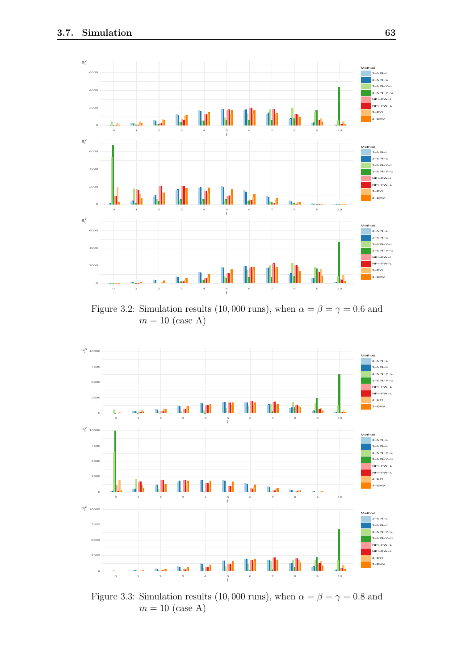<span id="page-68-0"></span>

Figure 3.2: Simulation results (10,000 runs), when  $\alpha = \beta = \gamma = 0.6$  and  $m = 10$  (case A)

<span id="page-68-1"></span>

Figure 3.3: Simulation results (10,000 runs), when  $\alpha = \beta = \gamma = 0.8$  and  $m = 10$  (case A)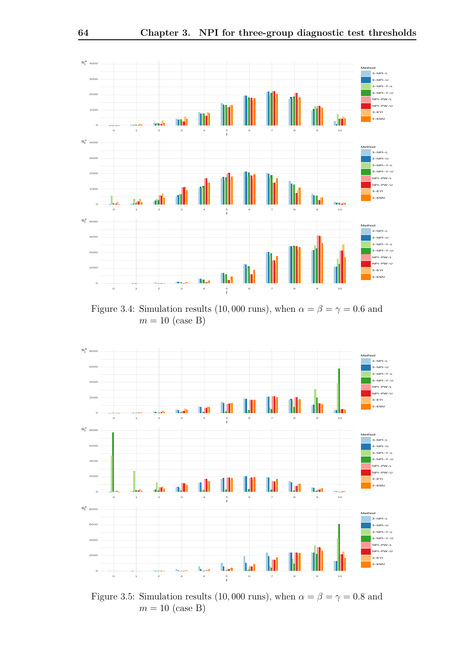<span id="page-69-1"></span>

Figure 3.4: Simulation results (10,000 runs), when  $\alpha = \beta = \gamma = 0.6$  and  $m = 10$  (case B)

<span id="page-69-0"></span>

Figure 3.5: Simulation results (10,000 runs), when  $\alpha = \beta = \gamma = 0.8$  and  $m = 10$  (case B)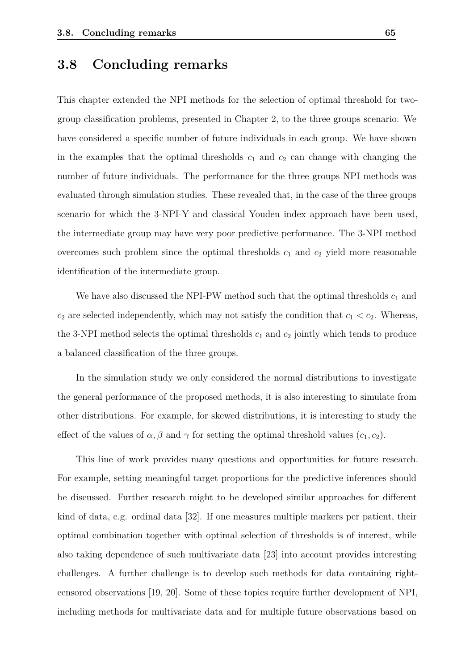#### <span id="page-70-0"></span>**3.8 Concluding remarks**

This chapter extended the NPI methods for the selection of optimal threshold for twogroup classification problems, presented in Chapter [2,](#page-19-0) to the three groups scenario. We have considered a specific number of future individuals in each group. We have shown in the examples that the optimal thresholds  $c_1$  and  $c_2$  can change with changing the number of future individuals. The performance for the three groups NPI methods was evaluated through simulation studies. These revealed that, in the case of the three groups scenario for which the 3-NPI-Y and classical Youden index approach have been used, the intermediate group may have very poor predictive performance. The 3-NPI method overcomes such problem since the optimal thresholds  $c_1$  and  $c_2$  yield more reasonable identification of the intermediate group.

We have also discussed the NPI-PW method such that the optimal thresholds  $c_1$  and  $c_2$  are selected independently, which may not satisfy the condition that  $c_1 < c_2$ . Whereas, the 3-NPI method selects the optimal thresholds  $c_1$  and  $c_2$  jointly which tends to produce a balanced classification of the three groups.

In the simulation study we only considered the normal distributions to investigate the general performance of the proposed methods, it is also interesting to simulate from other distributions. For example, for skewed distributions, it is interesting to study the effect of the values of  $\alpha$ ,  $\beta$  and  $\gamma$  for setting the optimal threshold values  $(c_1, c_2)$ .

This line of work provides many questions and opportunities for future research. For example, setting meaningful target proportions for the predictive inferences should be discussed. Further research might to be developed similar approaches for different kind of data, e.g. ordinal data [\[32\]](#page-102-0). If one measures multiple markers per patient, their optimal combination together with optimal selection of thresholds is of interest, while also taking dependence of such multivariate data [\[23\]](#page-101-1) into account provides interesting challenges. A further challenge is to develop such methods for data containing rightcensored observations [\[19,](#page-101-2) [20\]](#page-101-3). Some of these topics require further development of NPI, including methods for multivariate data and for multiple future observations based on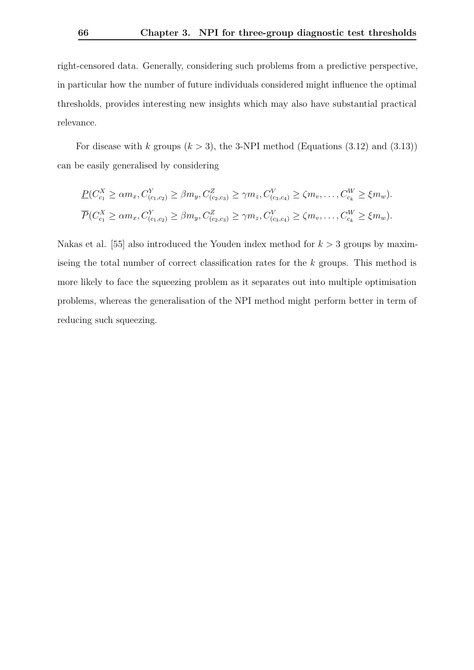right-censored data. Generally, considering such problems from a predictive perspective, in particular how the number of future individuals considered might influence the optimal thresholds, provides interesting new insights which may also have substantial practical relevance.

For disease with *k* groups  $(k > 3)$ , the 3-NPI method (Equations  $(3.12)$  and  $(3.13)$ ) can be easily generalised by considering

$$
\underline{P}(C_{c_1}^X \ge \alpha m_x, C_{(c_1,c_2)}^Y \ge \beta m_y, C_{(c_2,c_3)}^Z \ge \gamma m_z, C_{(c_3,c_4)}^V \ge \zeta m_v, \dots, C_{c_k}^W \ge \xi m_w).
$$
  

$$
\overline{P}(C_{c_1}^X \ge \alpha m_x, C_{(c_1,c_2)}^Y \ge \beta m_y, C_{(c_2,c_3)}^Z \ge \gamma m_z, C_{(c_3,c_4)}^V \ge \zeta m_v, \dots, C_{c_k}^W \ge \xi m_w).
$$

Nakas et al. [\[55\]](#page-104-5) also introduced the Youden index method for  $k > 3$  groups by maximiseing the total number of correct classification rates for the *k* groups. This method is more likely to face the squeezing problem as it separates out into multiple optimisation problems, whereas the generalisation of the NPI method might perform better in term of reducing such squeezing.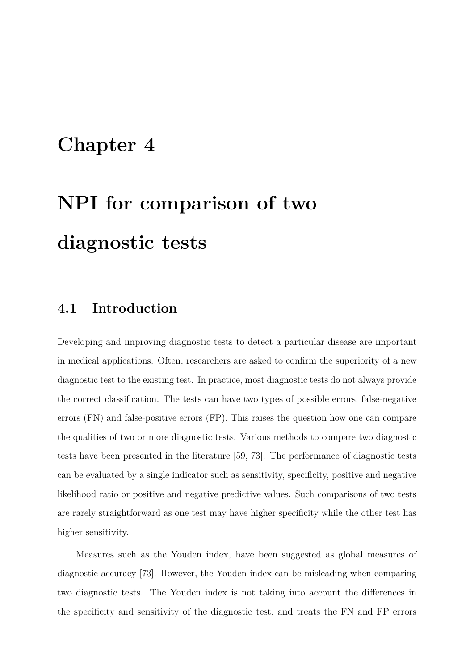### <span id="page-72-1"></span>**Chapter 4**

# **NPI for comparison of two diagnostic tests**

#### <span id="page-72-0"></span>**4.1 Introduction**

Developing and improving diagnostic tests to detect a particular disease are important in medical applications. Often, researchers are asked to confirm the superiority of a new diagnostic test to the existing test. In practice, most diagnostic tests do not always provide the correct classification. The tests can have two types of possible errors, false-negative errors (FN) and false-positive errors (FP). This raises the question how one can compare the qualities of two or more diagnostic tests. Various methods to compare two diagnostic tests have been presented in the literature [\[59,](#page-105-0) [73\]](#page-106-0). The performance of diagnostic tests can be evaluated by a single indicator such as sensitivity, specificity, positive and negative likelihood ratio or positive and negative predictive values. Such comparisons of two tests are rarely straightforward as one test may have higher specificity while the other test has higher sensitivity.

Measures such as the Youden index, have been suggested as global measures of diagnostic accuracy [\[73\]](#page-106-0). However, the Youden index can be misleading when comparing two diagnostic tests. The Youden index is not taking into account the differences in the specificity and sensitivity of the diagnostic test, and treats the FN and FP errors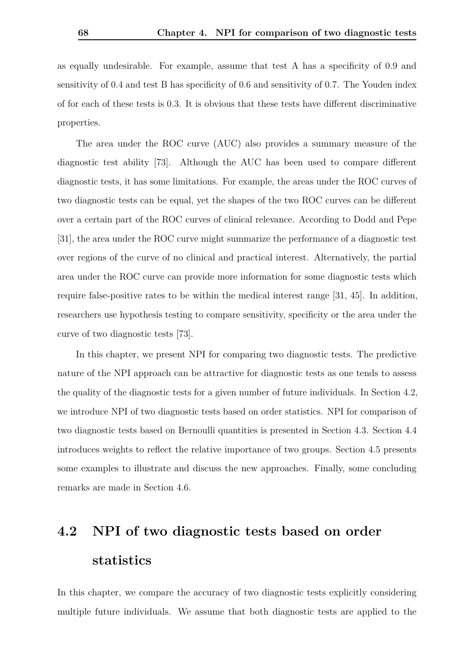as equally undesirable. For example, assume that test A has a specificity of 0*.*9 and sensitivity of 0*.*4 and test B has specificity of 0*.*6 and sensitivity of 0*.*7. The Youden index of for each of these tests is 0*.*3. It is obvious that these tests have different discriminative properties.

The area under the ROC curve (AUC) also provides a summary measure of the diagnostic test ability [\[73\]](#page-106-0). Although the AUC has been used to compare different diagnostic tests, it has some limitations. For example, the areas under the ROC curves of two diagnostic tests can be equal, yet the shapes of the two ROC curves can be different over a certain part of the ROC curves of clinical relevance. According to Dodd and Pepe [\[31\]](#page-102-0), the area under the ROC curve might summarize the performance of a diagnostic test over regions of the curve of no clinical and practical interest. Alternatively, the partial area under the ROC curve can provide more information for some diagnostic tests which require false-positive rates to be within the medical interest range [\[31,](#page-102-0) [45\]](#page-103-0). In addition, researchers use hypothesis testing to compare sensitivity, specificity or the area under the curve of two diagnostic tests [\[73\]](#page-106-0).

In this chapter, we present NPI for comparing two diagnostic tests. The predictive nature of the NPI approach can be attractive for diagnostic tests as one tends to assess the quality of the diagnostic tests for a given number of future individuals. In Section [4.2,](#page-73-0) we introduce NPI of two diagnostic tests based on order statistics. NPI for comparison of two diagnostic tests based on Bernoulli quantities is presented in Section [4.3.](#page-84-0) Section [4.4](#page-86-0) introduces weights to reflect the relative importance of two groups. Section [4.5](#page-88-0) presents some examples to illustrate and discuss the new approaches. Finally, some concluding remarks are made in Section [4.6.](#page-95-0)

### <span id="page-73-0"></span>**4.2 NPI of two diagnostic tests based on order statistics**

In this chapter, we compare the accuracy of two diagnostic tests explicitly considering multiple future individuals. We assume that both diagnostic tests are applied to the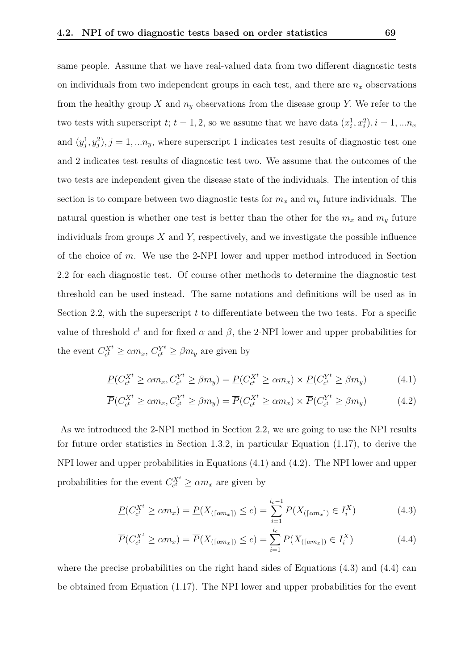same people. Assume that we have real-valued data from two different diagnostic tests on individuals from two independent groups in each test, and there are  $n_x$  observations from the healthy group *X* and  $n_y$  observations from the disease group *Y*. We refer to the two tests with superscript  $t$ ;  $t = 1, 2$ , so we assume that we have data  $(x_i^1, x_i^2), i = 1, \ldots n_x$ and  $(y_j^1, y_j^2)$ ,  $j = 1, \ldots n_y$ , where superscript 1 indicates test results of diagnostic test one and 2 indicates test results of diagnostic test two. We assume that the outcomes of the two tests are independent given the disease state of the individuals. The intention of this section is to compare between two diagnostic tests for  $m_x$  and  $m_y$  future individuals. The natural question is whether one test is better than the other for the  $m_x$  and  $m_y$  future individuals from groups *X* and *Y,* respectively, and we investigate the possible influence of the choice of *m*. We use the 2-NPI lower and upper method introduced in Section [2.2](#page-20-0) for each diagnostic test. Of course other methods to determine the diagnostic test threshold can be used instead. The same notations and definitions will be used as in Section [2.2,](#page-20-0) with the superscript *t* to differentiate between the two tests. For a specific value of threshold  $c^t$  and for fixed  $\alpha$  and  $\beta$ , the 2-NPI lower and upper probabilities for the event  $C_{c^t}^{X^t} \ge \alpha m_x, C_{c^t}^{Y^t}$  $e^{Y^t}_{c^t} \geq \beta m_y$  are given by

<span id="page-74-1"></span><span id="page-74-0"></span>
$$
\underline{P}(C_{c^t}^{X^t} \ge \alpha m_x, C_{c^t}^{Y^t} \ge \beta m_y) = \underline{P}(C_{c^t}^{X^t} \ge \alpha m_x) \times \underline{P}(C_{c^t}^{Y^t} \ge \beta m_y)
$$
(4.1)

$$
\overline{P}(C_{c^t}^{X^t} \ge \alpha m_x, C_{c^t}^{Y^t} \ge \beta m_y) = \overline{P}(C_{c^t}^{X^t} \ge \alpha m_x) \times \overline{P}(C_{c^t}^{Y^t} \ge \beta m_y)
$$
(4.2)

As we introduced the 2-NPI method in Section [2.2,](#page-20-0) we are going to use the NPI results for future order statistics in Section [1.3.2,](#page-15-0) in particular Equation [\(1.17\)](#page-15-1), to derive the NPI lower and upper probabilities in Equations [\(4.1\)](#page-74-0) and [\(4.2\)](#page-74-1). The NPI lower and upper probabilities for the event  $C_{c}^{X^t} \geq \alpha m_x$  are given by

<span id="page-74-2"></span>
$$
\underline{P}(C_{c^t}^{X^t} \ge \alpha m_x) = \underline{P}(X_{(\lceil \alpha m_x \rceil)} \le c) = \sum_{i=1}^{i_c - 1} P(X_{(\lceil \alpha m_x \rceil)} \in I_i^X)
$$
(4.3)

<span id="page-74-3"></span>
$$
\overline{P}(C_{c^t}^{X^t} \ge \alpha m_x) = \overline{P}(X_{(\lceil \alpha m_x \rceil)} \le c) = \sum_{i=1}^{i_c} P(X_{(\lceil \alpha m_x \rceil)} \in I_i^X)
$$
\n(4.4)

where the precise probabilities on the right hand sides of Equations  $(4.3)$  and  $(4.4)$  can be obtained from Equation [\(1.17\)](#page-15-1). The NPI lower and upper probabilities for the event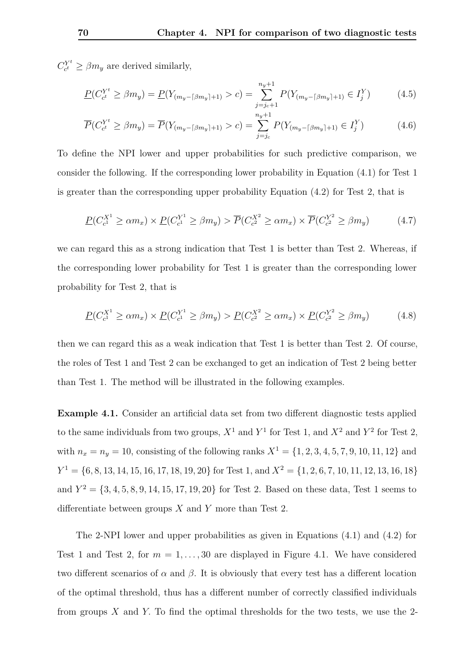$C_{c^t}^{Y^t}$  $c_t^{Y^t} \ge \beta m_y$  are derived similarly,

$$
\underline{P}(C_{c^t}^{Y^t} \ge \beta m_y) = \underline{P}(Y_{(m_y - \lceil \beta m_y \rceil + 1)} > c) = \sum_{j=j_c+1}^{n_y+1} P(Y_{(m_y - \lceil \beta m_y \rceil + 1)} \in I_j^Y) \tag{4.5}
$$

$$
\overline{P}(C_{c^t}^{Y^t} \ge \beta m_y) = \overline{P}(Y_{(m_y - \lceil \beta m_y \rceil + 1)} > c) = \sum_{j=j_c}^{n_y + 1} P(Y_{(m_y - \lceil \beta m_y \rceil + 1)} \in I_j^Y) \tag{4.6}
$$

To define the NPI lower and upper probabilities for such predictive comparison, we consider the following. If the corresponding lower probability in Equation [\(4.1\)](#page-74-0) for Test 1 is greater than the corresponding upper probability Equation [\(4.2\)](#page-74-1) for Test 2, that is

$$
\underline{P}(C_{c^1}^{X^1} \ge \alpha m_x) \times \underline{P}(C_{c^1}^{Y^1} \ge \beta m_y) > \overline{P}(C_{c^2}^{X^2} \ge \alpha m_x) \times \overline{P}(C_{c^2}^{Y^2} \ge \beta m_y)
$$
(4.7)

we can regard this as a strong indication that Test 1 is better than Test 2. Whereas, if the corresponding lower probability for Test 1 is greater than the corresponding lower probability for Test 2, that is

$$
\underline{P}(C_{c^1}^{X^1} \ge \alpha m_x) \times \underline{P}(C_{c^1}^{Y^1} \ge \beta m_y) > \underline{P}(C_{c^2}^{X^2} \ge \alpha m_x) \times \underline{P}(C_{c^2}^{Y^2} \ge \beta m_y)
$$
(4.8)

then we can regard this as a weak indication that Test 1 is better than Test 2. Of course, the roles of Test 1 and Test 2 can be exchanged to get an indication of Test 2 being better than Test 1. The method will be illustrated in the following examples.

<span id="page-75-0"></span>**Example 4.1.** Consider an artificial data set from two different diagnostic tests applied to the same individuals from two groups,  $X^1$  and  $Y^1$  for Test 1, and  $X^2$  and  $Y^2$  for Test 2, with  $n_x = n_y = 10$ , consisting of the following ranks  $X^1 = \{1, 2, 3, 4, 5, 7, 9, 10, 11, 12\}$  and  $Y^1 = \{6, 8, 13, 14, 15, 16, 17, 18, 19, 20\}$  for Test 1, and  $X^2 = \{1, 2, 6, 7, 10, 11, 12, 13, 16, 18\}$ and  $Y^2 = \{3, 4, 5, 8, 9, 14, 15, 17, 19, 20\}$  for Test 2. Based on these data, Test 1 seems to differentiate between groups *X* and *Y* more than Test 2.

The 2-NPI lower and upper probabilities as given in Equations [\(4.1\)](#page-74-0) and [\(4.2\)](#page-74-1) for Test 1 and Test 2, for  $m = 1, \ldots, 30$  are displayed in Figure [4.1.](#page-76-0) We have considered two different scenarios of  $\alpha$  and  $\beta$ . It is obviously that every test has a different location of the optimal threshold, thus has a different number of correctly classified individuals from groups *X* and *Y.* To find the optimal thresholds for the two tests, we use the 2-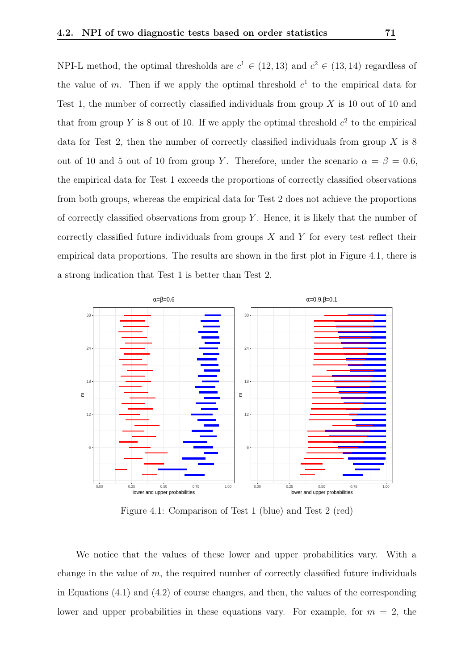NPI-L method, the optimal thresholds are  $c^1 \in (12, 13)$  and  $c^2 \in (13, 14)$  regardless of the value of  $m$ . Then if we apply the optimal threshold  $c<sup>1</sup>$  to the empirical data for Test 1, the number of correctly classified individuals from group *X* is 10 out of 10 and that from group Y is 8 out of 10. If we apply the optimal threshold  $c^2$  to the empirical data for Test 2, then the number of correctly classified individuals from group *X* is 8 out of 10 and 5 out of 10 from group *Y*. Therefore, under the scenario  $\alpha = \beta = 0.6$ , the empirical data for Test 1 exceeds the proportions of correctly classified observations from both groups, whereas the empirical data for Test 2 does not achieve the proportions of correctly classified observations from group *Y* . Hence, it is likely that the number of correctly classified future individuals from groups *X* and *Y* for every test reflect their empirical data proportions. The results are shown in the first plot in Figure [4.1,](#page-76-0) there is a strong indication that Test 1 is better than Test 2.

<span id="page-76-0"></span>

Figure 4.1: Comparison of Test 1 (blue) and Test 2 (red)

We notice that the values of these lower and upper probabilities vary. With a change in the value of  $m$ , the required number of correctly classified future individuals in Equations [\(4.1\)](#page-74-0) and [\(4.2\)](#page-74-1) of course changes, and then, the values of the corresponding lower and upper probabilities in these equations vary. For example, for  $m = 2$ , the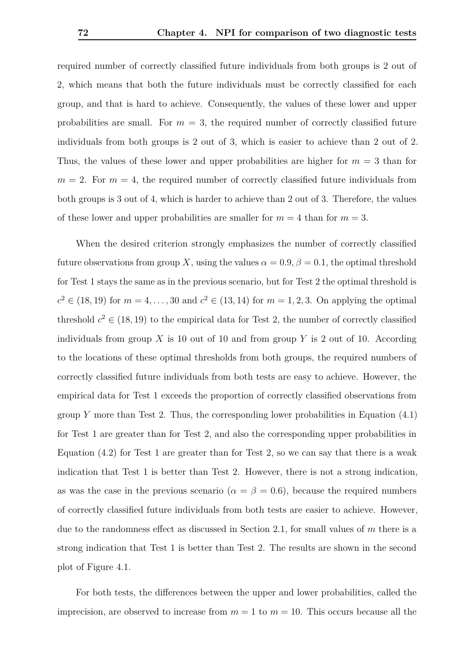required number of correctly classified future individuals from both groups is 2 out of 2, which means that both the future individuals must be correctly classified for each group, and that is hard to achieve. Consequently, the values of these lower and upper probabilities are small. For  $m = 3$ , the required number of correctly classified future individuals from both groups is 2 out of 3, which is easier to achieve than 2 out of 2. Thus, the values of these lower and upper probabilities are higher for  $m = 3$  than for  $m = 2$ . For  $m = 4$ , the required number of correctly classified future individuals from both groups is 3 out of 4, which is harder to achieve than 2 out of 3. Therefore, the values of these lower and upper probabilities are smaller for  $m = 4$  than for  $m = 3$ .

When the desired criterion strongly emphasizes the number of correctly classified future observations from group *X*, using the values  $\alpha = 0.9$ ,  $\beta = 0.1$ , the optimal threshold for Test 1 stays the same as in the previous scenario, but for Test 2 the optimal threshold is *c*<sup>2</sup> ∈ (18*,* 19) for *m* = 4*, . . . ,* 30 and *c*<sup>2</sup> ∈ (13*,* 14) for *m* = 1*,* 2*,* 3. On applying the optimal threshold  $c^2 \in (18, 19)$  to the empirical data for Test 2, the number of correctly classified individuals from group  $X$  is 10 out of 10 and from group  $Y$  is 2 out of 10. According to the locations of these optimal thresholds from both groups, the required numbers of correctly classified future individuals from both tests are easy to achieve. However, the empirical data for Test 1 exceeds the proportion of correctly classified observations from group *Y* more than Test 2. Thus, the corresponding lower probabilities in Equation [\(4.1\)](#page-74-0) for Test 1 are greater than for Test 2, and also the corresponding upper probabilities in Equation  $(4.2)$  for Test 1 are greater than for Test 2, so we can say that there is a weak indication that Test 1 is better than Test 2. However, there is not a strong indication, as was the case in the previous scenario ( $\alpha = \beta = 0.6$ ), because the required numbers of correctly classified future individuals from both tests are easier to achieve. However, due to the randomness effect as discussed in Section [2.1,](#page-19-0) for small values of *m* there is a strong indication that Test 1 is better than Test 2. The results are shown in the second plot of Figure [4.1.](#page-76-0)

For both tests, the differences between the upper and lower probabilities, called the imprecision, are observed to increase from  $m = 1$  to  $m = 10$ . This occurs because all the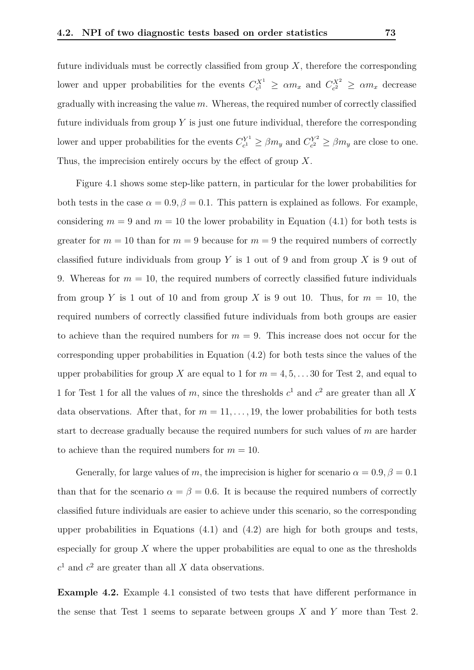future individuals must be correctly classified from group  $X$ , therefore the corresponding lower and upper probabilities for the events  $C_{c}^{X^1} \ge \alpha m_x$  and  $C_{c}^{X^2} \ge \alpha m_x$  decrease gradually with increasing the value *m*. Whereas, the required number of correctly classified future individuals from group *Y* is just one future individual, therefore the corresponding lower and upper probabilities for the events  $C_{c1}^{Y^1}$  $C_c^{Y^1} \ge \beta m_y$  and  $C_{c^2}^{Y^2}$  $\beta_{c^2}^{Y^2} \ge \beta m_y$  are close to one. Thus, the imprecision entirely occurs by the effect of group *X*.

Figure [4.1](#page-76-0) shows some step-like pattern, in particular for the lower probabilities for both tests in the case  $\alpha = 0.9$ ,  $\beta = 0.1$ . This pattern is explained as follows. For example, considering  $m = 9$  and  $m = 10$  the lower probability in Equation [\(4.1\)](#page-74-0) for both tests is greater for  $m = 10$  than for  $m = 9$  because for  $m = 9$  the required numbers of correctly classified future individuals from group *Y* is 1 out of 9 and from group *X* is 9 out of 9. Whereas for  $m = 10$ , the required numbers of correctly classified future individuals from group *Y* is 1 out of 10 and from group *X* is 9 out 10. Thus, for  $m = 10$ , the required numbers of correctly classified future individuals from both groups are easier to achieve than the required numbers for  $m = 9$ . This increase does not occur for the corresponding upper probabilities in Equation [\(4.2\)](#page-74-1) for both tests since the values of the upper probabilities for group *X* are equal to 1 for  $m = 4, 5, \ldots, 30$  for Test 2, and equal to 1 for Test 1 for all the values of  $m$ , since the thresholds  $c^1$  and  $c^2$  are greater than all X data observations. After that, for  $m = 11, \ldots, 19$ , the lower probabilities for both tests start to decrease gradually because the required numbers for such values of *m* are harder to achieve than the required numbers for  $m = 10$ .

Generally, for large values of *m*, the imprecision is higher for scenario  $\alpha = 0.9$ ,  $\beta = 0.1$ than that for the scenario  $\alpha = \beta = 0.6$ . It is because the required numbers of correctly classified future individuals are easier to achieve under this scenario, so the corresponding upper probabilities in Equations  $(4.1)$  and  $(4.2)$  are high for both groups and tests, especially for group *X* where the upper probabilities are equal to one as the thresholds  $c<sup>1</sup>$  and  $c<sup>2</sup>$  are greater than all *X* data observations.

**Example 4.2.** Example [4.1](#page-75-0) consisted of two tests that have different performance in the sense that Test 1 seems to separate between groups *X* and *Y* more than Test 2.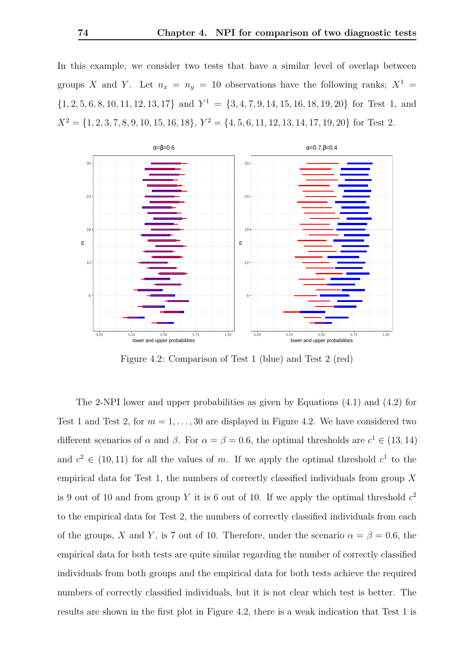In this example, we consider two tests that have a similar level of overlap between groups *X* and *Y*. Let  $n_x = n_y = 10$  observations have the following ranks;  $X^1 =$  $\{1, 2, 5, 6, 8, 10, 11, 12, 13, 17\}$  and  $Y^1 = \{3, 4, 7, 9, 14, 15, 16, 18, 19, 20\}$  for Test 1, and  $X^2 = \{1, 2, 3, 7, 8, 9, 10, 15, 16, 18\}, Y^2 = \{4, 5, 6, 11, 12, 13, 14, 17, 19, 20\}$  for Test 2.

<span id="page-79-0"></span>

Figure 4.2: Comparison of Test 1 (blue) and Test 2 (red)

The 2-NPI lower and upper probabilities as given by Equations [\(4.1\)](#page-74-0) and [\(4.2\)](#page-74-1) for Test 1 and Test 2, for  $m = 1, \ldots, 30$  are displayed in Figure [4.2.](#page-79-0) We have considered two different scenarios of  $\alpha$  and  $\beta$ . For  $\alpha = \beta = 0.6$ , the optimal thresholds are  $c^1 \in (13, 14)$ and  $c^2 \in (10, 11)$  for all the values of *m*. If we apply the optimal threshold  $c^1$  to the empirical data for Test 1, the numbers of correctly classified individuals from group *X* is 9 out of 10 and from group *Y* it is 6 out of 10. If we apply the optimal threshold  $c^2$ to the empirical data for Test 2, the numbers of correctly classified individuals from each of the groups, *X* and *Y*, is 7 out of 10. Therefore, under the scenario  $\alpha = \beta = 0.6$ , the empirical data for both tests are quite similar regarding the number of correctly classified individuals from both groups and the empirical data for both tests achieve the required numbers of correctly classified individuals, but it is not clear which test is better. The results are shown in the first plot in Figure [4.2,](#page-79-0) there is a weak indication that Test 1 is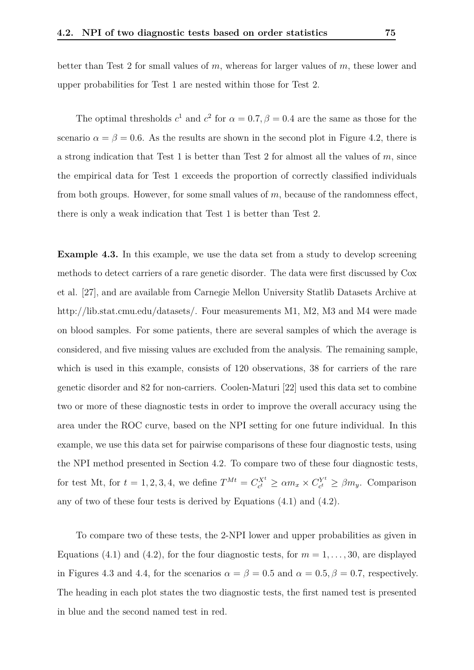better than Test 2 for small values of *m*, whereas for larger values of *m*, these lower and upper probabilities for Test 1 are nested within those for Test 2.

The optimal thresholds  $c^1$  and  $c^2$  for  $\alpha = 0.7$ ,  $\beta = 0.4$  are the same as those for the scenario  $\alpha = \beta = 0.6$ . As the results are shown in the second plot in Figure [4.2,](#page-79-0) there is a strong indication that Test 1 is better than Test 2 for almost all the values of *m*, since the empirical data for Test 1 exceeds the proportion of correctly classified individuals from both groups. However, for some small values of *m*, because of the randomness effect, there is only a weak indication that Test 1 is better than Test 2.

<span id="page-80-0"></span>**Example 4.3.** In this example, we use the data set from a study to develop screening methods to detect carriers of a rare genetic disorder. The data were first discussed by Cox et al. [\[27\]](#page-101-0), and are available from Carnegie Mellon University Statlib Datasets Archive at http://lib.stat.cmu.edu/datasets/. Four measurements M1, M2, M3 and M4 were made on blood samples. For some patients, there are several samples of which the average is considered, and five missing values are excluded from the analysis. The remaining sample, which is used in this example, consists of 120 observations, 38 for carriers of the rare genetic disorder and 82 for non-carriers. Coolen-Maturi [\[22\]](#page-101-1) used this data set to combine two or more of these diagnostic tests in order to improve the overall accuracy using the area under the ROC curve, based on the NPI setting for one future individual. In this example, we use this data set for pairwise comparisons of these four diagnostic tests, using the NPI method presented in Section [4.2.](#page-73-0) To compare two of these four diagnostic tests, for test Mt, for  $t = 1, 2, 3, 4$ , we define  $T^{Mt} = C_{c^t}^{X^t} \ge \alpha m_x \times C_{c^t}^{Y^t}$  $c_t^{Y^t} \geq \beta m_y$ . Comparison any of two of these four tests is derived by Equations [\(4.1\)](#page-74-0) and [\(4.2\)](#page-74-1).

To compare two of these tests, the 2-NPI lower and upper probabilities as given in Equations [\(4.1\)](#page-74-0) and [\(4.2\)](#page-74-1), for the four diagnostic tests, for  $m = 1, \ldots, 30$ , are displayed in Figures [4.3](#page-81-0) and [4.4,](#page-82-0) for the scenarios  $\alpha = \beta = 0.5$  and  $\alpha = 0.5, \beta = 0.7$ , respectively. The heading in each plot states the two diagnostic tests, the first named test is presented in blue and the second named test in red.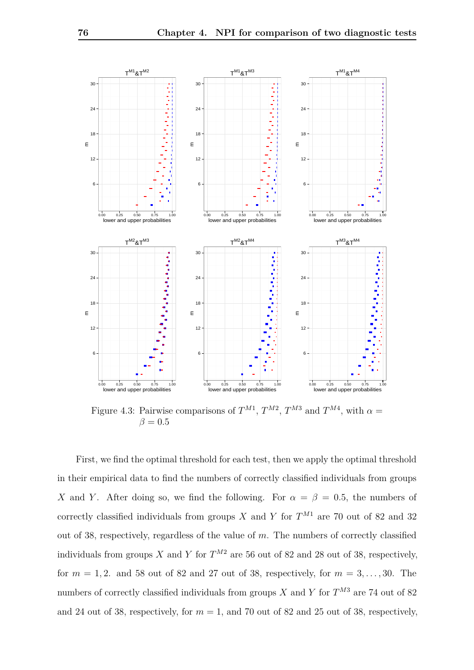<span id="page-81-0"></span>

Figure 4.3: Pairwise comparisons of  $T^{M1}$ ,  $T^{M2}$ ,  $T^{M3}$  and  $T^{M4}$ , with  $\alpha =$  $\beta = 0.5$ 

First, we find the optimal threshold for each test, then we apply the optimal threshold in their empirical data to find the numbers of correctly classified individuals from groups *X* and *Y*. After doing so, we find the following. For  $\alpha = \beta = 0.5$ , the numbers of correctly classified individuals from groups *X* and *Y* for  $T^{M1}$  are 70 out of 82 and 32 out of 38, respectively, regardless of the value of *m*. The numbers of correctly classified individuals from groups *X* and *Y* for  $T^{M2}$  are 56 out of 82 and 28 out of 38, respectively, for  $m = 1, 2$ . and 58 out of 82 and 27 out of 38, respectively, for  $m = 3, \ldots, 30$ . The numbers of correctly classified individuals from groups *X* and *Y* for  $T^{M3}$  are 74 out of 82 and 24 out of 38, respectively, for  $m = 1$ , and 70 out of 82 and 25 out of 38, respectively,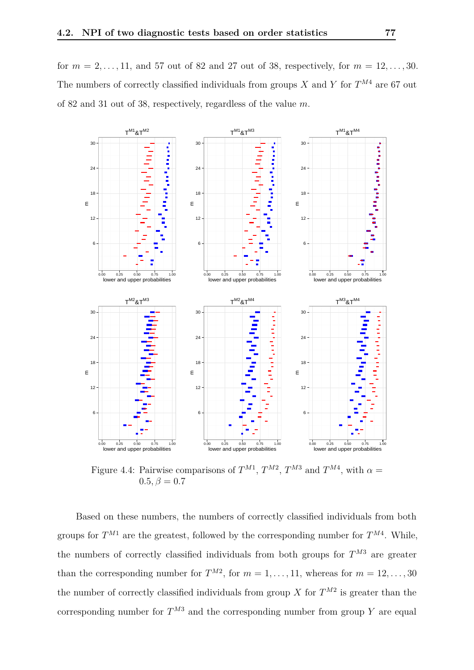for  $m = 2, ..., 11$ , and 57 out of 82 and 27 out of 38, respectively, for  $m = 12, ..., 30$ . The numbers of correctly classified individuals from groups *X* and *Y* for *T <sup>M</sup>*<sup>4</sup> are 67 out of 82 and 31 out of 38, respectively, regardless of the value *m*.

<span id="page-82-0"></span>

Figure 4.4: Pairwise comparisons of  $T^{M1}$ ,  $T^{M2}$ ,  $T^{M3}$  and  $T^{M4}$ , with  $\alpha =$  $0.5, \beta = 0.7$ 

Based on these numbers, the numbers of correctly classified individuals from both groups for  $T^{M1}$  are the greatest, followed by the corresponding number for  $T^{M4}$ . While, the numbers of correctly classified individuals from both groups for  $T^{M3}$  are greater than the corresponding number for  $T^{M2}$ , for  $m = 1, \ldots, 11$ , whereas for  $m = 12, \ldots, 30$ the number of correctly classified individuals from group *X* for  $T^{M2}$  is greater than the corresponding number for  $T^{M3}$  and the corresponding number from group Y are equal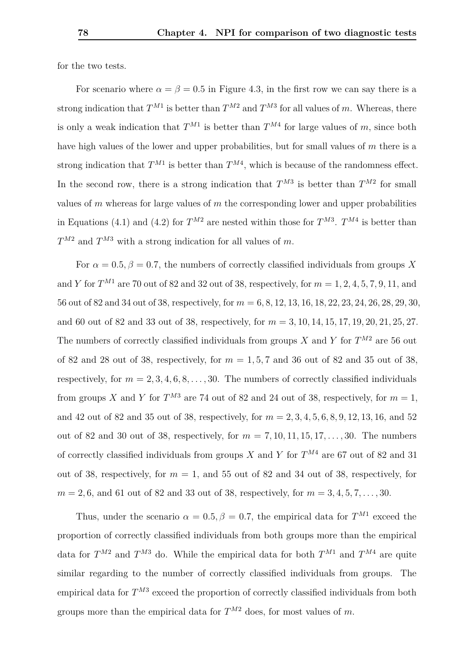for the two tests.

For scenario where  $\alpha = \beta = 0.5$  in Figure [4.3,](#page-81-0) in the first row we can say there is a strong indication that  $T^{M1}$  is better than  $T^{M2}$  and  $T^{M3}$  for all values of *m*. Whereas, there is only a weak indication that  $T^{M1}$  is better than  $T^{M4}$  for large values of *m*, since both have high values of the lower and upper probabilities, but for small values of *m* there is a strong indication that  $T^{M1}$  is better than  $T^{M4}$ , which is because of the randomness effect. In the second row, there is a strong indication that  $T^{M3}$  is better than  $T^{M2}$  for small values of *m* whereas for large values of *m* the corresponding lower and upper probabilities in Equations [\(4.1\)](#page-74-0) and [\(4.2\)](#page-74-1) for  $T^{M2}$  are nested within those for  $T^{M3}$ .  $T^{M4}$  is better than *T <sup>M</sup>*<sup>2</sup> and *T <sup>M</sup>*<sup>3</sup> with a strong indication for all values of *m*.

For  $\alpha = 0.5, \beta = 0.7$ , the numbers of correctly classified individuals from groups X and *Y* for  $T^{M1}$  are 70 out of 82 and 32 out of 38, respectively, for  $m = 1, 2, 4, 5, 7, 9, 11$ , and 56 out of 82 and 34 out of 38, respectively, for *m* = 6*,* 8*,* 12*,* 13*,* 16*,* 18*,* 22*,* 23*,* 24*,* 26*,* 28*,* 29*,* 30, and 60 out of 82 and 33 out of 38, respectively, for *m* = 3*,* 10*,* 14*,* 15*,* 17*,* 19*,* 20*,* 21*,* 25*,* 27. The numbers of correctly classified individuals from groups *X* and *Y* for  $T^{M2}$  are 56 out of 82 and 28 out of 38, respectively, for  $m = 1, 5, 7$  and 36 out of 82 and 35 out of 38, respectively, for  $m = 2, 3, 4, 6, 8, \ldots, 30$ . The numbers of correctly classified individuals from groups *X* and *Y* for  $T^{M3}$  are 74 out of 82 and 24 out of 38, respectively, for  $m = 1$ , and 42 out of 82 and 35 out of 38, respectively, for *m* = 2*,* 3*,* 4*,* 5*,* 6*,* 8*,* 9*,* 12*,* 13*,* 16, and 52 out of 82 and 30 out of 38, respectively, for  $m = 7, 10, 11, 15, 17, \ldots, 30$ . The numbers of correctly classified individuals from groups *X* and *Y* for *T <sup>M</sup>*<sup>4</sup> are 67 out of 82 and 31 out of 38, respectively, for  $m = 1$ , and 55 out of 82 and 34 out of 38, respectively, for  $m = 2, 6$ , and 61 out of 82 and 33 out of 38, respectively, for  $m = 3, 4, 5, 7, \ldots, 30$ .

Thus, under the scenario  $\alpha = 0.5, \beta = 0.7$ , the empirical data for  $T^{M1}$  exceed the proportion of correctly classified individuals from both groups more than the empirical data for  $T^{M2}$  and  $T^{M3}$  do. While the empirical data for both  $T^{M1}$  and  $T^{M4}$  are quite similar regarding to the number of correctly classified individuals from groups. The empirical data for  $T^{M3}$  exceed the proportion of correctly classified individuals from both groups more than the empirical data for  $T^{M2}$  does, for most values of m.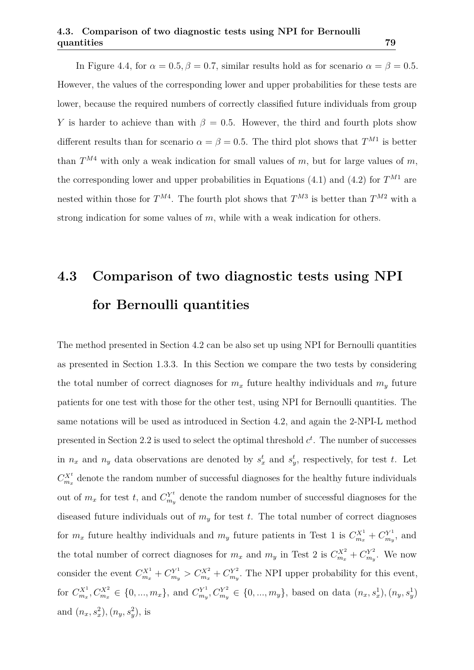In Figure [4.4,](#page-82-0) for  $\alpha = 0.5$ ,  $\beta = 0.7$ , similar results hold as for scenario  $\alpha = \beta = 0.5$ . However, the values of the corresponding lower and upper probabilities for these tests are lower, because the required numbers of correctly classified future individuals from group *Y* is harder to achieve than with  $\beta = 0.5$ . However, the third and fourth plots show different results than for scenario  $\alpha = \beta = 0.5$ . The third plot shows that  $T^{M_1}$  is better than  $T^{M4}$  with only a weak indication for small values of *m*, but for large values of *m*, the corresponding lower and upper probabilities in Equations [\(4.1\)](#page-74-0) and [\(4.2\)](#page-74-1) for  $T^{M1}$  are nested within those for  $T^{M4}$ . The fourth plot shows that  $T^{M3}$  is better than  $T^{M2}$  with a strong indication for some values of *m*, while with a weak indication for others.

# <span id="page-84-0"></span>**4.3 Comparison of two diagnostic tests using NPI for Bernoulli quantities**

The method presented in Section [4.2](#page-73-0) can be also set up using NPI for Bernoulli quantities as presented in Section [1.3.3.](#page-16-0) In this Section we compare the two tests by considering the total number of correct diagnoses for  $m_x$  future healthy individuals and  $m_y$  future patients for one test with those for the other test, using NPI for Bernoulli quantities. The same notations will be used as introduced in Section [4.2,](#page-73-0) and again the 2-NPI-L method presented in Section [2.2](#page-20-0) is used to select the optimal threshold  $c<sup>t</sup>$ . The number of successes in  $n_x$  and  $n_y$  data observations are denoted by  $s_x^t$  and  $s_y^t$ , respectively, for test *t*. Let  $C_{m_x}^{X^t}$  denote the random number of successful diagnoses for the healthy future individuals out of  $m_x$  for test *t*, and  $C_{m_i}^{Y^t}$  $\frac{N^t}{m_y}$  denote the random number of successful diagnoses for the diseased future individuals out of *m<sup>y</sup>* for test *t*. The total number of correct diagnoses for  $m_x$  future healthy individuals and  $m_y$  future patients in Test 1 is  $C_{m_x}^{X^1} + C_{m_y}^{Y^1}$  $\binom{Y^1}{m_y}$ , and the total number of correct diagnoses for  $m_x$  and  $m_y$  in Test 2 is  $C_{m_x}^{X^2} + C_{m_y}^{Y^2}$  $\binom{m_y}{m_y}$ . We now consider the event  $C_{m_x}^{X^1} + C_{m_y}^{Y^1} > C_{m_x}^{X^2} + C_{m_y}^{Y^2}$  $m_y^{\gamma^2}$ . The NPI upper probability for this event, for  $C_{m_x}^{X^1}, C_{m_x}^{X^2} \in \{0, ..., m_x\}$ , and  $C_{m_y}^{Y^1}$  $C_{m_y}^{Y^1}, C_{m_y}^{Y^2} \in \{0, ..., m_y\}$ , based on data  $(n_x, s_x^1), (n_y, s_y^1)$ and  $(n_x, s_x^2), (n_y, s_y^2)$ , is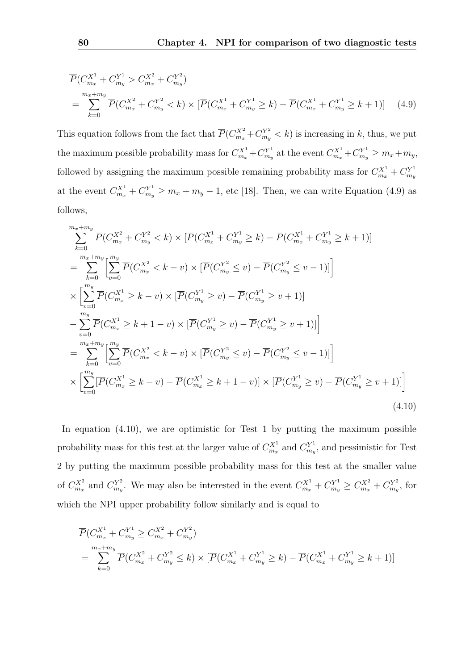<span id="page-85-0"></span>
$$
\overline{P}(C_{m_x}^{X^1} + C_{m_y}^{Y^1} > C_{m_x}^{X^2} + C_{m_y}^{Y^2})
$$
\n
$$
= \sum_{k=0}^{m_x + m_y} \overline{P}(C_{m_x}^{X^2} + C_{m_y}^{Y^2} < k) \times [\overline{P}(C_{m_x}^{X^1} + C_{m_y}^{Y^1} \ge k) - \overline{P}(C_{m_x}^{X^1} + C_{m_y}^{Y^1} \ge k+1)] \tag{4.9}
$$

This equation follows from the fact that  $\overline{P}(C_{m_x}^{X^2} + C_{m_y}^{Y^2} < k)$  is increasing in *k*, thus, we put the maximum possible probability mass for  $C_{m_x}^{X^1} + C_{m_y}^{Y^1}$  $C_{m_y}^{Y^1}$  at the event  $C_{m_x}^{X^1} + C_{m_y}^{Y^1} \ge m_x + m_y$ , followed by assigning the maximum possible remaining probability mass for  $C_{m_x}^{X^1} + C_{m_y}^{Y^1}$ *my* at the event  $C_{m_x}^{X^1} + C_{m_y}^{Y^1} \ge m_x + m_y - 1$ , etc [\[18\]](#page-100-0). Then, we can write Equation [\(4.9\)](#page-85-0) as follows,

$$
\sum_{k=0}^{m_x + m_y} \overline{P}(C_{m_x}^{X^2} + C_{m_y}^{Y^2} < k) \times [\overline{P}(C_{m_x}^{X^1} + C_{m_y}^{Y^1} \ge k) - \overline{P}(C_{m_x}^{X^1} + C_{m_y}^{Y^1} \ge k + 1)]
$$
\n
$$
= \sum_{k=0}^{m_x + m_y} \left[ \sum_{v=0}^{m_y} \overline{P}(C_{m_x}^{X^2} < k - v) \times [\overline{P}(C_{m_y}^{Y^2} \le v) - \overline{P}(C_{m_y}^{Y^2} \le v - 1)] \right]
$$
\n
$$
\times \left[ \sum_{v=0}^{m_y} \overline{P}(C_{m_x}^{X^1} \ge k - v) \times [\overline{P}(C_{m_y}^{Y^1} \ge v) - \overline{P}(C_{m_y}^{Y^1} \ge v + 1)]
$$
\n
$$
- \sum_{v=0}^{m_y} \overline{P}(C_{m_x}^{X^1} \ge k + 1 - v) \times [\overline{P}(C_{m_y}^{Y^1} \ge v) - \overline{P}(C_{m_y}^{Y^1} \ge v + 1)] \right]
$$
\n
$$
= \sum_{k=0}^{m_x + m_y} \left[ \sum_{v=0}^{m_y} \overline{P}(C_{m_x}^{X^2} < k - v) \times [\overline{P}(C_{m_y}^{Y^2} \le v) - \overline{P}(C_{m_y}^{Y^2} \le v - 1)] \right]
$$
\n
$$
\times \left[ \sum_{v=0}^{m_y} [\overline{P}(C_{m_x}^{X^1} \ge k - v) - \overline{P}(C_{m_x}^{X^1} \ge k + 1 - v)] \times [\overline{P}(C_{m_y}^{Y^1} \ge v) - \overline{P}(C_{m_y}^{Y^1} \ge v + 1)] \right]
$$
\n(4.10)

<span id="page-85-1"></span>In equation [\(4.10\)](#page-85-1), we are optimistic for Test 1 by putting the maximum possible probability mass for this test at the larger value of  $C_{m_x}^{X^1}$  and  $C_{m_y}^{Y^1}$  $m_y^{Y^1}$ , and pessimistic for Test 2 by putting the maximum possible probability mass for this test at the smaller value of  $C_{m_x}^{X^2}$  and  $C_{m_y}^{Y^2}$ *m*<sub>*y*</sub>. We may also be interested in the event  $C_{m_x}^{X^1} + C_{m_y}^{Y^1} \ge C_{m_x}^{X^2} + C_{m_y}^{Y^2}$  $\binom{Y^2}{m_y}$ , for which the NPI upper probability follow similarly and is equal to

$$
\overline{P}(C_{m_x}^{X^1} + C_{m_y}^{Y^1} \ge C_{m_x}^{X^2} + C_{m_y}^{Y^2})
$$
\n
$$
= \sum_{k=0}^{m_x + m_y} \overline{P}(C_{m_x}^{X^2} + C_{m_y}^{Y^2} \le k) \times [\overline{P}(C_{m_x}^{X^1} + C_{m_y}^{Y^1} \ge k) - \overline{P}(C_{m_x}^{X^1} + C_{m_y}^{Y^1} \ge k+1)]
$$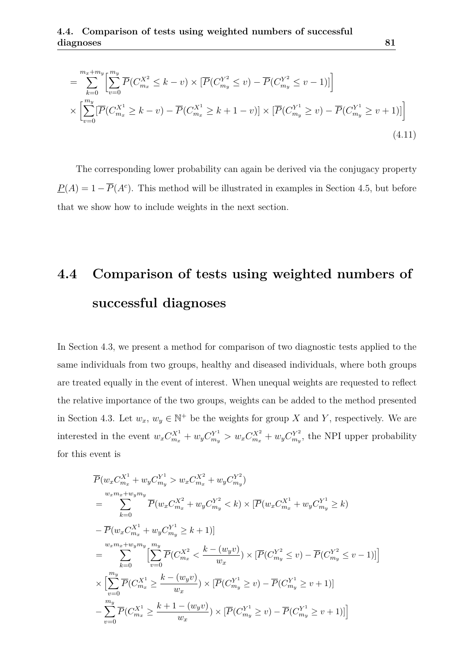$$
= \sum_{k=0}^{m_x + m_y} \left[ \sum_{v=0}^{m_y} \overline{P}(C_{m_x}^{X^2} \le k - v) \times \left[ \overline{P}(C_{m_y}^{Y^2} \le v) - \overline{P}(C_{m_y}^{Y^2} \le v - 1) \right] \right]
$$
  
 
$$
\times \left[ \sum_{v=0}^{m_y} \left[ \overline{P}(C_{m_x}^{X^1} \ge k - v) - \overline{P}(C_{m_x}^{X^1} \ge k + 1 - v) \right] \times \left[ \overline{P}(C_{m_y}^{Y^1} \ge v) - \overline{P}(C_{m_y}^{Y^1} \ge v + 1) \right] \right]
$$
(4.11)

The corresponding lower probability can again be derived via the conjugacy property  $\underline{P}(A) = 1 - \overline{P}(A^c)$ . This method will be illustrated in examples in Section [4.5,](#page-88-0) but before that we show how to include weights in the next section.

## <span id="page-86-0"></span>**4.4 Comparison of tests using weighted numbers of successful diagnoses**

In Section [4.3,](#page-84-0) we present a method for comparison of two diagnostic tests applied to the same individuals from two groups, healthy and diseased individuals, where both groups are treated equally in the event of interest. When unequal weights are requested to reflect the relative importance of the two groups, weights can be added to the method presented in Section [4.3.](#page-84-0) Let  $w_x, w_y \in \mathbb{N}^+$  be the weights for group *X* and *Y*, respectively. We are interested in the event  $w_x C_{m_x}^{X^1} + w_y C_{m_y}^{Y^1} > w_x C_{m_x}^{X^2} + w_y C_{m_y}^{Y^2}$  $m_y^{Y^2}$ , the NPI upper probability for this event is

$$
\overline{P}(w_x C_{m_x}^{X^1} + w_y C_{m_y}^{Y^1} > w_x C_{m_x}^{X^2} + w_y C_{m_y}^{Y^2})
$$
\n
$$
= \sum_{k=0}^{w_x m_x + w_y m_y} \overline{P}(w_x C_{m_x}^{X^2} + w_y C_{m_y}^{Y^2} < k) \times [\overline{P}(w_x C_{m_x}^{X^1} + w_y C_{m_y}^{Y^1} \ge k)
$$
\n
$$
- \overline{P}(w_x C_{m_x}^{X^1} + w_y C_{m_y}^{Y^1} \ge k + 1)]
$$
\n
$$
= \sum_{k=0}^{w_x m_x + w_y m_y} \left[ \sum_{v=0}^{m_y} \overline{P}(C_{m_x}^{X^2} < \frac{k - (w_y v)}{w_x}) \times [\overline{P}(C_{m_y}^{Y^2} \le v) - \overline{P}(C_{m_y}^{Y^2} \le v - 1)] \right]
$$
\n
$$
\times \left[ \sum_{v=0}^{m_y} \overline{P}(C_{m_x}^{X^1} \ge \frac{k - (w_y v)}{w_x}) \times [\overline{P}(C_{m_y}^{Y^1} \ge v) - \overline{P}(C_{m_y}^{Y^1} \ge v + 1)]
$$
\n
$$
- \sum_{v=0}^{m_y} \overline{P}(C_{m_x}^{X^1} \ge \frac{k + 1 - (w_y v)}{w_x}) \times [\overline{P}(C_{m_y}^{Y^1} \ge v) - \overline{P}(C_{m_y}^{Y^1} \ge v + 1)]
$$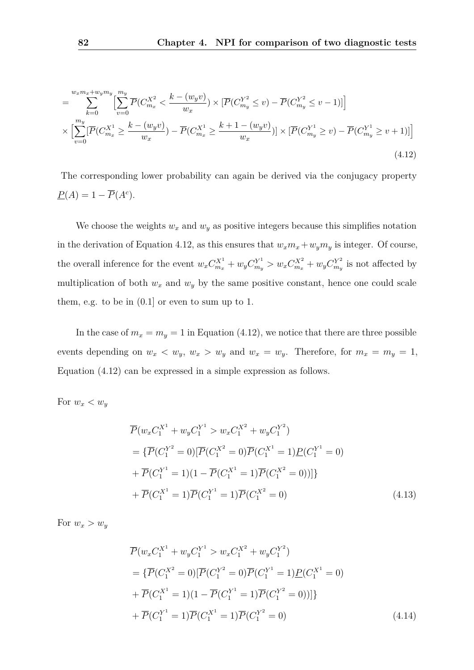<span id="page-87-0"></span>
$$
= \sum_{k=0}^{w_x m_x + w_y m_y} \left[ \sum_{v=0}^{m_y} \overline{P}(C_{m_x}^{X^2} < \frac{k - (w_y v)}{w_x}) \times \left[ \overline{P}(C_{m_y}^{Y^2} \le v) - \overline{P}(C_{m_y}^{Y^2} \le v - 1) \right] \right]
$$
\n
$$
\times \left[ \sum_{v=0}^{m_y} \left[ \overline{P}(C_{m_x}^{X^1} \ge \frac{k - (w_y v)}{w_x}) - \overline{P}(C_{m_x}^{X^1} \ge \frac{k + 1 - (w_y v)}{w_x}) \right] \times \left[ \overline{P}(C_{m_y}^{Y^1} \ge v) - \overline{P}(C_{m_y}^{Y^1} \ge v + 1) \right] \right]
$$
\n(4.12)

The corresponding lower probability can again be derived via the conjugacy property  $\underline{P}(A) = 1 - \overline{P}(A^c).$ 

We choose the weights  $w_x$  and  $w_y$  as positive integers because this simplifies notation in the derivation of Equation [4.12,](#page-87-0) as this ensures that  $w_x m_x + w_y m_y$  is integer. Of course, the overall inference for the event  $w_x C_{m_x}^{X^1} + w_y C_{m_y}^{Y^1} > w_x C_{m_x}^{X^2} + w_y C_{m_y}^{Y^2}$  $\int_{m_y}^{Y^2}$  is not affected by multiplication of both  $w_x$  and  $w_y$  by the same positive constant, hence one could scale them, e.g. to be in (0*.*1] or even to sum up to 1.

In the case of  $m_x = m_y = 1$  in Equation [\(4.12\)](#page-87-0), we notice that there are three possible events depending on  $w_x < w_y$ ,  $w_x > w_y$  and  $w_x = w_y$ . Therefore, for  $m_x = m_y = 1$ , Equation [\(4.12\)](#page-87-0) can be expressed in a simple expression as follows.

For  $w_x < w_y$ 

<span id="page-87-1"></span>
$$
\overline{P}(w_x C_1^{X^1} + w_y C_1^{Y^1} > w_x C_1^{X^2} + w_y C_1^{Y^2})
$$
\n
$$
= \{\overline{P}(C_1^{Y^2} = 0) [\overline{P}(C_1^{X^2} = 0) \overline{P}(C_1^{X^1} = 1) \underline{P}(C_1^{Y^1} = 0)
$$
\n
$$
+ \overline{P}(C_1^{Y^1} = 1)(1 - \overline{P}(C_1^{X^1} = 1) \overline{P}(C_1^{X^2} = 0))]\}
$$
\n
$$
+ \overline{P}(C_1^{X^1} = 1) \overline{P}(C_1^{Y^1} = 1) \overline{P}(C_1^{X^2} = 0)
$$
\n(4.13)

For  $w_x > w_y$ 

$$
\overline{P}(w_x C_1^{X^1} + w_y C_1^{Y^1} > w_x C_1^{X^2} + w_y C_1^{Y^2})
$$
\n
$$
= \{\overline{P}(C_1^{X^2} = 0) [\overline{P}(C_1^{Y^2} = 0) \overline{P}(C_1^{Y^1} = 1) \underline{P}(C_1^{X^1} = 0)
$$
\n
$$
+ \overline{P}(C_1^{X^1} = 1)(1 - \overline{P}(C_1^{Y^1} = 1) \overline{P}(C_1^{Y^2} = 0))]\}
$$
\n
$$
+ \overline{P}(C_1^{Y^1} = 1) \overline{P}(C_1^{X^1} = 1) \overline{P}(C_1^{Y^2} = 0)
$$
\n(4.14)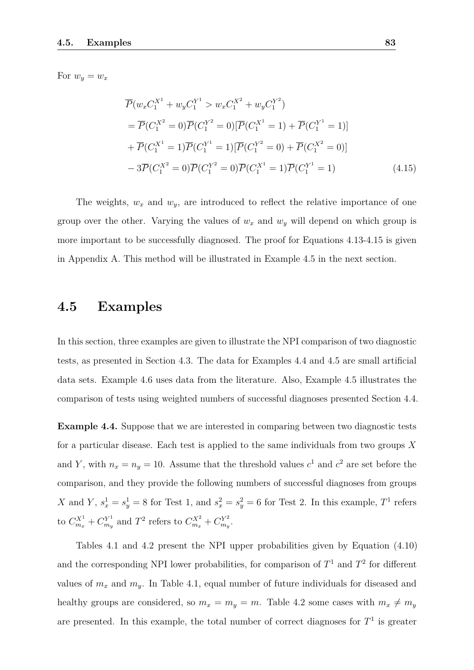For  $w_y = w_x$ 

<span id="page-88-1"></span>
$$
\overline{P}(w_x C_1^{X^1} + w_y C_1^{Y^1} > w_x C_1^{X^2} + w_y C_1^{Y^2})
$$
\n
$$
= \overline{P}(C_1^{X^2} = 0)\overline{P}(C_1^{Y^2} = 0)[\overline{P}(C_1^{X^1} = 1) + \overline{P}(C_1^{Y^1} = 1)]
$$
\n
$$
+ \overline{P}(C_1^{X^1} = 1)\overline{P}(C_1^{Y^1} = 1)[\overline{P}(C_1^{Y^2} = 0) + \overline{P}(C_1^{X^2} = 0)]
$$
\n
$$
- 3\overline{P}(C_1^{X^2} = 0)\overline{P}(C_1^{Y^2} = 0)\overline{P}(C_1^{X^1} = 1)\overline{P}(C_1^{Y^1} = 1) \tag{4.15}
$$

The weights,  $w_x$  and  $w_y$ , are introduced to reflect the relative importance of one group over the other. Varying the values of  $w_x$  and  $w_y$  will depend on which group is more important to be successfully diagnosed. The proof for Equations [4.13-](#page-87-1)[4.15](#page-88-1) is given in Appendix [A.](#page-107-0) This method will be illustrated in Example [4.5](#page-90-0) in the next section.

#### <span id="page-88-0"></span>**4.5 Examples**

In this section, three examples are given to illustrate the NPI comparison of two diagnostic tests, as presented in Section [4.3.](#page-84-0) The data for Examples [4.4](#page-88-2) and [4.5](#page-90-0) are small artificial data sets. Example [4.6](#page-92-0) uses data from the literature. Also, Example [4.5](#page-90-0) illustrates the comparison of tests using weighted numbers of successful diagnoses presented Section [4.4.](#page-86-0)

<span id="page-88-2"></span>**Example 4.4.** Suppose that we are interested in comparing between two diagnostic tests for a particular disease. Each test is applied to the same individuals from two groups *X* and *Y*, with  $n_x = n_y = 10$ . Assume that the threshold values  $c^1$  and  $c^2$  are set before the comparison, and they provide the following numbers of successful diagnoses from groups *X* and *Y*,  $s_x^1 = s_y^1 = 8$  for Test 1, and  $s_x^2 = s_y^2 = 6$  for Test 2. In this example,  $T^1$  refers  $\mathbf{t}_{0} C_{m_x}^{X^1} + C_{m_y}^{Y^1}$  $C_{m_y}^{Y^1}$  and  $T^2$  refers to  $C_{m_x}^{X^2} + C_{m_y}^{Y^2}$  $\frac{rY^2}{m_y}$ .

Tables [4.1](#page-89-0) and [4.2](#page-89-1) present the NPI upper probabilities given by Equation [\(4.10\)](#page-85-1) and the corresponding NPI lower probabilities, for comparison of  $T^1$  and  $T^2$  for different values of  $m_x$  and  $m_y$ . In Table [4.1,](#page-89-0) equal number of future individuals for diseased and healthy groups are considered, so  $m_x = m_y = m$ . Table [4.2](#page-89-1) some cases with  $m_x \neq m_y$ are presented. In this example, the total number of correct diagnoses for  $T<sup>1</sup>$  is greater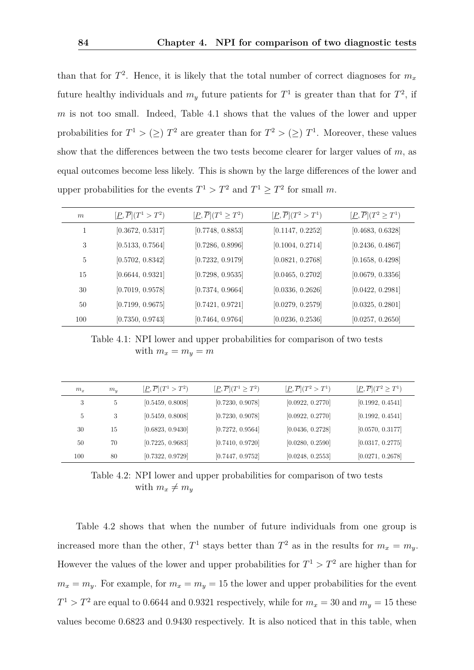than that for  $T^2$ . Hence, it is likely that the total number of correct diagnoses for  $m_x$ future healthy individuals and  $m_y$  future patients for  $T^1$  is greater than that for  $T^2$ , if *m* is not too small. Indeed, Table [4.1](#page-89-0) shows that the values of the lower and upper probabilities for  $T^1 > (\geq) T^2$  are greater than for  $T^2 > (\geq) T^1$ . Moreover, these values show that the differences between the two tests become clearer for larger values of *m*, as equal outcomes become less likely. This is shown by the large differences of the lower and upper probabilities for the events  $T^1 > T^2$  and  $T^1 \geq T^2$  for small m.

<span id="page-89-0"></span>

| m   | $[\underline{P}, \overline{P}](T^1 > T^2)$ | $[\underline{P}, \overline{P}](T^1 \geq T^2)$ | $[\underline{P}, \overline{P}](T^2 > T^1)$ | $[\underline{P}, \overline{P}](T^2 \geq T^1)$ |
|-----|--------------------------------------------|-----------------------------------------------|--------------------------------------------|-----------------------------------------------|
| 1   | [0.3672, 0.5317]                           | [0.7748, 0.8853]                              | [0.1147, 0.2252]                           | [0.4683, 0.6328]                              |
| 3   | [0.5133, 0.7564]                           | [0.7286, 0.8996]                              | [0.1004, 0.2714]                           | [0.2436, 0.4867]                              |
| 5   | [0.5702, 0.8342]                           | [0.7232, 0.9179]                              | [0.0821, 0.2768]                           | [0.1658, 0.4298]                              |
| 15  | [0.6644, 0.9321]                           | [0.7298, 0.9535]                              | [0.0465, 0.2702]                           | [0.0679, 0.3356]                              |
| 30  | [0.7019, 0.9578]                           | [0.7374, 0.9664]                              | [0.0336, 0.2626]                           | [0.0422, 0.2981]                              |
| 50  | [0.7199, 0.9675]                           | [0.7421, 0.9721]                              | [0.0279, 0.2579]                           | [0.0325, 0.2801]                              |
| 100 | [0.7350, 0.9743]                           | [0.7464, 0.9764]                              | [0.0236, 0.2536]                           | [0.0257, 0.2650]                              |

Table 4.1: NPI lower and upper probabilities for comparison of two tests with  $m_x = m_y = m$ 

<span id="page-89-1"></span>

| $m_x$ | $m_{y}$ | $[\underline{P}, \overline{P}](T^1 > T^2)$ | $[\underline{P}, \overline{P}](T^1 \geq T^2)$ | $[\underline{P}, \overline{P}](T^2 > T^1)$ | $[\underline{P}, \overline{P}](T^2 \geq T^1)$ |
|-------|---------|--------------------------------------------|-----------------------------------------------|--------------------------------------------|-----------------------------------------------|
| 3     | 5       | [0.5459, 0.8008]                           | [0.7230, 0.9078]                              | [0.0922, 0.2770]                           | [0.1992, 0.4541]                              |
| 5     | 3       | [0.5459, 0.8008]                           | [0.7230, 0.9078]                              | [0.0922, 0.2770]                           | [0.1992, 0.4541]                              |
| 30    | 15      | [0.6823, 0.9430]                           | [0.7272, 0.9564]                              | [0.0436, 0.2728]                           | [0.0570, 0.3177]                              |
| 50    | 70      | [0.7225, 0.9683]                           | [0.7410, 0.9720]                              | [0.0280, 0.2590]                           | [0.0317, 0.2775]                              |
| 100   | 80      | [0.7322, 0.9729]                           | [0.7447, 0.9752]                              | [0.0248, 0.2553]                           | [0.0271, 0.2678]                              |

Table 4.2: NPI lower and upper probabilities for comparison of two tests with  $m_x \neq m_y$ 

Table [4.2](#page-89-1) shows that when the number of future individuals from one group is increased more than the other,  $T^1$  stays better than  $T^2$  as in the results for  $m_x = m_y$ . However the values of the lower and upper probabilities for  $T^1 > T^2$  are higher than for  $m_x = m_y$ . For example, for  $m_x = m_y = 15$  the lower and upper probabilities for the event  $T^1 > T^2$  are equal to 0.6644 and 0.9321 respectively, while for  $m_x = 30$  and  $m_y = 15$  these values become 0*.*6823 and 0*.*9430 respectively. It is also noticed that in this table, when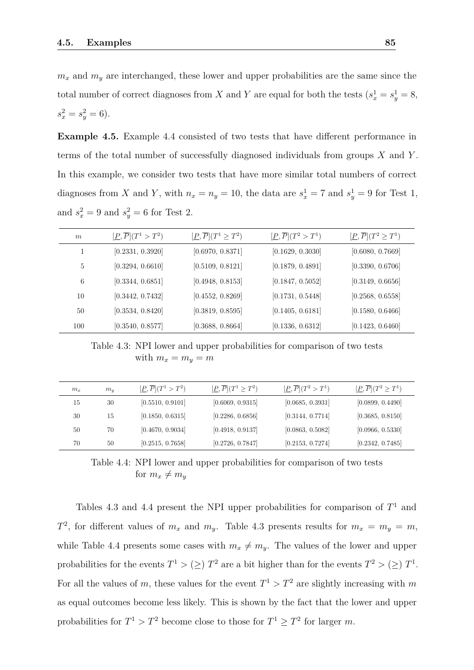$m_x$  and  $m_y$  are interchanged, these lower and upper probabilities are the same since the total number of correct diagnoses from *X* and *Y* are equal for both the tests  $(s_x^1 = s_y^1 = 8,$  $s_x^2 = s_y^2 = 6$ .

<span id="page-90-0"></span>**Example 4.5.** Example [4.4](#page-88-2) consisted of two tests that have different performance in terms of the total number of successfully diagnosed individuals from groups *X* and *Y* . In this example, we consider two tests that have more similar total numbers of correct diagnoses from *X* and *Y*, with  $n_x = n_y = 10$ , the data are  $s_x^1 = 7$  and  $s_y^1 = 9$  for Test 1, and  $s_x^2 = 9$  and  $s_y^2 = 6$  for Test 2.

<span id="page-90-1"></span>

| m   | $[\underline{P}, \overline{P}](T^1 > T^2)$ | $[\underline{P}, \overline{P}](T^1 \geq T^2)$ | $[\underline{P}, \overline{P}](T^2 > T^1)$ | $[\underline{P}, \overline{P}](T^2 \geq T^1)$ |
|-----|--------------------------------------------|-----------------------------------------------|--------------------------------------------|-----------------------------------------------|
|     | [0.2331, 0.3920]                           | [0.6970, 0.8371]                              | [0.1629, 0.3030]                           | [0.6080, 0.7669]                              |
| 5   | [0.3294, 0.6610]                           | [0.5109, 0.8121]                              | [0.1879, 0.4891]                           | [0.3390, 0.6706]                              |
| 6   | [0.3344, 0.6851]                           | [0.4948, 0.8153]                              | [0.1847, 0.5052]                           | [0.3149, 0.6656]                              |
| 10  | [0.3442, 0.7432]                           | [0.4552, 0.8269]                              | [0.1731, 0.5448]                           | [0.2568, 0.6558]                              |
| 50  | [0.3534, 0.8420]                           | [0.3819, 0.8595]                              | [0.1405, 0.6181]                           | [0.1580, 0.6466]                              |
| 100 | [0.3540, 0.8577]                           | [0.3688, 0.8664]                              | [0.1336, 0.6312]                           | [0.1423, 0.6460]                              |

Table 4.3: NPI lower and upper probabilities for comparison of two tests with  $m_x = m_y = m$ 

<span id="page-90-2"></span>

| $m_x$ | $m_u$ | $[\underline{P}, \overline{P}](T^1 > T^2)$ | $[\underline{P}, P](T^1 \geq T^2)$ | $[\underline{P}, \overline{P}](T^2 > T^1)$ | $[\underline{P}, \overline{P}](T^2 \geq T^1)$ |
|-------|-------|--------------------------------------------|------------------------------------|--------------------------------------------|-----------------------------------------------|
| 15    | 30    | [0.5510, 0.9101]                           | [0.6069, 0.9315]                   | [0.0685, 0.3931]                           | [0.0899, 0.4490]                              |
| 30    | 15    | [0.1850, 0.6315]                           | [0.2286, 0.6856]                   | [0.3144, 0.7714]                           | [0.3685, 0.8150]                              |
| 50    | 70    | [0.4670, 0.9034]                           | [0.4918, 0.9137]                   | [0.0863, 0.5082]                           | [0.0966, 0.5330]                              |
| 70    | 50    | [0.2515, 0.7658]                           | [0.2726, 0.7847]                   | [0.2153, 0.7274]                           | [0.2342, 0.7485]                              |

Table 4.4: NPI lower and upper probabilities for comparison of two tests for  $m_x \neq m_y$ 

Tables [4.3](#page-90-1) and [4.4](#page-90-2) present the NPI upper probabilities for comparison of *T* <sup>1</sup> and  $T^2$ , for different values of  $m_x$  and  $m_y$ . Table [4.3](#page-90-1) presents results for  $m_x = m_y = m$ , while Table [4.4](#page-90-2) presents some cases with  $m_x \neq m_y$ . The values of the lower and upper probabilities for the events  $T^1 > (\geq) T^2$  are a bit higher than for the events  $T^2 > (\geq) T^1$ . For all the values of *m*, these values for the event  $T^1 > T^2$  are slightly increasing with *m* as equal outcomes become less likely. This is shown by the fact that the lower and upper probabilities for  $T^1 > T^2$  become close to those for  $T^1 \geq T^2$  for larger *m*.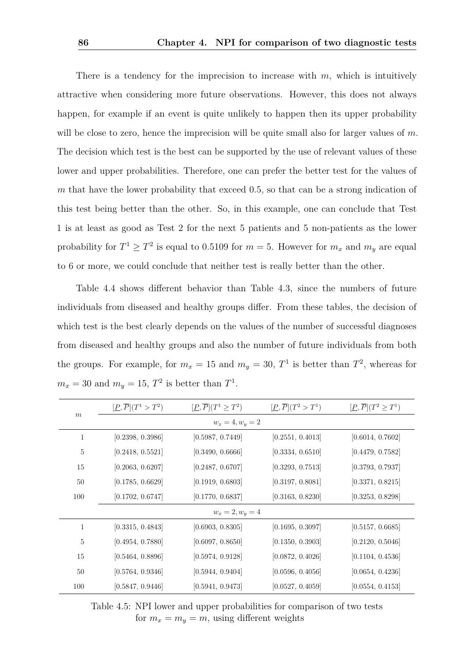There is a tendency for the imprecision to increase with *m*, which is intuitively attractive when considering more future observations. However, this does not always happen, for example if an event is quite unlikely to happen then its upper probability will be close to zero, hence the imprecision will be quite small also for larger values of *m*. The decision which test is the best can be supported by the use of relevant values of these lower and upper probabilities. Therefore, one can prefer the better test for the values of *m* that have the lower probability that exceed 0*.*5, so that can be a strong indication of this test being better than the other. So, in this example, one can conclude that Test 1 is at least as good as Test 2 for the next 5 patients and 5 non-patients as the lower probability for  $T^1 \geq T^2$  is equal to 0.5109 for  $m = 5$ . However for  $m_x$  and  $m_y$  are equal to 6 or more, we could conclude that neither test is really better than the other.

Table [4.4](#page-90-2) shows different behavior than Table [4.3,](#page-90-1) since the numbers of future individuals from diseased and healthy groups differ. From these tables, the decision of which test is the best clearly depends on the values of the number of successful diagnoses from diseased and healthy groups and also the number of future individuals from both the groups. For example, for  $m_x = 15$  and  $m_y = 30$ ,  $T^1$  is better than  $T^2$ , whereas for  $m_x = 30$  and  $m_y = 15$ ,  $T^2$  is better than  $T^1$ .

<span id="page-91-0"></span>

|                    | $[\underline{P}, \overline{P}](T^1 > T^2)$ | $[\underline{P}, \overline{P}](T^1 \geq T^2)$ | $[\underline{P}, \overline{P}](T^2 > T^1)$ | $[\underline{P}, \overline{P}](T^2 \geq T^1)$ |  |  |
|--------------------|--------------------------------------------|-----------------------------------------------|--------------------------------------------|-----------------------------------------------|--|--|
| $\,m$              |                                            | $w_x = 4, w_y = 2$                            |                                            |                                               |  |  |
| $\mathbf{1}$       | [0.2398, 0.3986]                           | [0.5987, 0.7449]                              | [0.2551, 0.4013]                           | [0.6014, 0.7602]                              |  |  |
| 5                  | [0.2418, 0.5521]                           | [0.3490, 0.6666]                              | [0.3334, 0.6510]                           | [0.4479, 0.7582]                              |  |  |
| 15                 | [0.2063, 0.6207]                           | [0.2487, 0.6707]                              | [0.3293, 0.7513]                           | [0.3793, 0.7937]                              |  |  |
| 50                 | [0.1785, 0.6629]                           | [0.1919, 0.6803]                              | [0.3197, 0.8081]                           | [0.3371, 0.8215]                              |  |  |
| 100                | [0.1702, 0.6747]                           | [0.1770, 0.6837]                              | [0.3163, 0.8230]                           | [0.3253, 0.8298]                              |  |  |
| $w_x = 2, w_y = 4$ |                                            |                                               |                                            |                                               |  |  |
| 1                  | [0.3315, 0.4843]                           | [0.6903, 0.8305]                              | [0.1695, 0.3097]                           | [0.5157, 0.6685]                              |  |  |
| 5                  | [0.4954, 0.7880]                           | [0.6097, 0.8650]                              | [0.1350, 0.3903]                           | [0.2120, 0.5046]                              |  |  |
| 15                 | [0.5464, 0.8896]                           | [0.5974, 0.9128]                              | [0.0872, 0.4026]                           | [0.1104, 0.4536]                              |  |  |
| 50                 | [0.5764, 0.9346]                           | [0.5944, 0.9404]                              | [0.0596, 0.4056]                           | [0.0654, 0.4236]                              |  |  |
| 100                | [0.5847, 0.9446]                           | [0.5941, 0.9473]                              | [0.0527, 0.4059]                           | [0.0554, 0.4153]                              |  |  |

Table 4.5: NPI lower and upper probabilities for comparison of two tests for  $m_x = m_y = m$ , using different weights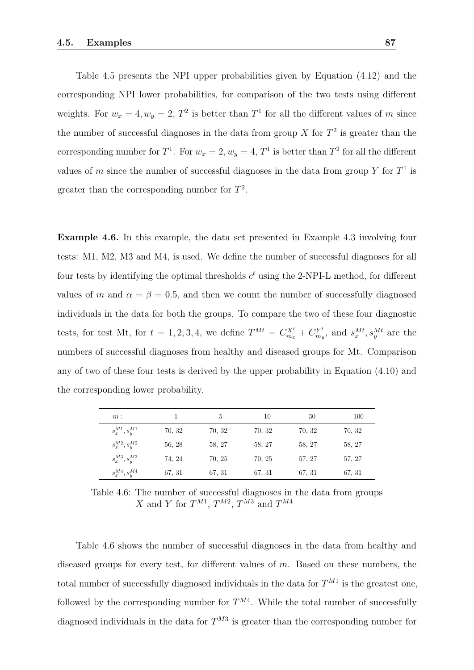Table [4.5](#page-91-0) presents the NPI upper probabilities given by Equation [\(4.12\)](#page-87-0) and the corresponding NPI lower probabilities, for comparison of the two tests using different weights. For  $w_x = 4, w_y = 2, T^2$  is better than  $T^1$  for all the different values of *m* since the number of successful diagnoses in the data from group  $X$  for  $T<sup>2</sup>$  is greater than the corresponding number for  $T^1$ . For  $w_x = 2$ ,  $w_y = 4$ ,  $T^1$  is better than  $T^2$  for all the different values of *m* since the number of successful diagnoses in the data from group  $Y$  for  $T^1$  is greater than the corresponding number for  $T^2$ .

<span id="page-92-0"></span>**Example 4.6.** In this example, the data set presented in Example [4.3](#page-80-0) involving four tests: M1, M2, M3 and M4, is used. We define the number of successful diagnoses for all four tests by identifying the optimal thresholds *c <sup>t</sup>* using the 2-NPI-L method, for different values of *m* and  $\alpha = \beta = 0.5$ , and then we count the number of successfully diagnosed individuals in the data for both the groups. To compare the two of these four diagnostic tests, for test Mt, for  $t = 1, 2, 3, 4$ , we define  $T^{Mt} = C_{m_x}^{X^t} + C_{m_y}^{Y^t}$  $s_x^{Nt}$ , and  $s_x^{Mt}$ ,  $s_y^{Mt}$  are the numbers of successful diagnoses from healthy and diseased groups for Mt. Comparison any of two of these four tests is derived by the upper probability in Equation [\(4.10\)](#page-85-1) and the corresponding lower probability.

<span id="page-92-1"></span>

| $m$ :                |        | 5      | 10     | 30     | 100    |
|----------------------|--------|--------|--------|--------|--------|
| $s_x^{M1}, s_y^{M1}$ | 70, 32 | 70, 32 | 70, 32 | 70, 32 | 70, 32 |
| $s_x^{M2}, s_y^{M2}$ | 56, 28 | 58, 27 | 58, 27 | 58, 27 | 58, 27 |
| $s_x^{M3}, s_u^{M3}$ | 74, 24 | 70, 25 | 70, 25 | 57, 27 | 57, 27 |
| $s_x^{M4}, s_y^{M4}$ | 67, 31 | 67, 31 | 67, 31 | 67, 31 | 67, 31 |

Table 4.6: The number of successful diagnoses in the data from groups *X* and *Y* for  $T^{M1}$ ,  $T^{M2}$ ,  $T^{M3}$  and  $T^{M4}$ 

Table [4.6](#page-92-1) shows the number of successful diagnoses in the data from healthy and diseased groups for every test, for different values of *m*. Based on these numbers, the total number of successfully diagnosed individuals in the data for  $T^{M1}$  is the greatest one, followed by the corresponding number for  $T^{M4}$ . While the total number of successfully diagnosed individuals in the data for  $T^{M3}$  is greater than the corresponding number for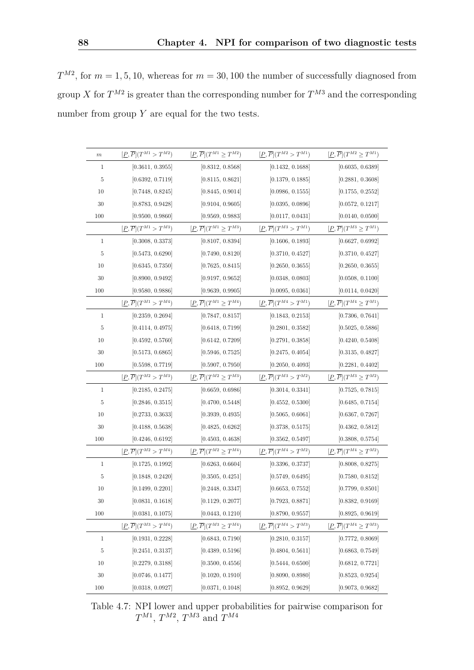$T^{M2}$ , for  $m = 1, 5, 10$ , whereas for  $m = 30, 100$  the number of successfully diagnosed from group *X* for  $T^{M2}$  is greater than the corresponding number for  $T^{M3}$  and the corresponding number from group  $Y$  are equal for the two tests.

<span id="page-93-0"></span>

| $\,m$          | $[\underline{P}, \overline{P}](T^{M1} > T^{M2})$ | $[\underline{P},\overline{P}](T^{M1}\geq T^{M2})$   | $[\underline{P}, \overline{P}](T^{M2} > T^{M1})$ | $[\underline{P}, \overline{P}](T^{M2} \geq T^{M1})$ |
|----------------|--------------------------------------------------|-----------------------------------------------------|--------------------------------------------------|-----------------------------------------------------|
| $\mathbf{1}$   | [0.3611, 0.3955]                                 | [0.8312, 0.8568]                                    | [0.1432, 0.1688]                                 | [0.6035, 0.6389]                                    |
| 5              | [0.6392, 0.7119]                                 | [0.8115, 0.8621]                                    | [0.1379, 0.1885]                                 | [0.2881, 0.3608]                                    |
| 10             | [0.7448, 0.8245]                                 | [0.8445, 0.9014]                                    | [0.0986, 0.1555]                                 | [0.1755, 0.2552]                                    |
| 30             | [0.8783, 0.9428]                                 | [0.9104, 0.9605]                                    | [0.0395, 0.0896]                                 | [0.0572, 0.1217]                                    |
| 100            | [0.9500, 0.9860]                                 | [0.9569, 0.9883]                                    | [0.0117, 0.0431]                                 | [0.0140, 0.0500]                                    |
|                | $[\underline{P}, \overline{P}](T^{M1} > T^{M3})$ | $[\underline{P}, \overline{P}](T^{M1} \geq T^{M3})$ | $[\underline{P}, \overline{P}](T^{M3} > T^{M1})$ | $[\underline{P}, \overline{P}](T^{M3} \geq T^{M1})$ |
| $\mathbf{1}$   | [0.3008, 0.3373]                                 | [0.8107, 0.8394]                                    | [0.1606, 0.1893]                                 | [0.6627, 0.6992]                                    |
| 5              | [0.5473, 0.6290]                                 | [0.7490, 0.8120]                                    | [0.3710, 0.4527]                                 | [0.3710, 0.4527]                                    |
| 10             | [0.6345, 0.7350]                                 | [0.7625, 0.8415]                                    | [0.2650, 0.3655]                                 | [0.2650, 0.3655]                                    |
| 30             | [0.8900, 0.9492]                                 | [0.9197, 0.9652]                                    | [0.0348, 0.0803]                                 | [0.0508, 0.1100]                                    |
| 100            | [0.9580, 0.9886]                                 | [0.9639, 0.9905]                                    | [0.0095, 0.0361]                                 | [0.0114, 0.0420]                                    |
|                | $[\underline{P}, \overline{P}](T^{M1} > T^{M4})$ | $[\underline{P}, \overline{P}](T^{M1} \geq T^{M4})$ | $[\underline{P}, \overline{P}](T^{M4} > T^{M1})$ | $[\underline{P}, \overline{P}](T^{M4} \geq T^{M1})$ |
| $\mathbf{1}$   | [0.2359, 0.2694]                                 | [0.7847, 0.8157]                                    | [0.1843, 0.2153]                                 | [0.7306, 0.7641]                                    |
| $\mathbf 5$    | [0.4114, 0.4975]                                 | [0.6418, 0.7199]                                    | [0.2801, 0.3582]                                 | [0.5025, 0.5886]                                    |
| 10             | [0.4592, 0.5760]                                 | [0.6142, 0.7209]                                    | [0.2791, 0.3858]                                 | [0.4240, 0.5408]                                    |
| 30             | [0.5173, 0.6865]                                 | [0.5946, 0.7525]                                    | [0.2475, 0.4054]                                 | [0.3135, 0.4827]                                    |
| 100            | [0.5598, 0.7719]                                 | [0.5907, 0.7950]                                    | [0.2050, 0.4093]                                 | [0.2281, 0.4402]                                    |
|                | $[\underline{P}, \overline{P}](T^{M2} > T^{M3})$ | $[\underline{P}, \overline{P}](T^{M2} \geq T^{M3})$ | $[\underline{P}, \overline{P}](T^{M3} > T^{M2})$ | $[\underline{P}, \overline{P}](T^{M3} \geq T^{M2})$ |
| $\mathbf{1}$   | [0.2185, 0.2475]                                 | [0.6659, 0.6986]                                    | [0.3014, 0.3341]                                 | [0.7525, 0.7815]                                    |
| 5              | [0.2846, 0.3515]                                 | [0.4700, 0.5448]                                    | [0.4552, 0.5300]                                 | [0.6485, 0.7154]                                    |
| 10             | [0.2733, 0.3633]                                 | [0.3939, 0.4935]                                    | [0.5065, 0.6061]                                 | [0.6367, 0.7267]                                    |
| 30             | [0.4188, 0.5638]                                 | [0.4825, 0.6262]                                    | [0.3738, 0.5175]                                 | [0.4362, 0.5812]                                    |
| 100            | [0.4246, 0.6192]                                 | [0.4503, 0.4638]                                    | [0.3562, 0.5497]                                 | [0.3808, 0.5754]                                    |
|                | $[\underline{P}, \overline{P}](T^{M2} > T^{M4})$ | $[\underline{P}, \overline{P}](T^{M2} \geq T^{M4})$ | $[\underline{P}, \overline{P}](T^{M4} > T^{M2})$ | $[\underline{P}, \overline{P}](T^{M4} \geq T^{M2})$ |
| $\mathbf{1}$   | [0.1725, 0.1992]                                 | [0.6263, 0.6604]                                    | [0.3396, 0.3737]                                 | [0.8008, 0.8275]                                    |
| $\bf 5$        | [0.1848, 0.2420]                                 | [0.3505, 0.4251]                                    | [0.5749, 0.6495]                                 | [0.7580, 0.8152]                                    |
| 10             | [0.1499, 0.2201]                                 | [0.2448, 0.3347]                                    | [0.6653, 0.7552]                                 | [0.7799, 0.8501]                                    |
| 30             | [0.0831, 0.1618]                                 | [0.1129, 0.2077]                                    | [0.7923, 0.8871]                                 | [0.8382, 0.9169]                                    |
| 100            | [0.0381, 0.1075]                                 | [0.0443, 0.1210]                                    | [0.8790, 0.9557]                                 | [0.8925, 0.9619]                                    |
|                | $[\underline{P}, \overline{P}](T^{M3} > T^{M4})$ | $[\underline{P}, \overline{P}](T^{M3} \geq T^{M4})$ | $[\underline{P},\overline{P}](T^{M4}>T^{M3})$    | $[\underline{P}, \overline{P}](T^{M4} \geq T^{M3})$ |
| $\mathbf{1}$   | [0.1931, 0.2228]                                 | [0.6843, 0.7190]                                    | [0.2810, 0.3157]                                 | [0.7772, 0.8069]                                    |
| $\overline{5}$ | [0.2451, 0.3137]                                 | [0.4389, 0.5196]                                    | [0.4804, 0.5611]                                 | [0.6863, 0.7549]                                    |
| 10             | [0.2279, 0.3188]                                 | [0.3500, 0.4556]                                    | [0.5444, 0.6500]                                 | [0.6812, 0.7721]                                    |
| 30             | [0.0746, 0.1477]                                 | [0.1020, 0.1910]                                    | [0.8090, 0.8980]                                 | [0.8523, 0.9254]                                    |
| 100            | [0.0318, 0.0927]                                 | [0.0371, 0.1048]                                    | [0.8952, 0.9629]                                 | [0.9073, 0.9682]                                    |

Table 4.7: NPI lower and upper probabilities for pairwise comparison for  $T^{M1}$ ,  $T^{M2}$ ,  $T^{M3}$  and  $T^{M4}$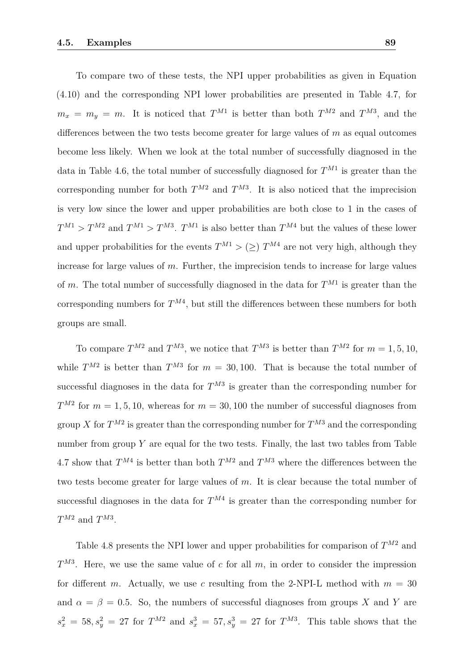To compare two of these tests, the NPI upper probabilities as given in Equation [\(4.10\)](#page-85-1) and the corresponding NPI lower probabilities are presented in Table [4.7,](#page-93-0) for  $m_x = m_y = m$ . It is noticed that  $T^{M1}$  is better than both  $T^{M2}$  and  $T^{M3}$ , and the differences between the two tests become greater for large values of *m* as equal outcomes become less likely. When we look at the total number of successfully diagnosed in the data in Table [4.6,](#page-92-1) the total number of successfully diagnosed for  $T^{M1}$  is greater than the corresponding number for both  $T^{M2}$  and  $T^{M3}$ . It is also noticed that the imprecision is very low since the lower and upper probabilities are both close to 1 in the cases of  $T^{M1} > T^{M2}$  and  $T^{M1} > T^{M3}$ .  $T^{M1}$  is also better than  $T^{M4}$  but the values of these lower and upper probabilities for the events  $T^{M1} > (\geq) T^{M4}$  are not very high, although they increase for large values of *m*. Further, the imprecision tends to increase for large values of *m*. The total number of successfully diagnosed in the data for  $T^{M1}$  is greater than the corresponding numbers for  $T^{M4}$ , but still the differences between these numbers for both groups are small.

To compare  $T^{M2}$  and  $T^{M3}$ , we notice that  $T^{M3}$  is better than  $T^{M2}$  for  $m = 1, 5, 10$ , while  $T^{M2}$  is better than  $T^{M3}$  for  $m = 30, 100$ . That is because the total number of successful diagnoses in the data for  $T^{M3}$  is greater than the corresponding number for  $T^{M2}$  for  $m = 1, 5, 10$ , whereas for  $m = 30, 100$  the number of successful diagnoses from group *X* for  $T^{M2}$  is greater than the corresponding number for  $T^{M3}$  and the corresponding number from group  $Y$  are equal for the two tests. Finally, the last two tables from Table [4.7](#page-93-0) show that  $T^{M4}$  is better than both  $T^{M2}$  and  $T^{M3}$  where the differences between the two tests become greater for large values of *m*. It is clear because the total number of successful diagnoses in the data for  $T^{M4}$  is greater than the corresponding number for  $T^{M2}$  and  $T^{M3}$ .

Table [4.8](#page-95-1) presents the NPI lower and upper probabilities for comparison of  $T^{M2}$  and *T M*3 . Here, we use the same value of *c* for all *m*, in order to consider the impression for different *m*. Actually, we use *c* resulting from the 2-NPI-L method with  $m = 30$ and  $\alpha = \beta = 0.5$ . So, the numbers of successful diagnoses from groups *X* and *Y* are  $s_x^2 = 58, s_y^2 = 27$  for  $T^{M2}$  and  $s_x^3 = 57, s_y^3 = 27$  for  $T^{M3}$ . This table shows that the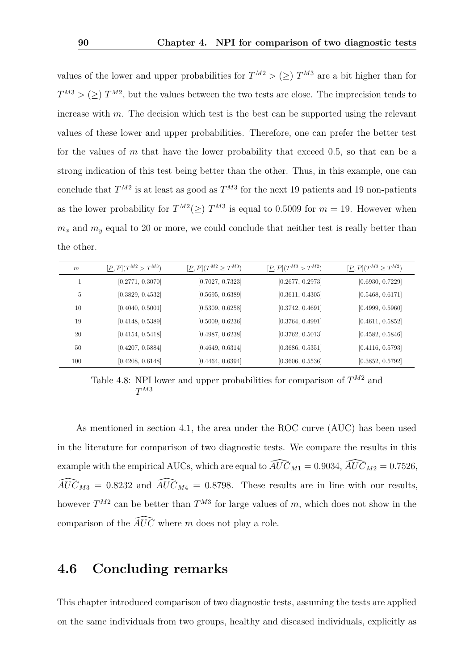values of the lower and upper probabilities for  $T^{M2}$  > ( $\geq$ )  $T^{M3}$  are a bit higher than for  $T^{M3}$  > ( $\geq$ )  $T^{M2}$ , but the values between the two tests are close. The imprecision tends to increase with *m*. The decision which test is the best can be supported using the relevant values of these lower and upper probabilities. Therefore, one can prefer the better test for the values of *m* that have the lower probability that exceed 0*.*5, so that can be a strong indication of this test being better than the other. Thus, in this example, one can conclude that  $T^{M2}$  is at least as good as  $T^{M3}$  for the next 19 patients and 19 non-patients as the lower probability for  $T^{M2}(\geq)$   $T^{M3}$  is equal to 0.5009 for  $m = 19$ . However when  $m_x$  and  $m_y$  equal to 20 or more, we could conclude that neither test is really better than the other.

<span id="page-95-1"></span>

| $\boldsymbol{m}$ | $[\underline{P}, \overline{P}](T^{M2} > T^{M3})$ | $[\underline{P}, \overline{P}](T^{M2} \geq T^{M3})$ | $[\underline{P}, \overline{P}](T^{M3} > T^{M2})$ | $[\underline{P}, \overline{P}](T^{M3} \geq T^{M2})$ |
|------------------|--------------------------------------------------|-----------------------------------------------------|--------------------------------------------------|-----------------------------------------------------|
|                  | [0.2771, 0.3070]                                 | [0.7027, 0.7323]                                    | [0.2677, 0.2973]                                 | [0.6930, 0.7229]                                    |
| 5                | [0.3829, 0.4532]                                 | [0.5695, 0.6389]                                    | [0.3611, 0.4305]                                 | [0.5468, 0.6171]                                    |
| 10               | [0.4040, 0.5001]                                 | [0.5309, 0.6258]                                    | [0.3742, 0.4691]                                 | [0.4999, 0.5960]                                    |
| 19               | [0.4148, 0.5389]                                 | [0.5009, 0.6236]                                    | [0.3764, 0.4991]                                 | [0.4611, 0.5852]                                    |
| 20               | [0.4154, 0.5418]                                 | [0.4987, 0.6238]                                    | [0.3762, 0.5013]                                 | [0.4582, 0.5846]                                    |
| 50               | [0.4207, 0.5884]                                 | [0.4649, 0.6314]                                    | [0.3686, 0.5351]                                 | [0.4116, 0.5793]                                    |
| 100              | [0.4208, 0.6148]                                 | [0.4464, 0.6394]                                    | [0.3606, 0.5536]                                 | [0.3852, 0.5792]                                    |

Table 4.8: NPI lower and upper probabilities for comparison of *T <sup>M</sup>*<sup>2</sup> and *T M*3

As mentioned in section [4.1,](#page-72-0) the area under the ROC curve (AUC) has been used in the literature for comparison of two diagnostic tests. We compare the results in this example with the empirical AUCs, which are equal to  $\widehat{AUC}_{M1} = 0.9034$ ,  $\widehat{AUC}_{M2} = 0.7526$ ,  $\widehat{AUC}_{M3} = 0.8232$  and  $\widehat{AUC}_{M4} = 0.8798$ . These results are in line with our results, however  $T^{M2}$  can be better than  $T^{M3}$  for large values of *m*, which does not show in the comparison of the  $\widehat{AUC}$  where *m* does not play a role.

#### <span id="page-95-0"></span>**4.6 Concluding remarks**

This chapter introduced comparison of two diagnostic tests, assuming the tests are applied on the same individuals from two groups, healthy and diseased individuals, explicitly as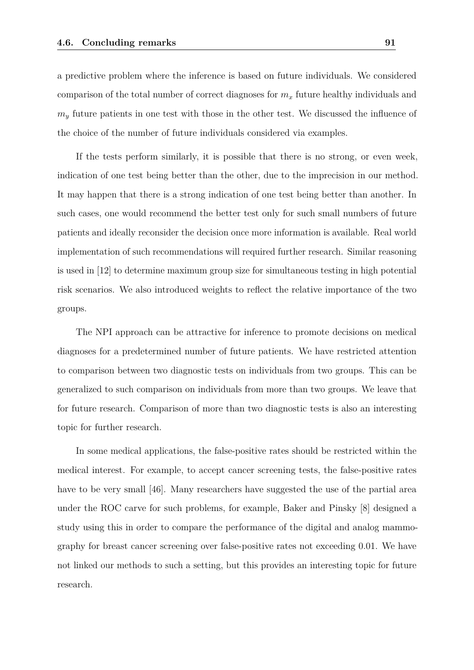a predictive problem where the inference is based on future individuals. We considered comparison of the total number of correct diagnoses for *m<sup>x</sup>* future healthy individuals and *m<sup>y</sup>* future patients in one test with those in the other test. We discussed the influence of the choice of the number of future individuals considered via examples.

If the tests perform similarly, it is possible that there is no strong, or even week, indication of one test being better than the other, due to the imprecision in our method. It may happen that there is a strong indication of one test being better than another. In such cases, one would recommend the better test only for such small numbers of future patients and ideally reconsider the decision once more information is available. Real world implementation of such recommendations will required further research. Similar reasoning is used in [\[12\]](#page-100-1) to determine maximum group size for simultaneous testing in high potential risk scenarios. We also introduced weights to reflect the relative importance of the two groups.

The NPI approach can be attractive for inference to promote decisions on medical diagnoses for a predetermined number of future patients. We have restricted attention to comparison between two diagnostic tests on individuals from two groups. This can be generalized to such comparison on individuals from more than two groups. We leave that for future research. Comparison of more than two diagnostic tests is also an interesting topic for further research.

In some medical applications, the false-positive rates should be restricted within the medical interest. For example, to accept cancer screening tests, the false-positive rates have to be very small [\[46\]](#page-103-1). Many researchers have suggested the use of the partial area under the ROC carve for such problems, for example, Baker and Pinsky [\[8\]](#page-99-0) designed a study using this in order to compare the performance of the digital and analog mammography for breast cancer screening over false-positive rates not exceeding 0*.*01. We have not linked our methods to such a setting, but this provides an interesting topic for future research.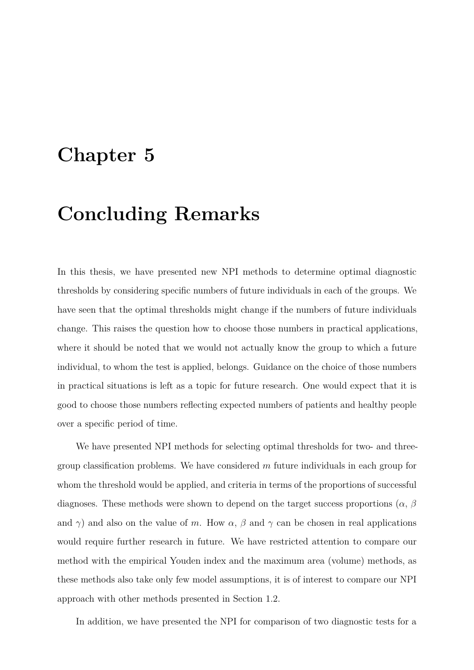### **Chapter 5**

### **Concluding Remarks**

In this thesis, we have presented new NPI methods to determine optimal diagnostic thresholds by considering specific numbers of future individuals in each of the groups. We have seen that the optimal thresholds might change if the numbers of future individuals change. This raises the question how to choose those numbers in practical applications, where it should be noted that we would not actually know the group to which a future individual, to whom the test is applied, belongs. Guidance on the choice of those numbers in practical situations is left as a topic for future research. One would expect that it is good to choose those numbers reflecting expected numbers of patients and healthy people over a specific period of time.

We have presented NPI methods for selecting optimal thresholds for two- and threegroup classification problems. We have considered *m* future individuals in each group for whom the threshold would be applied, and criteria in terms of the proportions of successful diagnoses. These methods were shown to depend on the target success proportions (*α*, *β* and  $\gamma$ ) and also on the value of *m*. How  $\alpha$ ,  $\beta$  and  $\gamma$  can be chosen in real applications would require further research in future. We have restricted attention to compare our method with the empirical Youden index and the maximum area (volume) methods, as these methods also take only few model assumptions, it is of interest to compare our NPI approach with other methods presented in Section [1.2.](#page-10-0)

In addition, we have presented the NPI for comparison of two diagnostic tests for a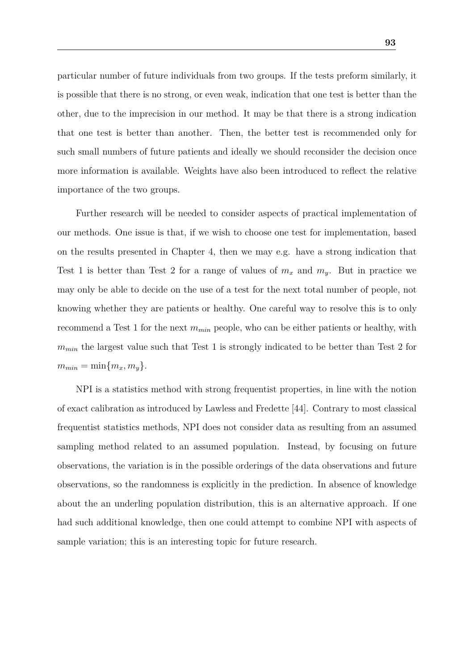particular number of future individuals from two groups. If the tests preform similarly, it is possible that there is no strong, or even weak, indication that one test is better than the other, due to the imprecision in our method. It may be that there is a strong indication that one test is better than another. Then, the better test is recommended only for such small numbers of future patients and ideally we should reconsider the decision once more information is available. Weights have also been introduced to reflect the relative importance of the two groups.

Further research will be needed to consider aspects of practical implementation of our methods. One issue is that, if we wish to choose one test for implementation, based on the results presented in Chapter [4,](#page-72-1) then we may e.g. have a strong indication that Test 1 is better than Test 2 for a range of values of  $m_x$  and  $m_y$ . But in practice we may only be able to decide on the use of a test for the next total number of people, not knowing whether they are patients or healthy. One careful way to resolve this is to only recommend a Test 1 for the next *mmin* people, who can be either patients or healthy, with *m<sub>min</sub>* the largest value such that Test 1 is strongly indicated to be better than Test 2 for  $m_{min} = \min\{m_x, m_y\}.$ 

NPI is a statistics method with strong frequentist properties, in line with the notion of exact calibration as introduced by Lawless and Fredette [\[44\]](#page-103-2). Contrary to most classical frequentist statistics methods, NPI does not consider data as resulting from an assumed sampling method related to an assumed population. Instead, by focusing on future observations, the variation is in the possible orderings of the data observations and future observations, so the randomness is explicitly in the prediction. In absence of knowledge about the an underling population distribution, this is an alternative approach. If one had such additional knowledge, then one could attempt to combine NPI with aspects of sample variation; this is an interesting topic for future research.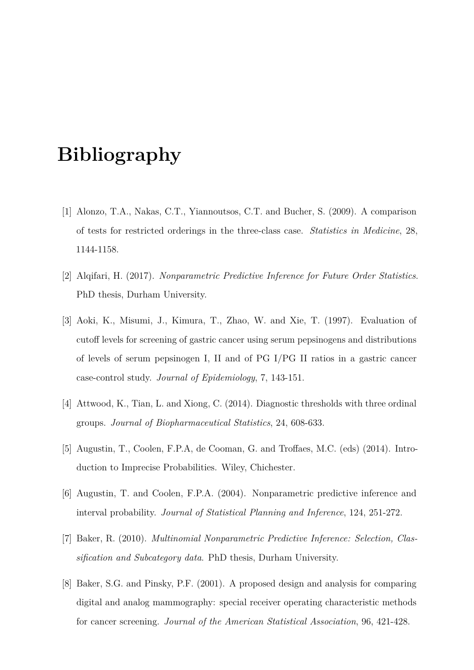### **Bibliography**

- [1] Alonzo, T.A., Nakas, C.T., Yiannoutsos, C.T. and Bucher, S. (2009). A comparison of tests for restricted orderings in the three-class case. *Statistics in Medicine*, 28, 1144-1158.
- [2] Alqifari, H. (2017). *Nonparametric Predictive Inference for Future Order Statistics*. PhD thesis, Durham University.
- [3] Aoki, K., Misumi, J., Kimura, T., Zhao, W. and Xie, T. (1997). Evaluation of cutoff levels for screening of gastric cancer using serum pepsinogens and distributions of levels of serum pepsinogen I, II and of PG I/PG II ratios in a gastric cancer case-control study. *Journal of Epidemiology*, 7, 143-151.
- [4] Attwood, K., Tian, L. and Xiong, C. (2014). Diagnostic thresholds with three ordinal groups. *Journal of Biopharmaceutical Statistics*, 24, 608-633.
- [5] Augustin, T., Coolen, F.P.A, de Cooman, G. and Troffaes, M.C. (eds) (2014). Introduction to Imprecise Probabilities. Wiley, Chichester.
- [6] Augustin, T. and Coolen, F.P.A. (2004). Nonparametric predictive inference and interval probability. *Journal of Statistical Planning and Inference*, 124, 251-272.
- [7] Baker, R. (2010). *Multinomial Nonparametric Predictive Inference: Selection, Classification and Subcategory data*. PhD thesis, Durham University.
- <span id="page-99-0"></span>[8] Baker, S.G. and Pinsky, P.F. (2001). A proposed design and analysis for comparing digital and analog mammography: special receiver operating characteristic methods for cancer screening. *Journal of the American Statistical Association*, 96, 421-428.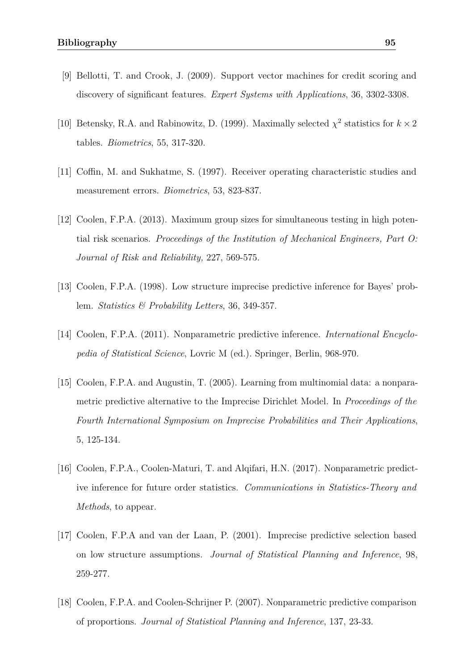- [9] Bellotti, T. and Crook, J. (2009). Support vector machines for credit scoring and discovery of significant features. *Expert Systems with Applications*, 36, 3302-3308.
- [10] Betensky, R.A. and Rabinowitz, D. (1999). Maximally selected  $\chi^2$  statistics for  $k \times 2$ tables. *Biometrics*, 55, 317-320.
- [11] Coffin, M. and Sukhatme, S. (1997). Receiver operating characteristic studies and measurement errors. *Biometrics*, 53, 823-837.
- <span id="page-100-1"></span>[12] Coolen, F.P.A. (2013). Maximum group sizes for simultaneous testing in high potential risk scenarios. *Proceedings of the Institution of Mechanical Engineers, Part O: Journal of Risk and Reliability,* 227, 569-575.
- [13] Coolen, F.P.A. (1998). Low structure imprecise predictive inference for Bayes' problem. *Statistics & Probability Letters*, 36, 349-357.
- [14] Coolen, F.P.A. (2011). Nonparametric predictive inference. *International Encyclopedia of Statistical Science*, Lovric M (ed.). Springer, Berlin, 968-970.
- [15] Coolen, F.P.A. and Augustin, T. (2005). Learning from multinomial data: a nonparametric predictive alternative to the Imprecise Dirichlet Model. In *Proceedings of the Fourth International Symposium on Imprecise Probabilities and Their Applications*, 5, 125-134.
- [16] Coolen, F.P.A., Coolen-Maturi, T. and Alqifari, H.N. (2017). Nonparametric predictive inference for future order statistics. *Communications in Statistics-Theory and Methods*, to appear.
- [17] Coolen, F.P.A and van der Laan, P. (2001). Imprecise predictive selection based on low structure assumptions. *Journal of Statistical Planning and Inference*, 98, 259-277.
- <span id="page-100-0"></span>[18] Coolen, F.P.A. and Coolen-Schrijner P. (2007). Nonparametric predictive comparison of proportions. *Journal of Statistical Planning and Inference*, 137, 23-33.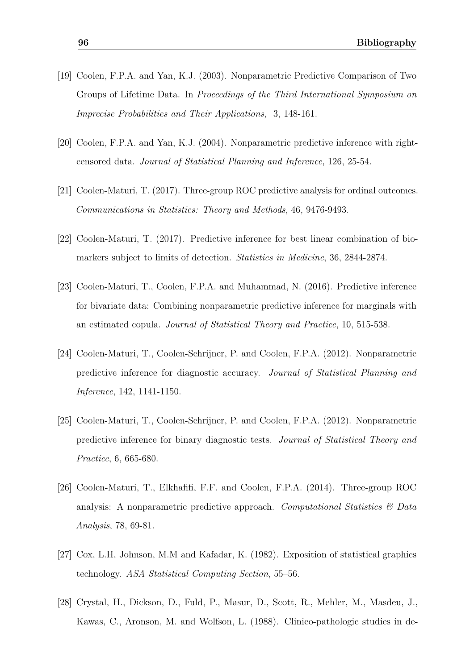- [19] Coolen, F.P.A. and Yan, K.J. (2003). Nonparametric Predictive Comparison of Two Groups of Lifetime Data. In *Proceedings of the Third International Symposium on Imprecise Probabilities and Their Applications,* 3, 148-161.
- [20] Coolen, F.P.A. and Yan, K.J. (2004). Nonparametric predictive inference with rightcensored data. *Journal of Statistical Planning and Inference*, 126, 25-54.
- [21] Coolen-Maturi, T. (2017). Three-group ROC predictive analysis for ordinal outcomes. *Communications in Statistics: Theory and Methods*, 46, 9476-9493.
- <span id="page-101-1"></span>[22] Coolen-Maturi, T. (2017). Predictive inference for best linear combination of biomarkers subject to limits of detection. *Statistics in Medicine*, 36, 2844-2874.
- [23] Coolen-Maturi, T., Coolen, F.P.A. and Muhammad, N. (2016). Predictive inference for bivariate data: Combining nonparametric predictive inference for marginals with an estimated copula. *Journal of Statistical Theory and Practice*, 10, 515-538.
- [24] Coolen-Maturi, T., Coolen-Schrijner, P. and Coolen, F.P.A. (2012). Nonparametric predictive inference for diagnostic accuracy. *Journal of Statistical Planning and Inference*, 142, 1141-1150.
- [25] Coolen-Maturi, T., Coolen-Schrijner, P. and Coolen, F.P.A. (2012). Nonparametric predictive inference for binary diagnostic tests. *Journal of Statistical Theory and Practice*, 6, 665-680.
- [26] Coolen-Maturi, T., Elkhafifi, F.F. and Coolen, F.P.A. (2014). Three-group ROC analysis: A nonparametric predictive approach. *Computational Statistics & Data Analysis*, 78, 69-81.
- <span id="page-101-0"></span>[27] Cox, L.H, Johnson, M.M and Kafadar, K. (1982). Exposition of statistical graphics technology. *ASA Statistical Computing Section*, 55–56.
- [28] Crystal, H., Dickson, D., Fuld, P., Masur, D., Scott, R., Mehler, M., Masdeu, J., Kawas, C., Aronson, M. and Wolfson, L. (1988). Clinico-pathologic studies in de-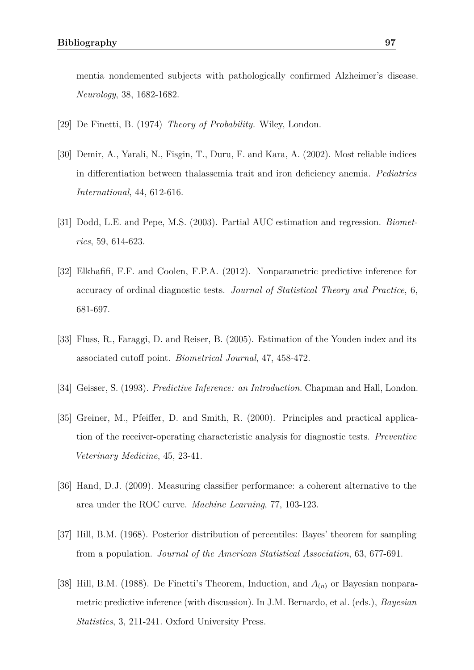mentia nondemented subjects with pathologically confirmed Alzheimer's disease. *Neurology*, 38, 1682-1682.

- [29] De Finetti, B. (1974) *Theory of Probability.* Wiley, London.
- [30] Demir, A., Yarali, N., Fisgin, T., Duru, F. and Kara, A. (2002). Most reliable indices in differentiation between thalassemia trait and iron deficiency anemia. *Pediatrics International*, 44, 612-616.
- <span id="page-102-0"></span>[31] Dodd, L.E. and Pepe, M.S. (2003). Partial AUC estimation and regression. *Biometrics*, 59, 614-623.
- [32] Elkhafifi, F.F. and Coolen, F.P.A. (2012). Nonparametric predictive inference for accuracy of ordinal diagnostic tests. *Journal of Statistical Theory and Practice*, 6, 681-697.
- [33] Fluss, R., Faraggi, D. and Reiser, B. (2005). Estimation of the Youden index and its associated cutoff point. *Biometrical Journal*, 47, 458-472.
- [34] Geisser, S. (1993). *Predictive Inference: an Introduction.* Chapman and Hall, London.
- [35] Greiner, M., Pfeiffer, D. and Smith, R. (2000). Principles and practical application of the receiver-operating characteristic analysis for diagnostic tests. *Preventive Veterinary Medicine*, 45, 23-41.
- [36] Hand, D.J. (2009). Measuring classifier performance: a coherent alternative to the area under the ROC curve. *Machine Learning*, 77, 103-123.
- [37] Hill, B.M. (1968). Posterior distribution of percentiles: Bayes' theorem for sampling from a population. *Journal of the American Statistical Association*, 63, 677-691.
- [38] Hill, B.M. (1988). De Finetti's Theorem, Induction, and *A*(*n*) or Bayesian nonparametric predictive inference (with discussion). In J.M. Bernardo, et al. (eds.), *Bayesian Statistics*, 3, 211-241. Oxford University Press.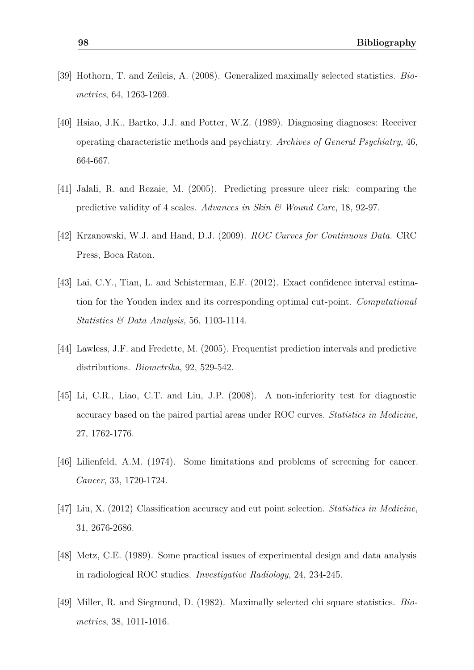- [39] Hothorn, T. and Zeileis, A. (2008). Generalized maximally selected statistics. *Biometrics*, 64, 1263-1269.
- [40] Hsiao, J.K., Bartko, J.J. and Potter, W.Z. (1989). Diagnosing diagnoses: Receiver operating characteristic methods and psychiatry. *Archives of General Psychiatry*, 46, 664-667.
- [41] Jalali, R. and Rezaie, M. (2005). Predicting pressure ulcer risk: comparing the predictive validity of 4 scales. *Advances in Skin & Wound Care*, 18, 92-97.
- [42] Krzanowski, W.J. and Hand, D.J. (2009). *ROC Curves for Continuous Data*. CRC Press, Boca Raton.
- [43] Lai, C.Y., Tian, L. and Schisterman, E.F. (2012). Exact confidence interval estimation for the Youden index and its corresponding optimal cut-point. *Computational Statistics & Data Analysis*, 56, 1103-1114.
- <span id="page-103-2"></span>[44] Lawless, J.F. and Fredette, M. (2005). Frequentist prediction intervals and predictive distributions. *Biometrika*, 92, 529-542.
- <span id="page-103-0"></span>[45] Li, C.R., Liao, C.T. and Liu, J.P. (2008). A non-inferiority test for diagnostic accuracy based on the paired partial areas under ROC curves. *Statistics in Medicine*, 27, 1762-1776.
- <span id="page-103-1"></span>[46] Lilienfeld, A.M. (1974). Some limitations and problems of screening for cancer. *Cancer*, 33, 1720-1724.
- [47] Liu, X. (2012) Classification accuracy and cut point selection. *Statistics in Medicine*, 31, 2676-2686.
- [48] Metz, C.E. (1989). Some practical issues of experimental design and data analysis in radiological ROC studies. *Investigative Radiology*, 24, 234-245.
- [49] Miller, R. and Siegmund, D. (1982). Maximally selected chi square statistics. *Biometrics*, 38, 1011-1016.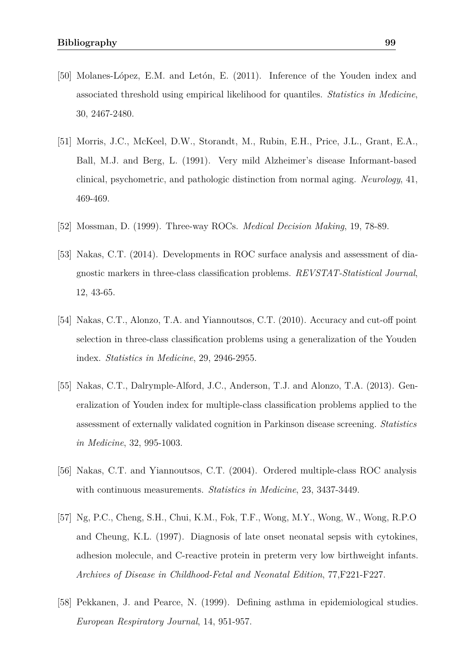- [50] Molanes-López, E.M. and Letón, E. (2011). Inference of the Youden index and associated threshold using empirical likelihood for quantiles. *Statistics in Medicine*, 30, 2467-2480.
- [51] Morris, J.C., McKeel, D.W., Storandt, M., Rubin, E.H., Price, J.L., Grant, E.A., Ball, M.J. and Berg, L. (1991). Very mild Alzheimer's disease Informant-based clinical, psychometric, and pathologic distinction from normal aging. *Neurology*, 41, 469-469.
- [52] Mossman, D. (1999). Three-way ROCs. *Medical Decision Making*, 19, 78-89.
- [53] Nakas, C.T. (2014). Developments in ROC surface analysis and assessment of diagnostic markers in three-class classification problems. *REVSTAT-Statistical Journal*, 12, 43-65.
- [54] Nakas, C.T., Alonzo, T.A. and Yiannoutsos, C.T. (2010). Accuracy and cut-off point selection in three-class classification problems using a generalization of the Youden index. *Statistics in Medicine*, 29, 2946-2955.
- [55] Nakas, C.T., Dalrymple-Alford, J.C., Anderson, T.J. and Alonzo, T.A. (2013). Generalization of Youden index for multiple-class classification problems applied to the assessment of externally validated cognition in Parkinson disease screening. *Statistics in Medicine*, 32, 995-1003.
- [56] Nakas, C.T. and Yiannoutsos, C.T. (2004). Ordered multiple-class ROC analysis with continuous measurements. *Statistics in Medicine*, 23, 3437-3449.
- [57] Ng, P.C., Cheng, S.H., Chui, K.M., Fok, T.F., Wong, M.Y., Wong, W., Wong, R.P.O and Cheung, K.L. (1997). Diagnosis of late onset neonatal sepsis with cytokines, adhesion molecule, and C-reactive protein in preterm very low birthweight infants. *Archives of Disease in Childhood-Fetal and Neonatal Edition*, 77,F221-F227.
- [58] Pekkanen, J. and Pearce, N. (1999). Defining asthma in epidemiological studies. *European Respiratory Journal*, 14, 951-957.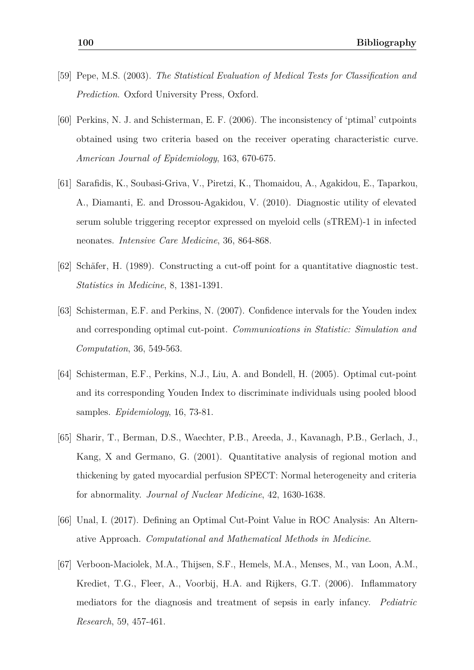- <span id="page-105-0"></span>[59] Pepe, M.S. (2003). *The Statistical Evaluation of Medical Tests for Classification and Prediction*. Oxford University Press, Oxford.
- [60] Perkins, N. J. and Schisterman, E. F. (2006). The inconsistency of 'ptimal' cutpoints obtained using two criteria based on the receiver operating characteristic curve. *American Journal of Epidemiology*, 163, 670-675.
- [61] Sarafidis, K., Soubasi-Griva, V., Piretzi, K., Thomaidou, A., Agakidou, E., Taparkou, A., Diamanti, E. and Drossou-Agakidou, V. (2010). Diagnostic utility of elevated serum soluble triggering receptor expressed on myeloid cells (sTREM)-1 in infected neonates. *Intensive Care Medicine*, 36, 864-868.
- [62] Schäfer, H. (1989). Constructing a cut-off point for a quantitative diagnostic test. *Statistics in Medicine*, 8, 1381-1391.
- [63] Schisterman, E.F. and Perkins, N. (2007). Confidence intervals for the Youden index and corresponding optimal cut-point. *Communications in Statistic: Simulation and Computation*, 36, 549-563.
- [64] Schisterman, E.F., Perkins, N.J., Liu, A. and Bondell, H. (2005). Optimal cut-point and its corresponding Youden Index to discriminate individuals using pooled blood samples. *Epidemiology*, 16, 73-81.
- [65] Sharir, T., Berman, D.S., Waechter, P.B., Areeda, J., Kavanagh, P.B., Gerlach, J., Kang, X and Germano, G. (2001). Quantitative analysis of regional motion and thickening by gated myocardial perfusion SPECT: Normal heterogeneity and criteria for abnormality. *Journal of Nuclear Medicine*, 42, 1630-1638.
- [66] Unal, I. (2017). Defining an Optimal Cut-Point Value in ROC Analysis: An Alternative Approach. *Computational and Mathematical Methods in Medicine*.
- [67] Verboon-Maciolek, M.A., Thijsen, S.F., Hemels, M.A., Menses, M., van Loon, A.M., Krediet, T.G., Fleer, A., Voorbij, H.A. and Rijkers, G.T. (2006). Inflammatory mediators for the diagnosis and treatment of sepsis in early infancy. *Pediatric Research*, 59, 457-461.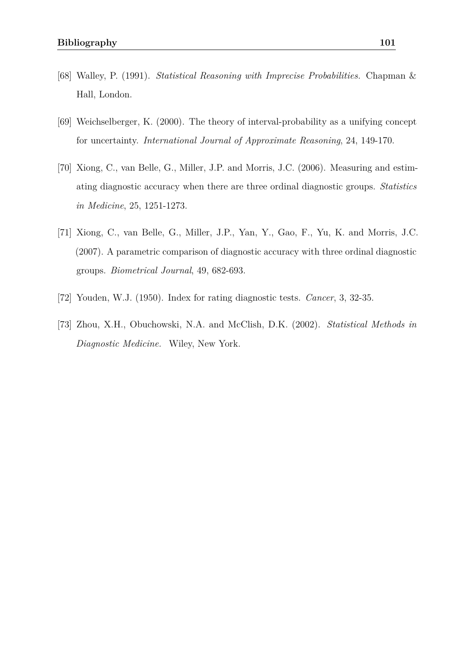- [68] Walley, P. (1991). *Statistical Reasoning with Imprecise Probabilities.* Chapman & Hall, London.
- [69] Weichselberger, K. (2000). The theory of interval-probability as a unifying concept for uncertainty. *International Journal of Approximate Reasoning*, 24, 149-170.
- [70] Xiong, C., van Belle, G., Miller, J.P. and Morris, J.C. (2006). Measuring and estimating diagnostic accuracy when there are three ordinal diagnostic groups. *Statistics in Medicine*, 25, 1251-1273.
- [71] Xiong, C., van Belle, G., Miller, J.P., Yan, Y., Gao, F., Yu, K. and Morris, J.C. (2007). A parametric comparison of diagnostic accuracy with three ordinal diagnostic groups. *Biometrical Journal*, 49, 682-693.
- [72] Youden, W.J. (1950). Index for rating diagnostic tests. *Cancer*, 3, 32-35.
- <span id="page-106-0"></span>[73] Zhou, X.H., Obuchowski, N.A. and McClish, D.K. (2002). *Statistical Methods in Diagnostic Medicine.* Wiley, New York.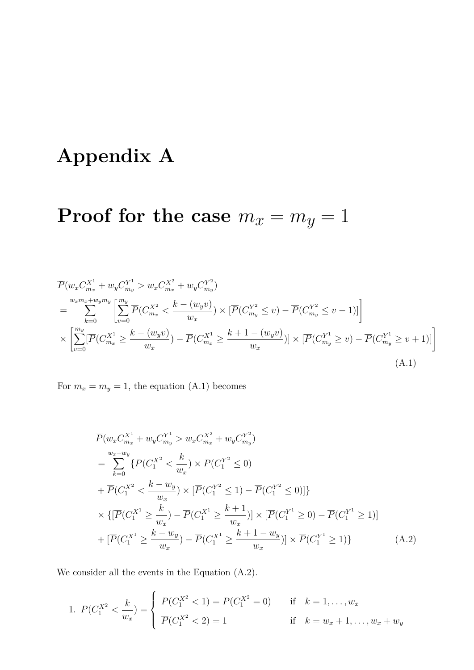## <span id="page-107-0"></span>**Appendix A**

# **Proof for the case**  $m_x = m_y = 1$

$$
\overline{P}(w_x C_{m_x}^{X^1} + w_y C_{m_y}^{Y^1} > w_x C_{m_x}^{X^2} + w_y C_{m_y}^{Y^2})
$$
\n
$$
= \sum_{k=0}^{w_x m_x + w_y m_y} \left[ \sum_{v=0}^{m_y} \overline{P}(C_{m_x}^{X^2} < \frac{k - (w_y v)}{w_x}) \times [\overline{P}(C_{m_y}^{Y^2} \le v) - \overline{P}(C_{m_y}^{Y^2} \le v - 1)] \right]
$$
\n
$$
\times \left[ \sum_{v=0}^{m_y} [\overline{P}(C_{m_x}^{X^1} \ge \frac{k - (w_y v)}{w_x}) - \overline{P}(C_{m_x}^{X^1} \ge \frac{k + 1 - (w_y v)}{w_x})] \times [\overline{P}(C_{m_y}^{Y^1} \ge v) - \overline{P}(C_{m_y}^{Y^1} \ge v + 1)] \right]
$$
\n(A.1)

For  $m_x = m_y = 1$ , the equation [\(A.1\)](#page-107-1) becomes

<span id="page-107-2"></span><span id="page-107-1"></span>
$$
\overline{P}(w_x C_{m_x}^{X^1} + w_y C_{m_y}^{Y^1} > w_x C_{m_x}^{X^2} + w_y C_{m_y}^{Y^2})
$$
\n
$$
= \sum_{k=0}^{w_x + w_y} {\overline{P}(C_1^{X^2} < \frac{k}{w_x}) \times \overline{P}(C_1^{Y^2} \le 0)}
$$
\n
$$
+ \overline{P}(C_1^{X^2} < \frac{k - w_y}{w_x}) \times [\overline{P}(C_1^{Y^2} \le 1) - \overline{P}(C_1^{Y^2} \le 0)]
$$
\n
$$
\times \{ [\overline{P}(C_1^{X^1} \ge \frac{k}{w_x}) - \overline{P}(C_1^{X^1} \ge \frac{k+1}{w_x})] \times [\overline{P}(C_1^{Y^1} \ge 0) - \overline{P}(C_1^{Y^1} \ge 1)]
$$
\n
$$
+ [\overline{P}(C_1^{X^1} \ge \frac{k - w_y}{w_x}) - \overline{P}(C_1^{X^1} \ge \frac{k+1 - w_y}{w_x})] \times \overline{P}(C_1^{Y^1} \ge 1)
$$
\n(A.2)

We consider all the events in the Equation [\(A.2\)](#page-107-2).

1. 
$$
\overline{P}(C_1^{X^2} < \frac{k}{w_x}) = \begin{cases} \overline{P}(C_1^{X^2} < 1) = \overline{P}(C_1^{X^2} = 0) & \text{if } k = 1, ..., w_x \\ \overline{P}(C_1^{X^2} < 2) = 1 & \text{if } k = w_x + 1, ..., w_x + w_y \end{cases}
$$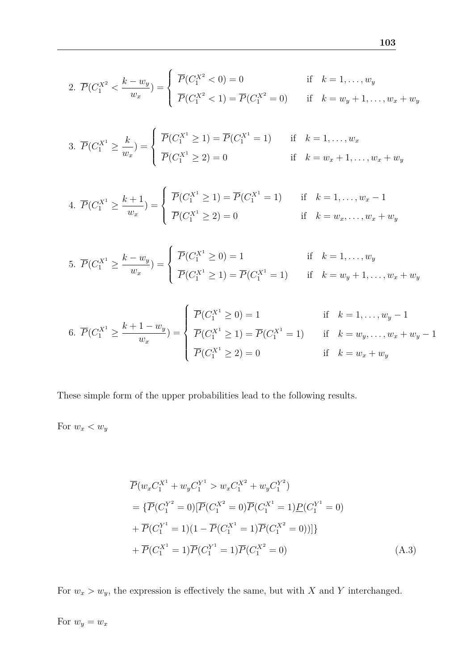2. 
$$
\overline{P}(C_1^{X^2} < \frac{k - w_y}{w_x}) = \begin{cases} \overline{P}(C_1^{X^2} < 0) = 0 & \text{if } k = 1, ..., w_y \\ \overline{P}(C_1^{X^2} < 1) = \overline{P}(C_1^{X^2} = 0) & \text{if } k = w_y + 1, ..., w_x + w_y \end{cases}
$$

3. 
$$
\overline{P}(C_1^{X^1} \ge \frac{k}{w_x}) = \begin{cases} \overline{P}(C_1^{X^1} \ge 1) = \overline{P}(C_1^{X^1} = 1) & \text{if } k = 1, ..., w_x \\ \overline{P}(C_1^{X^1} \ge 2) = 0 & \text{if } k = w_x + 1, ..., w_x + w_y \end{cases}
$$

4. 
$$
\overline{P}(C_1^{X^1} \ge \frac{k+1}{w_x}) = \begin{cases} \overline{P}(C_1^{X^1} \ge 1) = \overline{P}(C_1^{X^1} = 1) & \text{if } k = 1, ..., w_x - 1 \\ \overline{P}(C_1^{X^1} \ge 2) = 0 & \text{if } k = w_x, ..., w_x + w_y \end{cases}
$$

5. 
$$
\overline{P}(C_1^{X^1} \ge \frac{k - w_y}{w_x}) = \begin{cases} \overline{P}(C_1^{X^1} \ge 0) = 1 & \text{if } k = 1, ..., w_y \\ \overline{P}(C_1^{X^1} \ge 1) = \overline{P}(C_1^{X^1} = 1) & \text{if } k = w_y + 1, ..., w_x + w_y \end{cases}
$$

6. 
$$
\overline{P}(C_1^{X^1} \ge \frac{k+1-w_y}{w_x}) = \begin{cases} \overline{P}(C_1^{X^1} \ge 0) = 1 & \text{if } k = 1, ..., w_y - 1 \\ \overline{P}(C_1^{X^1} \ge 1) = \overline{P}(C_1^{X^1} = 1) & \text{if } k = w_y, ..., w_x + w_y - 1 \\ \overline{P}(C_1^{X^1} \ge 2) = 0 & \text{if } k = w_x + w_y \end{cases}
$$

These simple form of the upper probabilities lead to the following results.

For  $w_x < w_y$ 

$$
\overline{P}(w_x C_1^{X^1} + w_y C_1^{Y^1} > w_x C_1^{X^2} + w_y C_1^{Y^2})
$$
\n
$$
= \{\overline{P}(C_1^{Y^2} = 0) [\overline{P}(C_1^{X^2} = 0) \overline{P}(C_1^{X^1} = 1) \underline{P}(C_1^{Y^1} = 0)
$$
\n
$$
+ \overline{P}(C_1^{Y^1} = 1)(1 - \overline{P}(C_1^{X^1} = 1) \overline{P}(C_1^{X^2} = 0))]\}
$$
\n
$$
+ \overline{P}(C_1^{X^1} = 1) \overline{P}(C_1^{Y^1} = 1) \overline{P}(C_1^{X^2} = 0)
$$
\n(A.3)

For  $w_x > w_y$ , the expression is effectively the same, but with *X* and *Y* interchanged.

For  $w_y = w_x$